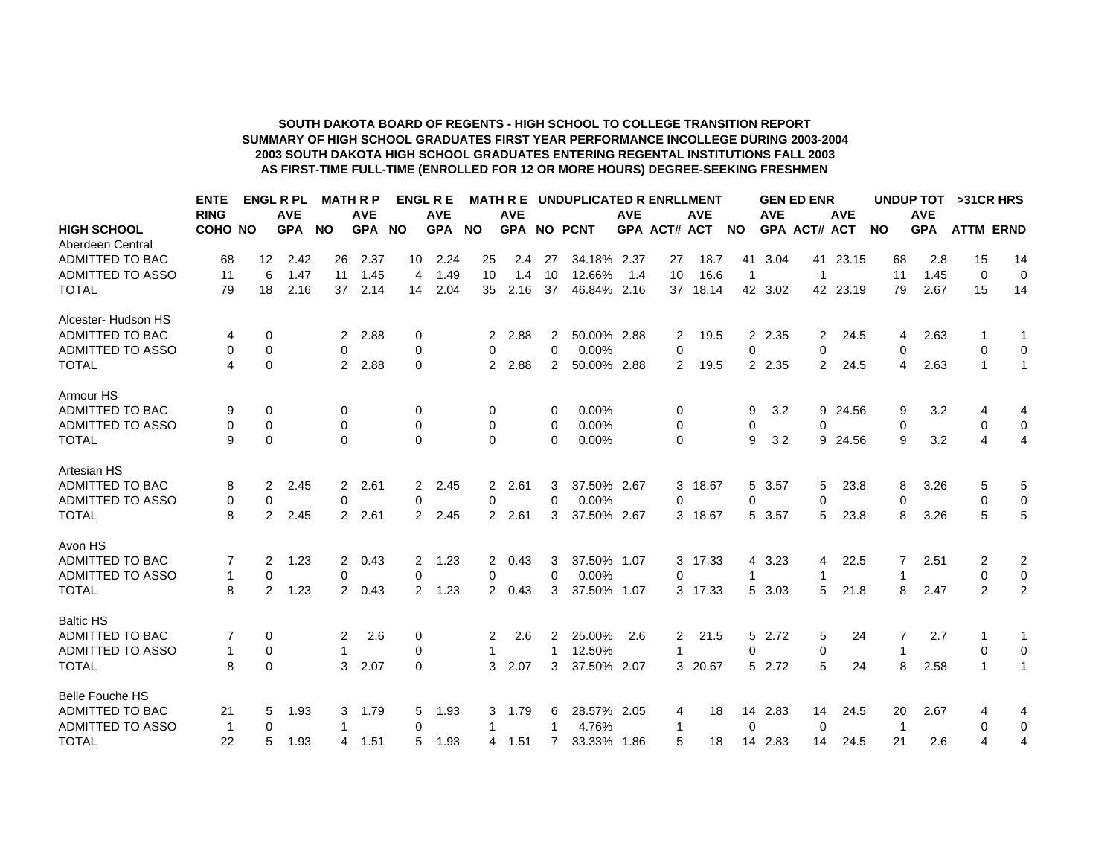## **AS FIRST-TIME FULL-TIME (ENROLLED FOR 12 OR MORE HOURS) DEGREE-SEEKING FRESHMEN 2003 SOUTH DAKOTA HIGH SCHOOL GRADUATES ENTERING REGENTAL INSTITUTIONS FALL 2003SUMMARY OF HIGH SCHOOL GRADUATES FIRST YEAR PERFORMANCE INCOLLEGE DURING 2003-2004 SOUTH DAKOTA BOARD OF REGENTS - HIGH SCHOOL TO COLLEGE TRANSITION REPORT**

|                         | <b>ENTE</b> |                   | <b>ENGL R PL</b> |                | <b>MATH R P</b> |           | <b>ENGL R E</b> |                | <b>MATH R E</b> |                | UNDUPLICATED R ENRLLMENT |            |                     |            |                |            | <b>GEN ED ENR</b>   |            | UNDUP TOT |            | >31 CR HRS       |                         |
|-------------------------|-------------|-------------------|------------------|----------------|-----------------|-----------|-----------------|----------------|-----------------|----------------|--------------------------|------------|---------------------|------------|----------------|------------|---------------------|------------|-----------|------------|------------------|-------------------------|
|                         | <b>RING</b> |                   | <b>AVE</b>       |                | <b>AVE</b>      |           | <b>AVE</b>      |                | <b>AVE</b>      |                |                          | <b>AVE</b> |                     | <b>AVE</b> |                | <b>AVE</b> |                     | <b>AVE</b> |           | <b>AVE</b> |                  |                         |
| <b>HIGH SCHOOL</b>      | COHO NO     |                   | <b>GPA</b>       | <b>NO</b>      | <b>GPA</b>      | <b>NO</b> | GPA NO          |                |                 |                | <b>GPA NO PCNT</b>       |            | <b>GPA ACT# ACT</b> |            | <b>NO</b>      |            | <b>GPA ACT# ACT</b> |            | <b>NO</b> | <b>GPA</b> | <b>ATTM ERND</b> |                         |
| Aberdeen Central        |             |                   |                  |                |                 |           |                 |                |                 |                |                          |            |                     |            |                |            |                     |            |           |            |                  |                         |
| ADMITTED TO BAC         | 68          | $12 \overline{ }$ | 2.42             | 26             | 2.37            | 10        | 2.24            | 25             | 2.4             | -27            | 34.18% 2.37              |            | 27                  | 18.7       | 41             | 3.04       | 41                  | 23.15      | 68        | 2.8        | 15               | 14                      |
| <b>ADMITTED TO ASSO</b> | 11          | 6                 | 1.47             | 11             | 1.45            | 4         | 1.49            | 10             | 1.4             | 10             | 12.66%                   | 1.4        | 10                  | 16.6       | $\mathbf{1}$   |            | $\mathbf{1}$        |            | 11        | 1.45       | $\mathbf 0$      | $\mathbf 0$             |
| <b>TOTAL</b>            | 79          | 18                | 2.16             | 37             | 2.14            | 14        | 2.04            | 35             | 2.16            | 37             | 46.84% 2.16              |            | 37                  | 18.14      |                | 42 3.02    |                     | 42 23.19   | 79        | 2.67       | 15               | 14                      |
| Alcester- Hudson HS     |             |                   |                  |                |                 |           |                 |                |                 |                |                          |            |                     |            |                |            |                     |            |           |            |                  |                         |
| ADMITTED TO BAC         | 4           | 0                 |                  | 2              | 2.88            | 0         |                 | 2              | 2.88            | 2              | 50.00% 2.88              |            | 2                   | 19.5       | $\overline{2}$ | 2.35       | 2                   | 24.5       | 4         | 2.63       |                  | 1                       |
| <b>ADMITTED TO ASSO</b> | 0           | $\mathbf 0$       |                  | 0              |                 | 0         |                 | 0              |                 | 0              | 0.00%                    |            | 0                   |            | 0              |            | 0                   |            | 0         |            | 0                | 0                       |
| <b>TOTAL</b>            | 4           | $\mathbf 0$       |                  | $\overline{2}$ | 2.88            | 0         |                 | 2              | 2.88            | 2              | 50.00% 2.88              |            | 2                   | 19.5       | $\mathbf{2}$   | 2.35       | 2                   | 24.5       | 4         | 2.63       | 1                | $\mathbf{1}$            |
| Armour HS               |             |                   |                  |                |                 |           |                 |                |                 |                |                          |            |                     |            |                |            |                     |            |           |            |                  |                         |
| <b>ADMITTED TO BAC</b>  | 9           | 0                 |                  | 0              |                 | 0         |                 | 0              |                 | 0              | 0.00%                    |            | 0                   |            | 9              | 3.2        | 9                   | 24.56      | 9         | 3.2        | 4                | 4                       |
| <b>ADMITTED TO ASSO</b> | 0           | $\mathbf 0$       |                  | 0              |                 | 0         |                 | 0              |                 | 0              | 0.00%                    |            | 0                   |            | 0              |            | 0                   |            | 0         |            | 0                | $\mathbf 0$             |
| <b>TOTAL</b>            | 9           | $\Omega$          |                  | $\Omega$       |                 | $\Omega$  |                 | $\Omega$       |                 | 0              | 0.00%                    |            | $\Omega$            |            | 9              | 3.2        |                     | 9 24.56    | 9         | 3.2        | 4                | $\overline{4}$          |
| Artesian HS             |             |                   |                  |                |                 |           |                 |                |                 |                |                          |            |                     |            |                |            |                     |            |           |            |                  |                         |
| <b>ADMITTED TO BAC</b>  | 8           | 2                 | 2.45             | 2              | 2.61            | 2         | 2.45            | 2              | 2.61            | 3              | 37.50% 2.67              |            |                     | 3 18.67    |                | 5 3.57     | 5                   | 23.8       | 8         | 3.26       | 5                | 5                       |
| <b>ADMITTED TO ASSO</b> | 0           | $\Omega$          |                  | 0              |                 | 0         |                 | 0              |                 | $\Omega$       | 0.00%                    |            | 0                   |            | 0              |            | 0                   |            | 0         |            | $\Omega$         | $\mathbf 0$             |
| <b>TOTAL</b>            | 8           | 2                 | 2.45             | $\overline{2}$ | 2.61            | 2         | 2.45            | $\overline{2}$ | 2.61            | 3              | 37.50% 2.67              |            |                     | 3 18.67    |                | 5 3.57     | 5                   | 23.8       | 8         | 3.26       | 5                | 5                       |
| Avon HS                 |             |                   |                  |                |                 |           |                 |                |                 |                |                          |            |                     |            |                |            |                     |            |           |            |                  |                         |
| ADMITTED TO BAC         |             | 2                 | 1.23             | 2              | 0.43            | 2         | 1.23            | 2              | 0.43            | 3              | 37.50% 1.07              |            |                     | 3 17.33    | 4              | 3.23       | 4                   | 22.5       |           | 2.51       | 2                | $\overline{\mathbf{c}}$ |
| <b>ADMITTED TO ASSO</b> | 1           | $\mathbf 0$       |                  | 0              |                 | 0         |                 | 0              |                 | $\Omega$       | 0.00%                    |            | $\Omega$            |            |                |            | 1                   |            |           |            | $\mathbf 0$      | $\pmb{0}$               |
| <b>TOTAL</b>            | 8           | 2                 | 1.23             | $\overline{2}$ | 0.43            | 2         | 1.23            | $\overline{2}$ | 0.43            | 3              | 37.50% 1.07              |            |                     | 3 17.33    | 5              | 3.03       | 5                   | 21.8       | 8         | 2.47       | $\mathcal{P}$    | $\overline{2}$          |
| <b>Baltic HS</b>        |             |                   |                  |                |                 |           |                 |                |                 |                |                          |            |                     |            |                |            |                     |            |           |            |                  |                         |
| <b>ADMITTED TO BAC</b>  |             | 0                 |                  | 2              | 2.6             | 0         |                 | 2              | 2.6             | 2              | 25.00%                   | 2.6        | 2                   | 21.5       | 5              | 2.72       | 5                   | 24         |           | 2.7        |                  | 1                       |
| <b>ADMITTED TO ASSO</b> | 1           | 0                 |                  |                |                 | 0         |                 |                |                 |                | 12.50%                   |            |                     |            | 0              |            | 0                   |            |           |            | 0                | 0                       |
| <b>TOTAL</b>            | 8           | $\Omega$          |                  | 3              | 2.07            | $\Omega$  |                 | 3              | 2.07            | 3              | 37.50% 2.07              |            |                     | 3 20.67    |                | 5 2.72     | 5                   | 24         | 8         | 2.58       |                  | $\mathbf{1}$            |
| <b>Belle Fouche HS</b>  |             |                   |                  |                |                 |           |                 |                |                 |                |                          |            |                     |            |                |            |                     |            |           |            |                  |                         |
| ADMITTED TO BAC         | 21          | 5                 | 1.93             | 3              | 1.79            | 5         | 1.93            | 3              | 1.79            | 6              | 28.57% 2.05              |            | 4                   | 18         | 14             | 2.83       | 14                  | 24.5       | 20        | 2.67       | 4                | 4                       |
| <b>ADMITTED TO ASSO</b> | -1          | 0                 |                  |                |                 | 0         |                 |                |                 |                | 4.76%                    |            | -1                  |            | 0              |            | 0                   |            | -1        |            | 0                | 0                       |
| <b>TOTAL</b>            | 22          | 5                 | 1.93             | 4              | 1.51            | 5         | 1.93            | 4              | 1.51            | $\overline{7}$ | 33.33% 1.86              |            | 5                   | 18         | 14             | 2.83       | 14                  | 24.5       | 21        | 2.6        | 4                | 4                       |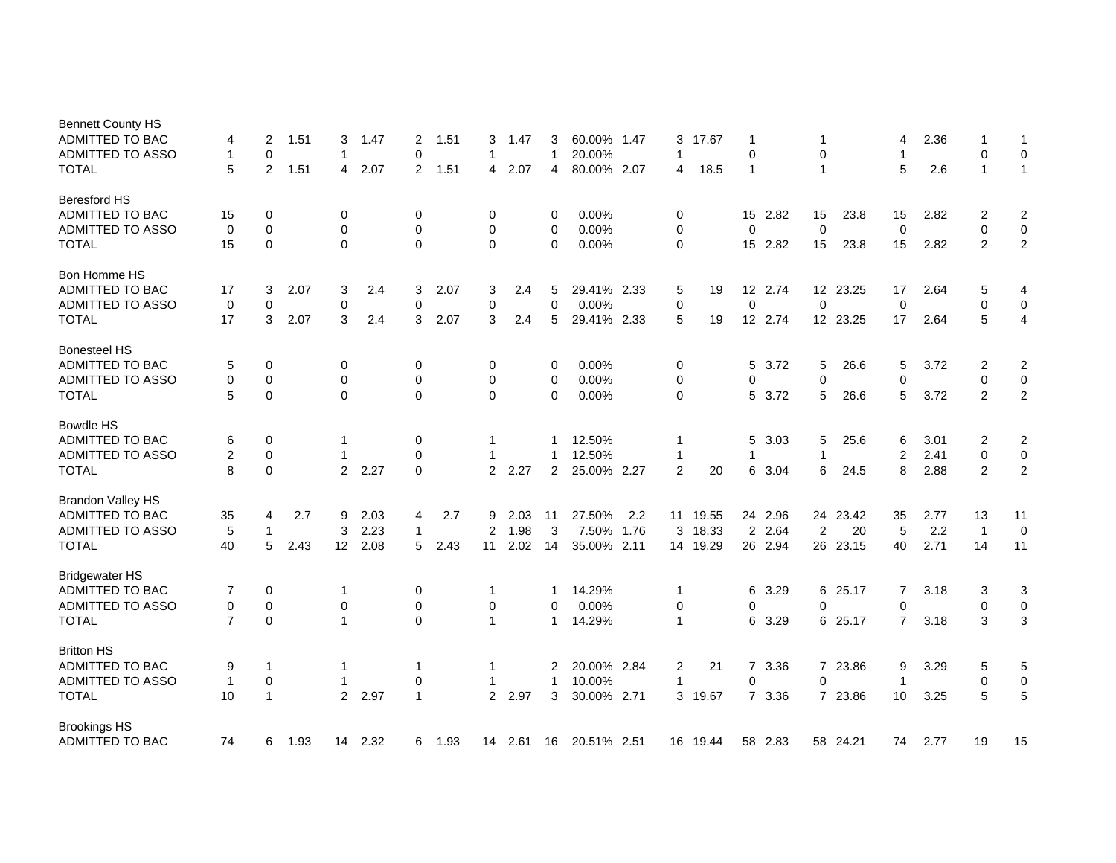| <b>Bennett County HS</b><br>ADMITTED TO BAC | 4              | 2            | 1.51 | 3                | 1.47   | 2            | 1.51 | 3              | 1.47       | 3              | 60.00% 1.47 |     | 3              | 17.67    | 1              |         |                |          | 4           | 2.36 |                | 1                       |
|---------------------------------------------|----------------|--------------|------|------------------|--------|--------------|------|----------------|------------|----------------|-------------|-----|----------------|----------|----------------|---------|----------------|----------|-------------|------|----------------|-------------------------|
| ADMITTED TO ASSO                            | 1              | 0            |      | 1                |        | $\mathbf 0$  |      | 1              |            | 1              | 20.00%      |     | -1             |          | 0              |         | 0              |          | 1           |      | 0              | 0                       |
| <b>TOTAL</b>                                | 5              | 2            | 1.51 | 4                | 2.07   | 2            | 1.51 | 4              | 2.07       | 4              | 80.00% 2.07 |     | 4              | 18.5     | $\mathbf{1}$   |         | $\mathbf{1}$   |          | 5           | 2.6  | $\mathbf{1}$   | $\mathbf{1}$            |
| <b>Beresford HS</b>                         |                |              |      |                  |        |              |      |                |            |                |             |     |                |          |                |         |                |          |             |      |                |                         |
| ADMITTED TO BAC                             | 15             | 0            |      | 0                |        | 0            |      | 0              |            | 0              | 0.00%       |     | 0              |          | 15             | 2.82    | 15             | 23.8     | 15          | 2.82 | 2              | 2                       |
| ADMITTED TO ASSO                            | 0              | $\mathbf 0$  |      | 0                |        | 0            |      | 0              |            | 0              | 0.00%       |     | 0              |          | 0              |         | $\mathbf 0$    |          | $\mathbf 0$ |      | 0              | $\mathbf 0$             |
| <b>TOTAL</b>                                | 15             | $\mathbf 0$  |      | $\mathbf 0$      |        | $\mathbf 0$  |      | 0              |            | $\Omega$       | 0.00%       |     | 0              |          | 15             | 2.82    | 15             | 23.8     | 15          | 2.82 | $\overline{2}$ | $\overline{2}$          |
| Bon Homme HS                                |                |              |      |                  |        |              |      |                |            |                |             |     |                |          |                |         |                |          |             |      |                |                         |
| ADMITTED TO BAC                             | 17             | 3            | 2.07 | 3                | 2.4    | 3            | 2.07 | 3              | 2.4        | 5              | 29.41% 2.33 |     | 5              | 19       |                | 12 2.74 |                | 12 23.25 | 17          | 2.64 | 5              | 4                       |
| ADMITTED TO ASSO                            | 0              | 0            |      | 0                |        | $\mathbf 0$  |      | 0              |            | 0              | 0.00%       |     | 0              |          | 0              |         | $\mathbf 0$    |          | $\mathbf 0$ |      | 0              | $\mathbf 0$             |
| <b>TOTAL</b>                                | 17             | 3            | 2.07 | 3                | 2.4    | 3            | 2.07 | 3              | 2.4        | 5              | 29.41% 2.33 |     | 5              | 19       | 12             | 2.74    |                | 12 23.25 | 17          | 2.64 | 5              | $\overline{\mathbf{4}}$ |
| <b>Bonesteel HS</b>                         |                |              |      |                  |        |              |      |                |            |                |             |     |                |          |                |         |                |          |             |      |                |                         |
| ADMITTED TO BAC                             | 5              | 0            |      | 0                |        | 0            |      | 0              |            | 0              | 0.00%       |     | 0              |          | 5              | 3.72    | 5              | 26.6     | 5           | 3.72 | 2              | 2                       |
| ADMITTED TO ASSO                            | 0              | 0            |      | 0                |        | 0            |      | 0              |            | 0              | 0.00%       |     | 0              |          | 0              |         | 0              |          | $\mathbf 0$ |      | 0              | $\mathbf 0$             |
| <b>TOTAL</b>                                | 5              | 0            |      | $\Omega$         |        | $\Omega$     |      | $\Omega$       |            | $\Omega$       | 0.00%       |     | 0              |          | 5              | 3.72    | 5              | 26.6     | 5           | 3.72 | 2              | $\overline{2}$          |
| <b>Bowdle HS</b>                            |                |              |      |                  |        |              |      |                |            |                |             |     |                |          |                |         |                |          |             |      |                |                         |
| <b>ADMITTED TO BAC</b>                      | 6              | 0            |      | 1                |        | 0            |      | 1              |            |                | 12.50%      |     | -1             |          | 5              | 3.03    | 5              | 25.6     | 6           | 3.01 | 2              | $\overline{2}$          |
| ADMITTED TO ASSO                            | $\overline{2}$ | $\mathbf 0$  |      | 1                |        | $\mathbf 0$  |      | 1              |            | 1              | 12.50%      |     | $\mathbf{1}$   |          | 1              |         | $\mathbf{1}$   |          | 2           | 2.41 | 0              | 0                       |
| <b>TOTAL</b>                                | 8              | $\mathbf 0$  |      |                  | 2 2.27 | $\Omega$     |      | $2^{\circ}$    | 2.27       | $\overline{2}$ | 25.00% 2.27 |     | $\overline{2}$ | 20       | 6              | 3.04    | 6              | 24.5     | 8           | 2.88 | $\overline{2}$ | $\boldsymbol{2}$        |
| <b>Brandon Valley HS</b>                    |                |              |      |                  |        |              |      |                |            |                |             |     |                |          |                |         |                |          |             |      |                |                         |
| <b>ADMITTED TO BAC</b>                      | 35             | 4            | 2.7  | 9                | 2.03   | 4            | 2.7  | 9              | 2.03       | 11             | 27.50%      | 2.2 | 11             | 19.55    | 24             | 2.96    |                | 24 23.42 | 35          | 2.77 | 13             | 11                      |
| ADMITTED TO ASSO                            | 5              | $\mathbf 1$  |      | 3                | 2.23   | $\mathbf 1$  |      | 2              | 1.98       | 3              | 7.50% 1.76  |     | 3              | 18.33    | $\overline{2}$ | 2.64    | $\overline{2}$ | 20       | 5           | 2.2  | $\overline{1}$ | $\mathbf 0$             |
| <b>TOTAL</b>                                | 40             | 5            | 2.43 | 12 <sup>2</sup>  | 2.08   | 5            | 2.43 | 11             | 2.02       | 14             | 35.00% 2.11 |     |                | 14 19.29 |                | 26 2.94 |                | 26 23.15 | 40          | 2.71 | 14             | 11                      |
| <b>Bridgewater HS</b>                       |                |              |      |                  |        |              |      |                |            |                |             |     |                |          |                |         |                |          |             |      |                |                         |
| ADMITTED TO BAC                             | 7              | 0            |      | 1                |        | 0            |      | 1              |            | 1              | 14.29%      |     | $\overline{1}$ |          | 6              | 3.29    | 6              | 25.17    | 7           | 3.18 | 3              | 3                       |
| ADMITTED TO ASSO                            | 0              | $\mathbf 0$  |      | $\boldsymbol{0}$ |        | $\mathbf 0$  |      | 0              |            | 0              | 0.00%       |     | 0              |          | 0              |         | $\mathbf 0$    |          | 0           |      | $\mathbf 0$    | 0                       |
| <b>TOTAL</b>                                | $\overline{7}$ | $\Omega$     |      | $\mathbf{1}$     |        | $\Omega$     |      | $\mathbf{1}$   |            | $\mathbf{1}$   | 14.29%      |     | $\overline{1}$ |          | 6              | 3.29    |                | 6 25.17  | $7^{\circ}$ | 3.18 | 3              | 3                       |
| <b>Britton HS</b>                           |                |              |      |                  |        |              |      |                |            |                |             |     |                |          |                |         |                |          |             |      |                |                         |
| ADMITTED TO BAC                             | 9              | $\mathbf 1$  |      | 1                |        | $\mathbf 1$  |      | 1              |            | 2              | 20.00% 2.84 |     | $\overline{2}$ | 21       | $\overline{7}$ | 3.36    |                | 7 23.86  | 9           | 3.29 | 5              | 5                       |
| <b>ADMITTED TO ASSO</b>                     | $\mathbf{1}$   | $\mathbf 0$  |      | 1                |        | $\mathbf 0$  |      | 1              |            | $\mathbf{1}$   | 10.00%      |     | $\overline{1}$ |          | 0              |         | $\mathbf 0$    |          | -1          |      | $\mathbf 0$    | $\pmb{0}$               |
| <b>TOTAL</b>                                | 10             | $\mathbf{1}$ |      | $\overline{2}$   | 2.97   | $\mathbf{1}$ |      | $\overline{2}$ | 2.97       | 3              | 30.00% 2.71 |     |                | 3 19.67  |                | 7 3.36  |                | 7 23.86  | 10          | 3.25 | 5              | 5                       |
| <b>Brookings HS</b>                         |                |              |      |                  |        |              |      |                |            |                |             |     |                |          |                |         |                |          |             |      |                |                         |
| ADMITTED TO BAC                             | 74             | 6            | 1.93 | 14               | 2.32   | 6            | 1.93 |                | 14 2.61 16 |                | 20.51% 2.51 |     |                | 16 19.44 |                | 58 2.83 |                | 58 24.21 | 74          | 2.77 | 19             | 15                      |
|                                             |                |              |      |                  |        |              |      |                |            |                |             |     |                |          |                |         |                |          |             |      |                |                         |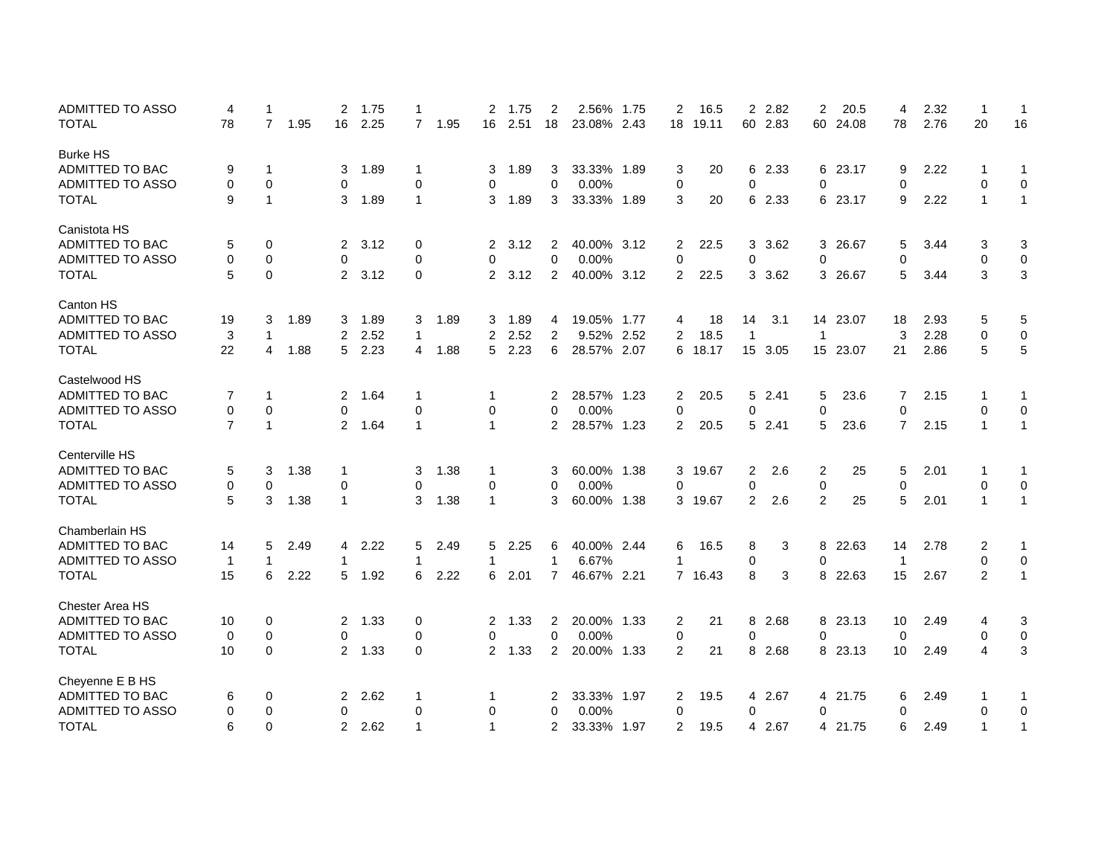| <b>ADMITTED TO ASSO</b> | 4              | 1              |      | 2              | 1.75 | -1             |      | 2              | 1.75 | 2                       | 2.56%       | 1.75 | 2           | 16.5    | $\overline{2}$ | 2.82    | 2              | 20.5     | 4              | 2.32 | $\mathbf 1$  | 1            |
|-------------------------|----------------|----------------|------|----------------|------|----------------|------|----------------|------|-------------------------|-------------|------|-------------|---------|----------------|---------|----------------|----------|----------------|------|--------------|--------------|
| <b>TOTAL</b>            | 78             | $\overline{7}$ | 1.95 | 16             | 2.25 | $\overline{7}$ | 1.95 | 16             | 2.51 | 18                      | 23.08% 2.43 |      | 18          | 19.11   | 60             | 2.83    |                | 60 24.08 | 78             | 2.76 | 20           | 16           |
| <b>Burke HS</b>         |                |                |      |                |      |                |      |                |      |                         |             |      |             |         |                |         |                |          |                |      |              |              |
| ADMITTED TO BAC         | 9              | -1             |      | 3              | 1.89 | -1             |      | 3              | 1.89 | 3                       | 33.33% 1.89 |      | 3           | 20      | 6              | 2.33    |                | 6 23.17  | 9              | 2.22 | -1           | 1            |
| ADMITTED TO ASSO        | 0              | 0              |      | 0              |      | 0              |      | 0              |      | $\mathbf 0$             | 0.00%       |      | $\mathbf 0$ |         | 0              |         | $\mathbf 0$    |          | 0              |      | 0            | 0            |
| <b>TOTAL</b>            | 9              | $\mathbf 1$    |      | 3              | 1.89 | $\mathbf 1$    |      | 3              | 1.89 | 3                       | 33.33% 1.89 |      | 3           | 20      | 6              | 2.33    |                | 6 23.17  | 9              | 2.22 | $\mathbf{1}$ | $\mathbf{1}$ |
| Canistota HS            |                |                |      |                |      |                |      |                |      |                         |             |      |             |         |                |         |                |          |                |      |              |              |
| ADMITTED TO BAC         | 5              | 0              |      | 2              | 3.12 | 0              |      | 2              | 3.12 | 2                       | 40.00% 3.12 |      | 2           | 22.5    | 3              | 3.62    |                | 3 26.67  | 5              | 3.44 | 3            | 3            |
| ADMITTED TO ASSO        | 0              | $\mathbf 0$    |      | 0              |      | 0              |      | 0              |      | $\mathbf 0$             | 0.00%       |      | 0           |         | 0              |         | $\mathbf 0$    |          | 0              |      | 0            | $\pmb{0}$    |
| <b>TOTAL</b>            | 5              | $\mathbf 0$    |      | 2              | 3.12 | $\mathbf 0$    |      | $\overline{2}$ | 3.12 | $\overline{2}$          | 40.00% 3.12 |      | 2           | 22.5    | 3              | 3.62    |                | 3 26.67  | 5              | 3.44 | 3            | 3            |
| <b>Canton HS</b>        |                |                |      |                |      |                |      |                |      |                         |             |      |             |         |                |         |                |          |                |      |              |              |
| ADMITTED TO BAC         | 19             | 3              | 1.89 | 3              | 1.89 | 3              | 1.89 | 3              | 1.89 | 4                       | 19.05% 1.77 |      | 4           | 18      | 14             | 3.1     |                | 14 23.07 | 18             | 2.93 | 5            | 5            |
| ADMITTED TO ASSO        | 3              | $\mathbf 1$    |      | $\overline{2}$ | 2.52 | $\mathbf{1}$   |      | $\overline{2}$ | 2.52 | $\overline{\mathbf{c}}$ | 9.52% 2.52  |      | 2           | 18.5    | $\mathbf{1}$   |         | $\mathbf{1}$   |          | 3              | 2.28 | 0            | 0            |
| <b>TOTAL</b>            | 22             | 4              | 1.88 | 5              | 2.23 | $\overline{4}$ | 1.88 | 5              | 2.23 | 6                       | 28.57% 2.07 |      |             | 6 18.17 |                | 15 3.05 |                | 15 23.07 | 21             | 2.86 | 5            | 5            |
| Castelwood HS           |                |                |      |                |      |                |      |                |      |                         |             |      |             |         |                |         |                |          |                |      |              |              |
| ADMITTED TO BAC         | 7              | $\mathbf 1$    |      | 2              | 1.64 | $\mathbf 1$    |      | 1              |      | 2                       | 28.57% 1.23 |      | 2           | 20.5    | 5              | 2.41    | 5              | 23.6     | 7              | 2.15 | 1            | 1            |
| ADMITTED TO ASSO        | 0              | 0              |      | 0              |      | 0              |      | 0              |      | 0                       | 0.00%       |      | 0           |         | 0              |         | $\mathbf 0$    |          | 0              |      | 0            | $\pmb{0}$    |
| TOTAL                   | $\overline{7}$ | $\overline{1}$ |      | $\overline{2}$ | 1.64 | $\overline{1}$ |      | 1              |      | 2                       | 28.57% 1.23 |      | 2           | 20.5    | 5              | 2.41    | 5              | 23.6     | $\overline{7}$ | 2.15 | $\mathbf{1}$ | $\mathbf{1}$ |
| Centerville HS          |                |                |      |                |      |                |      |                |      |                         |             |      |             |         |                |         |                |          |                |      |              |              |
| ADMITTED TO BAC         | 5              | 3              | 1.38 | 1              |      | 3              | 1.38 | 1              |      | 3                       | 60.00% 1.38 |      | 3           | 19.67   | $\overline{2}$ | 2.6     | $\overline{c}$ | 25       | 5              | 2.01 | -1           | $\mathbf{1}$ |
| <b>ADMITTED TO ASSO</b> | 0              | 0              |      | 0              |      | 0              |      | 0              |      | 0                       | 0.00%       |      | 0           |         | 0              |         | $\pmb{0}$      |          | 0              |      | 0            | $\pmb{0}$    |
| <b>TOTAL</b>            | 5              | 3              | 1.38 | $\mathbf{1}$   |      | 3              | 1.38 | 1              |      | 3                       | 60.00% 1.38 |      |             | 3 19.67 | $\overline{2}$ | 2.6     | 2              | 25       | 5              | 2.01 | $\mathbf{1}$ | $\mathbf{1}$ |
| Chamberlain HS          |                |                |      |                |      |                |      |                |      |                         |             |      |             |         |                |         |                |          |                |      |              |              |
| ADMITTED TO BAC         | 14             | 5              | 2.49 | 4              | 2.22 | 5              | 2.49 | 5              | 2.25 | 6                       | 40.00% 2.44 |      | 6           | 16.5    | 8              | 3       | 8              | 22.63    | 14             | 2.78 | 2            | 1            |
| <b>ADMITTED TO ASSO</b> | $\mathbf{1}$   | 1              |      | 1              |      | $\mathbf 1$    |      | 1              |      | $\mathbf{1}$            | 6.67%       |      | -1          |         | 0              |         | 0              |          | $\overline{1}$ |      | 0            | 0            |
| <b>TOTAL</b>            | 15             | 6              | 2.22 | 5              | 1.92 | 6              | 2.22 | 6              | 2.01 | $\overline{7}$          | 46.67% 2.21 |      |             | 7 16.43 | 8              | 3       |                | 8 22.63  | 15             | 2.67 | 2            | $\mathbf{1}$ |
| Chester Area HS         |                |                |      |                |      |                |      |                |      |                         |             |      |             |         |                |         |                |          |                |      |              |              |
| ADMITTED TO BAC         | 10             | 0              |      | 2              | 1.33 | 0              |      | $\overline{2}$ | 1.33 | 2                       | 20.00% 1.33 |      | 2           | 21      | 8              | 2.68    |                | 8 23.13  | 10             | 2.49 | 4            | 3            |
| <b>ADMITTED TO ASSO</b> | 0              | 0              |      | 0              |      | 0              |      | 0              |      | $\mathbf 0$             | 0.00%       |      | 0           |         | 0              |         | 0              |          | 0              |      | 0            | $\pmb{0}$    |
| <b>TOTAL</b>            | 10             | $\mathbf 0$    |      | $\overline{2}$ | 1.33 | 0              |      | $\overline{2}$ | 1.33 | $\overline{2}$          | 20.00% 1.33 |      | 2           | 21      | 8              | 2.68    |                | 8 23.13  | 10             | 2.49 | 4            | 3            |
| Cheyenne E B HS         |                |                |      |                |      |                |      |                |      |                         |             |      |             |         |                |         |                |          |                |      |              |              |
| ADMITTED TO BAC         | 6              | 0              |      | 2              | 2.62 | $\mathbf 1$    |      | 1              |      | 2                       | 33.33% 1.97 |      | 2           | 19.5    | 4              | 2.67    |                | 4 21.75  | 6              | 2.49 | 1            | 1            |
| ADMITTED TO ASSO        | 0              | 0              |      | 0              |      | 0              |      | 0              |      | 0                       | 0.00%       |      | 0           |         | 0              |         | 0              |          | 0              |      | 0            | 0            |
| <b>TOTAL</b>            | 6              | $\mathbf 0$    |      | 2              | 2.62 | $\mathbf{1}$   |      | 1              |      | 2                       | 33.33% 1.97 |      | 2           | 19.5    | 4              | 2.67    |                | 4 21.75  | 6              | 2.49 | 1            | 1            |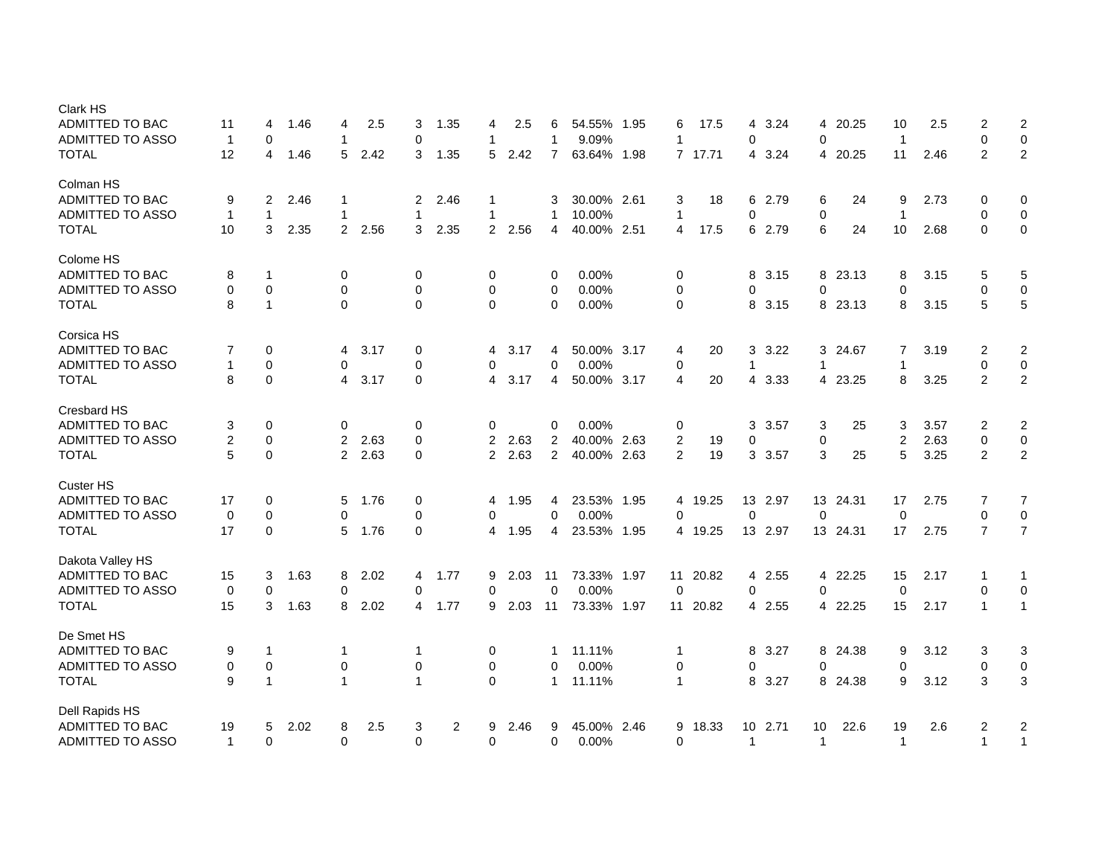| <b>Clark HS</b>         |                |              |      |                |      |             |                |                |      |                |             |      |                |          |                 |         |                |          |                |      |                |                         |
|-------------------------|----------------|--------------|------|----------------|------|-------------|----------------|----------------|------|----------------|-------------|------|----------------|----------|-----------------|---------|----------------|----------|----------------|------|----------------|-------------------------|
| <b>ADMITTED TO BAC</b>  | 11             | 4            | 1.46 | 4              | 2.5  | 3           | 1.35           | 4              | 2.5  | 6              | 54.55%      | 1.95 | 6              | 17.5     | 4               | 3.24    | 4              | 20.25    | 10             | 2.5  | 2              | $\overline{\mathbf{c}}$ |
| ADMITTED TO ASSO        | $\mathbf 1$    | 0            |      | 1              |      | 0           |                | 1              |      | 1              | 9.09%       |      | 1              |          | 0               |         | 0              |          | $\overline{1}$ |      | $\mathbf 0$    | $\mathbf 0$             |
| <b>TOTAL</b>            | 12             | 4            | 1.46 | 5              | 2.42 | 3           | 1.35           | 5              | 2.42 | $\overline{7}$ | 63.64% 1.98 |      |                | 7 17.71  | 4               | 3.24    | $\overline{4}$ | 20.25    | 11             | 2.46 | $\overline{2}$ | $\boldsymbol{2}$        |
| Colman HS               |                |              |      |                |      |             |                |                |      |                |             |      |                |          |                 |         |                |          |                |      |                |                         |
| <b>ADMITTED TO BAC</b>  | 9              | 2            | 2.46 | 1              |      | 2           | 2.46           | 1              |      | 3              | 30.00% 2.61 |      | 3              | 18       | 6               | 2.79    | 6              | 24       | 9              | 2.73 | 0              | $\mathbf 0$             |
| <b>ADMITTED TO ASSO</b> | $\mathbf{1}$   | $\mathbf{1}$ |      | 1              |      | 1           |                | 1              |      | 1              | 10.00%      |      | $\overline{1}$ |          | 0               |         | $\mathbf 0$    |          | $\mathbf 1$    |      | $\mathbf 0$    | 0                       |
| <b>TOTAL</b>            | 10             | 3            | 2.35 | $\overline{2}$ | 2.56 | 3           | 2.35           | $\overline{2}$ | 2.56 | 4              | 40.00% 2.51 |      | $\overline{4}$ | 17.5     | 6               | 2.79    | 6              | 24       | 10             | 2.68 | $\Omega$       | $\pmb{0}$               |
| Colome HS               |                |              |      |                |      |             |                |                |      |                |             |      |                |          |                 |         |                |          |                |      |                |                         |
| ADMITTED TO BAC         | 8              | $\mathbf 1$  |      | 0              |      | 0           |                | 0              |      | 0              | 0.00%       |      | 0              |          | 8               | 3.15    |                | 8 23.13  | 8              | 3.15 | 5              | 5                       |
| ADMITTED TO ASSO        | $\mathbf 0$    | $\mathbf 0$  |      | 0              |      | 0           |                | 0              |      | 0              | 0.00%       |      | 0              |          | 0               |         | $\mathbf 0$    |          | $\Omega$       |      | $\mathbf 0$    | 0                       |
| <b>TOTAL</b>            | 8              | $\mathbf{1}$ |      | $\Omega$       |      | $\Omega$    |                | $\Omega$       |      | $\Omega$       | 0.00%       |      | $\Omega$       |          | 8               | 3.15    |                | 8 23.13  | 8              | 3.15 | 5              | $\mathbf 5$             |
| Corsica HS              |                |              |      |                |      |             |                |                |      |                |             |      |                |          |                 |         |                |          |                |      |                |                         |
| ADMITTED TO BAC         | 7              | 0            |      | 4              | 3.17 | $\mathbf 0$ |                | 4              | 3.17 | 4              | 50.00% 3.17 |      | 4              | 20       | 3               | 3.22    |                | 3 24.67  | 7              | 3.19 | $\overline{2}$ | $\boldsymbol{2}$        |
| ADMITTED TO ASSO        | 1              | $\Omega$     |      | 0              |      | $\Omega$    |                | 0              |      | $\Omega$       | 0.00%       |      | 0              |          | $\mathbf{1}$    |         | $\mathbf 1$    |          | $\mathbf 1$    |      | $\mathbf 0$    | $\mathbf 0$             |
| <b>TOTAL</b>            | 8              | $\pmb{0}$    |      | 4              | 3.17 | $\mathbf 0$ |                | 4              | 3.17 | 4              | 50.00% 3.17 |      | $\overline{4}$ | 20       | 4               | 3.33    | 4              | 23.25    | 8              | 3.25 | $\overline{2}$ | $\boldsymbol{2}$        |
| Cresbard HS             |                |              |      |                |      |             |                |                |      |                |             |      |                |          |                 |         |                |          |                |      |                |                         |
| <b>ADMITTED TO BAC</b>  | 3              | 0            |      | 0              |      | $\mathbf 0$ |                | 0              |      | 0              | 0.00%       |      | 0              |          | 3               | 3.57    | 3              | 25       | 3              | 3.57 | 2              | $\overline{c}$          |
| <b>ADMITTED TO ASSO</b> | $\overline{2}$ | $\mathbf 0$  |      | 2              | 2.63 | $\mathbf 0$ |                | 2              | 2.63 | $\overline{2}$ | 40.00% 2.63 |      | $\overline{c}$ | 19       | 0               |         | $\pmb{0}$      |          | $\overline{2}$ | 2.63 | 0              | $\mathbf 0$             |
| <b>TOTAL</b>            | 5              | $\Omega$     |      | $\overline{2}$ | 2.63 | $\Omega$    |                | $\overline{2}$ | 2.63 | $\overline{2}$ | 40.00% 2.63 |      | 2              | 19       | 3               | 3.57    | 3              | 25       | 5              | 3.25 | 2              | $\overline{c}$          |
| <b>Custer HS</b>        |                |              |      |                |      |             |                |                |      |                |             |      |                |          |                 |         |                |          |                |      |                |                         |
| <b>ADMITTED TO BAC</b>  | 17             | 0            |      | 5              | 1.76 | 0           |                | 4              | 1.95 | 4              | 23.53% 1.95 |      | 4              | 19.25    |                 | 13 2.97 |                | 13 24.31 | 17             | 2.75 | 7              | $\overline{7}$          |
| ADMITTED TO ASSO        | $\mathbf 0$    | $\mathbf 0$  |      | 0              |      | $\mathbf 0$ |                | 0              |      | 0              | 0.00%       |      | $\Omega$       |          | $\mathbf 0$     |         | $\Omega$       |          | $\mathbf 0$    |      | $\mathbf 0$    | $\mathbf 0$             |
| <b>TOTAL</b>            | 17             | $\mathbf 0$  |      | 5              | 1.76 | $\mathbf 0$ |                | 4              | 1.95 | $\overline{4}$ | 23.53% 1.95 |      |                | 4 19.25  |                 | 13 2.97 |                | 13 24.31 | 17             | 2.75 | $\overline{7}$ | $\overline{7}$          |
| Dakota Valley HS        |                |              |      |                |      |             |                |                |      |                |             |      |                |          |                 |         |                |          |                |      |                |                         |
| ADMITTED TO BAC         | 15             | 3            | 1.63 | 8              | 2.02 | 4           | 1.77           | 9              | 2.03 | 11             | 73.33% 1.97 |      | 11             | 20.82    | 4               | 2.55    |                | 4 22.25  | 15             | 2.17 | 1              | 1                       |
| ADMITTED TO ASSO        | 0              | $\mathbf 0$  |      | 0              |      | 0           |                | 0              |      | $\mathbf 0$    | 0.00%       |      | $\mathbf 0$    |          | 0               |         | $\mathbf 0$    |          | $\mathbf 0$    |      | $\mathbf 0$    | $\mathbf 0$             |
| <b>TOTAL</b>            | 15             | 3            | 1.63 | 8              | 2.02 | 4           | 1.77           | 9              | 2.03 | 11             | 73.33% 1.97 |      |                | 11 20.82 |                 | 4 2.55  |                | 4 22.25  | 15             | 2.17 | $\mathbf{1}$   | $\mathbf{1}$            |
| De Smet HS              |                |              |      |                |      |             |                |                |      |                |             |      |                |          |                 |         |                |          |                |      |                |                         |
| <b>ADMITTED TO BAC</b>  | 9              | $\mathbf{1}$ |      | -1             |      | 1           |                | 0              |      | 1              | 11.11%      |      | $\mathbf{1}$   |          | 8               | 3.27    |                | 8 24.38  | 9              | 3.12 | 3              | 3                       |
| ADMITTED TO ASSO        | $\mathbf 0$    | $\mathbf 0$  |      | $\mathbf 0$    |      | 0           |                | 0              |      | 0              | 0.00%       |      | 0              |          | 0               |         | 0              |          | $\Omega$       |      | $\mathbf 0$    | $\mathbf 0$             |
| <b>TOTAL</b>            | 9              | $\mathbf{1}$ |      | 1              |      | 1           |                | $\Omega$       |      | 1              | 11.11%      |      | $\mathbf{1}$   |          | 8               | 3.27    |                | 8 24.38  | 9              | 3.12 | 3              | 3                       |
| Dell Rapids HS          |                |              |      |                |      |             |                |                |      |                |             |      |                |          |                 |         |                |          |                |      |                |                         |
| <b>ADMITTED TO BAC</b>  | 19             | 5            | 2.02 | 8              | 2.5  | 3           | $\overline{2}$ | 9              | 2.46 | 9              | 45.00% 2.46 |      | 9              | 18.33    | 10 <sup>1</sup> | 2.71    | 10             | 22.6     | 19             | 2.6  | $\overline{2}$ | $\overline{c}$          |
| <b>ADMITTED TO ASSO</b> | $\mathbf{1}$   | $\Omega$     |      | $\Omega$       |      | $\Omega$    |                | 0              |      | 0              | 0.00%       |      | $\Omega$       |          | $\mathbf{1}$    |         | $\mathbf{1}$   |          | $\mathbf{1}$   |      | $\mathbf{1}$   | $\mathbf{1}$            |
|                         |                |              |      |                |      |             |                |                |      |                |             |      |                |          |                 |         |                |          |                |      |                |                         |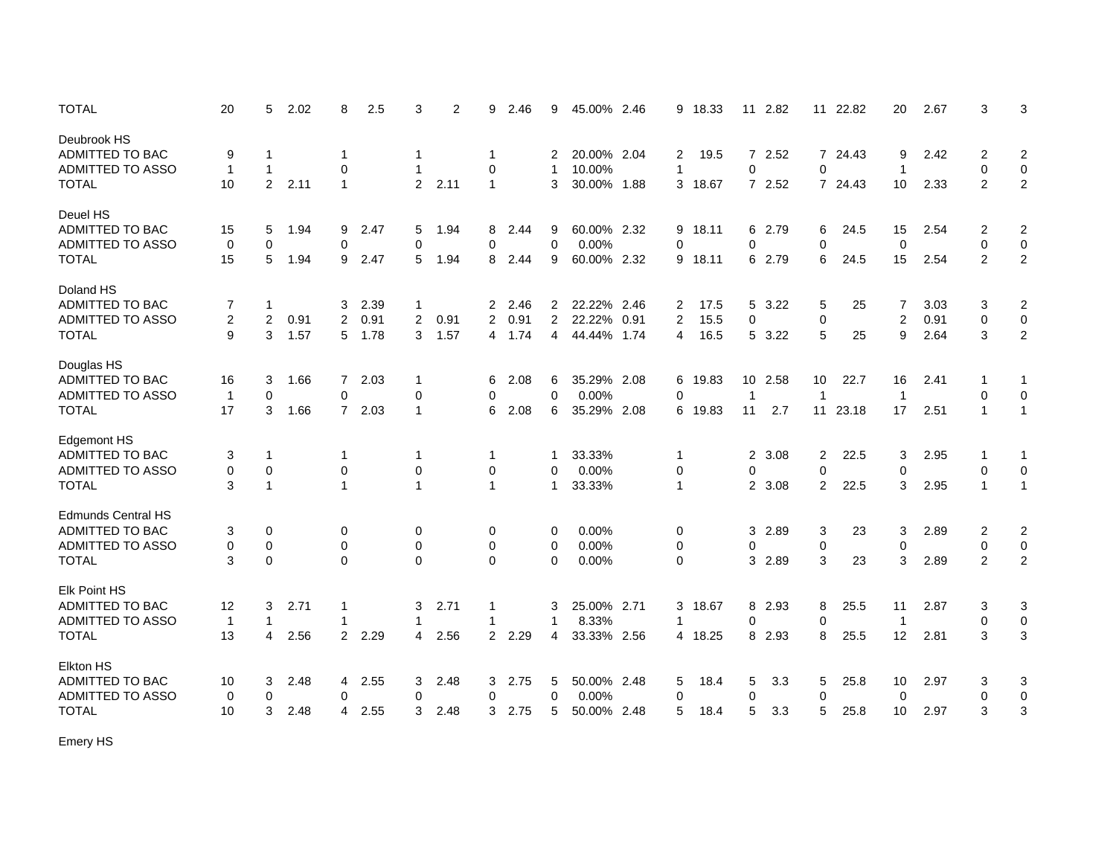| <b>TOTAL</b>              | 20             | 5            | 2.02 | 8            | 2.5    | 3                       | $\overline{2}$ | 9              | 2.46 | 9              | 45.00%      | 2.46 | 9            | 18.33   |                | 11 2.82 |                | 11 22.82 | 20             | 2.67 | 3              | 3                |
|---------------------------|----------------|--------------|------|--------------|--------|-------------------------|----------------|----------------|------|----------------|-------------|------|--------------|---------|----------------|---------|----------------|----------|----------------|------|----------------|------------------|
| Deubrook HS               |                |              |      |              |        |                         |                |                |      |                |             |      |              |         |                |         |                |          |                |      |                |                  |
| ADMITTED TO BAC           | 9              | 1            |      | -1           |        | $\mathbf 1$             |                | 1              |      | 2              | 20.00% 2.04 |      | 2            | 19.5    |                | 7 2.52  |                | 7 24.43  | 9              | 2.42 | 2              | 2                |
| <b>ADMITTED TO ASSO</b>   | $\overline{1}$ | $\mathbf{1}$ |      | 0            |        | $\mathbf 1$             |                | 0              |      | 1              | 10.00%      |      | 1            |         | 0              |         | 0              |          | $\overline{1}$ |      | 0              | $\mathbf 0$      |
| <b>TOTAL</b>              | 10             | 2            | 2.11 | $\mathbf{1}$ |        | $\overline{2}$          | 2.11           | $\mathbf{1}$   |      | 3              | 30.00% 1.88 |      | 3            | 18.67   |                | 7 2.52  |                | 7 24.43  | 10             | 2.33 | $\overline{2}$ | $\overline{2}$   |
| Deuel HS                  |                |              |      |              |        |                         |                |                |      |                |             |      |              |         |                |         |                |          |                |      |                |                  |
| ADMITTED TO BAC           | 15             | 5            | 1.94 | 9            | 2.47   | 5                       | 1.94           | 8              | 2.44 | 9              | 60.00% 2.32 |      | 9            | 18.11   |                | 6 2.79  | 6              | 24.5     | 15             | 2.54 | 2              | $\overline{2}$   |
| <b>ADMITTED TO ASSO</b>   | $\mathbf 0$    | $\mathbf 0$  |      | $\mathbf 0$  |        | $\mathbf 0$             |                | 0              |      | 0              | 0.00%       |      | $\mathbf 0$  |         | $\mathbf 0$    |         | $\mathbf 0$    |          | $\mathbf 0$    |      | $\mathbf 0$    | $\mathbf 0$      |
| <b>TOTAL</b>              | 15             | 5            | 1.94 | 9            | 2.47   | 5                       | 1.94           | 8              | 2.44 | 9              | 60.00% 2.32 |      | 9            | 18.11   |                | 6 2.79  | 6              | 24.5     | 15             | 2.54 | 2              | $\overline{2}$   |
|                           |                |              |      |              |        |                         |                |                |      |                |             |      |              |         |                |         |                |          |                |      |                |                  |
| Doland HS                 |                |              |      |              |        |                         |                |                |      |                |             |      |              |         |                |         |                |          |                |      |                |                  |
| <b>ADMITTED TO BAC</b>    | 7              | -1           |      | 3            | 2.39   | 1                       |                | 2              | 2.46 | $\overline{2}$ | 22.22% 2.46 |      | 2            | 17.5    | 5              | 3.22    | 5              | 25       | 7              | 3.03 | 3              | $\sqrt{2}$       |
| <b>ADMITTED TO ASSO</b>   | 2              | 2            | 0.91 | 2            | 0.91   | $\overline{\mathbf{c}}$ | 0.91           | 2              | 0.91 | $\overline{2}$ | 22.22% 0.91 |      | 2            | 15.5    | 0              |         | $\mathbf 0$    |          | $\overline{c}$ | 0.91 | 0              | $\pmb{0}$        |
| <b>TOTAL</b>              | 9              | 3            | 1.57 | 5            | 1.78   | 3                       | 1.57           | 4              | 1.74 | 4              | 44.44% 1.74 |      | 4            | 16.5    | 5              | 3.22    | 5              | 25       | 9              | 2.64 | 3              | $\sqrt{2}$       |
| Douglas HS                |                |              |      |              |        |                         |                |                |      |                |             |      |              |         |                |         |                |          |                |      |                |                  |
| ADMITTED TO BAC           | 16             | 3            | 1.66 | $7^{\circ}$  | 2.03   | $\mathbf 1$             |                | 6              | 2.08 | 6              | 35.29% 2.08 |      | 6            | 19.83   |                | 10 2.58 | 10             | 22.7     | 16             | 2.41 | -1             | -1               |
| <b>ADMITTED TO ASSO</b>   | $\mathbf{1}$   | 0            |      | 0            |        | $\mathbf 0$             |                | 0              |      | $\Omega$       | 0.00%       |      | $\Omega$     |         | 1              |         | $\mathbf{1}$   |          | $\overline{1}$ |      | 0              | 0                |
| <b>TOTAL</b>              | 17             | 3            | 1.66 |              | 7 2.03 | $\mathbf{1}$            |                | 6              | 2.08 | 6              | 35.29% 2.08 |      | 6            | 19.83   | 11             | 2.7     |                | 11 23.18 | 17             | 2.51 | $\mathbf{1}$   | $\mathbf{1}$     |
|                           |                |              |      |              |        |                         |                |                |      |                |             |      |              |         |                |         |                |          |                |      |                |                  |
| <b>Edgemont HS</b>        |                |              |      |              |        |                         |                |                |      |                |             |      |              |         |                |         |                |          |                |      |                |                  |
| ADMITTED TO BAC           | 3              | -1           |      | -1           |        | -1                      |                | 1              |      | 1              | 33.33%      |      | 1            |         | $\overline{2}$ | 3.08    | 2              | 22.5     | 3              | 2.95 |                | -1               |
| ADMITTED TO ASSO          | 0              | $\mathbf 0$  |      | $\mathbf 0$  |        | $\mathbf 0$             |                | 0              |      | 0              | 0.00%       |      | 0            |         | 0              |         | $\mathbf 0$    |          | $\mathbf 0$    |      | 0              | $\mathbf 0$      |
| <b>TOTAL</b>              | 3              | $\mathbf{1}$ |      | $\mathbf{1}$ |        | $\mathbf{1}$            |                | $\mathbf{1}$   |      | 1              | 33.33%      |      | $\mathbf{1}$ |         | $\mathbf{2}$   | 3.08    | $\overline{2}$ | 22.5     | 3              | 2.95 | $\mathbf{1}$   | $\mathbf{1}$     |
| <b>Edmunds Central HS</b> |                |              |      |              |        |                         |                |                |      |                |             |      |              |         |                |         |                |          |                |      |                |                  |
| ADMITTED TO BAC           | 3              | 0            |      | 0            |        | 0                       |                | 0              |      | 0              | 0.00%       |      | 0            |         | 3              | 2.89    | 3              | 23       | 3              | 2.89 | 2              | $\overline{2}$   |
| ADMITTED TO ASSO          | 0              | $\pmb{0}$    |      | $\mathbf 0$  |        | $\pmb{0}$               |                | $\mathbf 0$    |      | 0              | 0.00%       |      | 0            |         | 0              |         | $\pmb{0}$      |          | $\mathbf 0$    |      | 0              | $\pmb{0}$        |
| <b>TOTAL</b>              | 3              | $\Omega$     |      | $\Omega$     |        | $\Omega$                |                | $\Omega$       |      | $\Omega$       | 0.00%       |      | $\Omega$     |         | 3              | 2.89    | 3              | 23       | 3              | 2.89 | 2              | $\overline{2}$   |
|                           |                |              |      |              |        |                         |                |                |      |                |             |      |              |         |                |         |                |          |                |      |                |                  |
| Elk Point HS              |                |              |      |              |        |                         |                |                |      |                |             |      |              |         |                |         |                |          |                |      |                |                  |
| ADMITTED TO BAC           | 12             | 3            | 2.71 | 1            |        | 3                       | 2.71           | 1              |      | 3              | 25.00% 2.71 |      | 3            | 18.67   | 8              | 2.93    | 8              | 25.5     | 11             | 2.87 | 3              | 3                |
| <b>ADMITTED TO ASSO</b>   | $\overline{1}$ | 1            |      | 1            |        | $\mathbf 1$             |                | 1              |      | 1              | 8.33%       |      | 1            |         | 0              |         | $\mathbf 0$    |          | $\overline{1}$ |      | 0              | $\boldsymbol{0}$ |
| <b>TOTAL</b>              | 13             | 4            | 2.56 |              | 2 2.29 | 4                       | 2.56           | $\overline{2}$ | 2.29 | 4              | 33.33% 2.56 |      |              | 4 18.25 | 8              | 2.93    | 8              | 25.5     | 12             | 2.81 | 3              | 3                |
| Elkton HS                 |                |              |      |              |        |                         |                |                |      |                |             |      |              |         |                |         |                |          |                |      |                |                  |
| ADMITTED TO BAC           | 10             | 3            | 2.48 | 4            | 2.55   | 3                       | 2.48           | 3              | 2.75 | 5              | 50.00% 2.48 |      | 5            | 18.4    | 5              | 3.3     | 5              | 25.8     | 10             | 2.97 | 3              | 3                |
| <b>ADMITTED TO ASSO</b>   | $\mathbf 0$    | $\mathbf 0$  |      | 0            |        | $\mathbf 0$             |                | 0              |      | 0              | 0.00%       |      | 0            |         | $\mathbf 0$    |         | $\mathbf 0$    |          | $\mathbf 0$    |      | $\mathbf 0$    | 0                |
| <b>TOTAL</b>              | 10             | 3            | 2.48 | 4            | 2.55   | 3                       | 2.48           | 3              | 2.75 | 5              | 50.00% 2.48 |      | 5            | 18.4    | 5              | 3.3     | 5              | 25.8     | 10             | 2.97 | 3              | 3                |
|                           |                |              |      |              |        |                         |                |                |      |                |             |      |              |         |                |         |                |          |                |      |                |                  |

Emery HS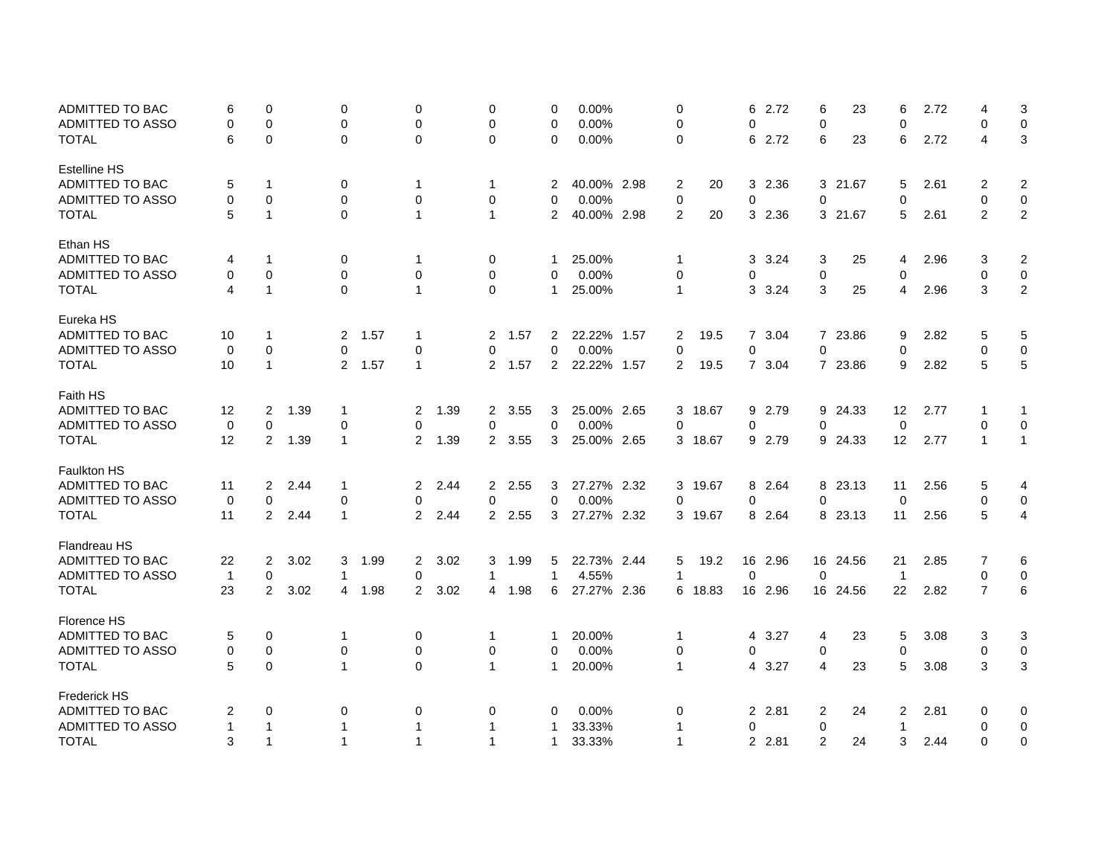| ADMITTED TO BAC         | 6            | 0              |      | 0            |      | 0              |      | 0              |      | 0              | 0.00%       | $\mathbf 0$  |       | 6              | 2.72    | 6              | 23       | 6                       | 2.72 | 4              | 3                       |
|-------------------------|--------------|----------------|------|--------------|------|----------------|------|----------------|------|----------------|-------------|--------------|-------|----------------|---------|----------------|----------|-------------------------|------|----------------|-------------------------|
| ADMITTED TO ASSO        | 0            | $\Omega$       |      | 0            |      | $\mathbf 0$    |      | 0              |      | $\mathbf 0$    | 0.00%       | $\mathbf 0$  |       | $\mathbf 0$    |         | $\mathbf 0$    |          | $\mathbf 0$             |      | $\mathbf 0$    | 0                       |
| <b>TOTAL</b>            | 6            | $\mathbf 0$    |      | $\Omega$     |      | $\mathbf 0$    |      | 0              |      | $\Omega$       | 0.00%       | $\mathbf 0$  |       |                | 6 2.72  | 6              | 23       | 6                       | 2.72 | 4              | 3                       |
| <b>Estelline HS</b>     |              |                |      |              |      |                |      |                |      |                |             |              |       |                |         |                |          |                         |      |                |                         |
| ADMITTED TO BAC         | 5            | $\mathbf 1$    |      | 0            |      | -1             |      | 1              |      | 2              | 40.00% 2.98 | 2            | 20    |                | 3 2.36  |                | 3 21.67  | 5                       | 2.61 | 2              | $\overline{2}$          |
| <b>ADMITTED TO ASSO</b> | 0            | $\mathbf 0$    |      | 0            |      | $\mathbf 0$    |      | 0              |      | $\mathbf{0}$   | 0.00%       | $\mathbf 0$  |       | $\mathbf 0$    |         | 0              |          | $\mathbf 0$             |      | 0              | 0                       |
| <b>TOTAL</b>            | 5            | $\mathbf{1}$   |      | $\Omega$     |      | $\mathbf 1$    |      | $\mathbf{1}$   |      | $\overline{2}$ | 40.00% 2.98 | 2            | 20    | 3              | 2.36    |                | 3 21.67  | 5                       | 2.61 | 2              | $\overline{2}$          |
| Ethan HS                |              |                |      |              |      |                |      |                |      |                |             |              |       |                |         |                |          |                         |      |                |                         |
| ADMITTED TO BAC         | 4            | $\mathbf 1$    |      | 0            |      | $\mathbf 1$    |      | 0              |      | 1              | 25.00%      | 1            |       | 3              | 3.24    | 3              | 25       | 4                       | 2.96 | 3              | $\overline{\mathbf{c}}$ |
| ADMITTED TO ASSO        | 0            | $\mathbf 0$    |      | 0            |      | $\mathbf 0$    |      | $\mathbf 0$    |      | $\mathbf 0$    | 0.00%       | 0            |       | 0              |         | $\mathbf 0$    |          | $\mathbf 0$             |      | $\pmb{0}$      | $\mathsf{O}$            |
| <b>TOTAL</b>            | 4            | $\mathbf{1}$   |      | $\Omega$     |      | $\mathbf 1$    |      | $\Omega$       |      | $\mathbf{1}$   | 25.00%      | $\mathbf{1}$ |       | 3              | 3.24    | 3              | 25       | 4                       | 2.96 | 3              | $\overline{2}$          |
| Eureka HS               |              |                |      |              |      |                |      |                |      |                |             |              |       |                |         |                |          |                         |      |                |                         |
| ADMITTED TO BAC         | 10           | $\mathbf 1$    |      | 2            | 1.57 | $\mathbf 1$    |      | $\overline{2}$ | 1.57 | 2              | 22.22% 1.57 | 2            | 19.5  | $\overline{7}$ | 3.04    | $\mathbf{7}$   | 23.86    | 9                       | 2.82 | 5              | 5                       |
| <b>ADMITTED TO ASSO</b> | 0            | $\mathbf 0$    |      | $\Omega$     |      | 0              |      | $\Omega$       |      | 0              | 0.00%       | $\mathbf 0$  |       | $\mathbf 0$    |         | $\Omega$       |          | $\mathbf 0$             |      | 0              | 0                       |
| <b>TOTAL</b>            | 10           | $\mathbf{1}$   |      | 2            | 1.57 | $\mathbf 1$    |      | $\overline{2}$ | 1.57 | $\overline{2}$ | 22.22% 1.57 | 2            | 19.5  |                | 7 3.04  |                | 7 23.86  | 9                       | 2.82 | 5              | 5                       |
| Faith HS                |              |                |      |              |      |                |      |                |      |                |             |              |       |                |         |                |          |                         |      |                |                         |
| ADMITTED TO BAC         | 12           | 2              | 1.39 | 1            |      | $\overline{2}$ | 1.39 | $\overline{2}$ | 3.55 | 3              | 25.00% 2.65 | 3            | 18.67 |                | 9 2.79  |                | 9 24.33  | 12                      | 2.77 | -1             | -1                      |
| <b>ADMITTED TO ASSO</b> | 0            | $\mathbf 0$    |      | 0            |      | 0              |      | 0              |      | $\Omega$       | 0.00%       | $\Omega$     |       | $\Omega$       |         | $\Omega$       |          | $\mathbf 0$             |      | $\Omega$       | $\mathbf 0$             |
| <b>TOTAL</b>            | 12           | 2              | 1.39 | $\mathbf 1$  |      | $\overline{2}$ | 1.39 | $\overline{2}$ | 3.55 | 3              | 25.00% 2.65 | 3            | 18.67 |                | 9 2.79  |                | 9 24.33  | 12                      | 2.77 | $\mathbf{1}$   | $\mathbf{1}$            |
| <b>Faulkton HS</b>      |              |                |      |              |      |                |      |                |      |                |             |              |       |                |         |                |          |                         |      |                |                         |
| ADMITTED TO BAC         | 11           | $\overline{2}$ | 2.44 | 1            |      | 2              | 2.44 | $\overline{2}$ | 2.55 | 3              | 27.27% 2.32 | 3            | 19.67 | 8              | 2.64    |                | 8 23.13  | 11                      | 2.56 | 5              | 4                       |
| ADMITTED TO ASSO        | 0            | $\mathbf 0$    |      | 0            |      | $\mathbf 0$    |      | 0              |      | 0              | 0.00%       | $\mathbf 0$  |       | 0              |         | $\mathbf 0$    |          | $\mathbf 0$             |      | 0              | $\mathbf 0$             |
| <b>TOTAL</b>            | 11           | 2              | 2.44 | $\mathbf{1}$ |      | 2              | 2.44 | $\overline{2}$ | 2.55 | 3              | 27.27% 2.32 | 3            | 19.67 | 8              | 2.64    |                | 8 23.13  | 11                      | 2.56 | 5              | 4                       |
| <b>Flandreau HS</b>     |              |                |      |              |      |                |      |                |      |                |             |              |       |                |         |                |          |                         |      |                |                         |
| ADMITTED TO BAC         | 22           | 2              | 3.02 | 3            | 1.99 | 2              | 3.02 | 3              | 1.99 | 5              | 22.73% 2.44 | 5            | 19.2  |                | 16 2.96 |                | 16 24.56 | 21                      | 2.85 | 7              | 6                       |
| ADMITTED TO ASSO        | $\mathbf{1}$ | $\mathbf 0$    |      | 1            |      | $\mathbf 0$    |      | $\mathbf{1}$   |      | $\mathbf{1}$   | 4.55%       | $\mathbf{1}$ |       | $\mathbf 0$    |         | $\mathbf 0$    |          | $\overline{1}$          |      | 0              | 0                       |
| <b>TOTAL</b>            | 23           | 2              | 3.02 | 4            | 1.98 | 2              | 3.02 | 4              | 1.98 | 6              | 27.27% 2.36 | 6            | 18.83 |                | 16 2.96 |                | 16 24.56 | 22                      | 2.82 | $\overline{7}$ | 6                       |
| Florence HS             |              |                |      |              |      |                |      |                |      |                |             |              |       |                |         |                |          |                         |      |                |                         |
| ADMITTED TO BAC         | 5            | $\mathbf 0$    |      | 1            |      | 0              |      | 1              |      | 1              | 20.00%      | $\mathbf{1}$ |       | 4              | 3.27    | 4              | 23       | $\sqrt{5}$              | 3.08 | 3              | 3                       |
| ADMITTED TO ASSO        | 0            | $\mathbf 0$    |      | 0            |      | $\mathbf 0$    |      | 0              |      | 0              | 0.00%       | $\mathbf 0$  |       | 0              |         | $\mathbf 0$    |          | $\mathbf 0$             |      | $\mathbf 0$    | $\mathbf 0$             |
| <b>TOTAL</b>            | 5            | $\Omega$       |      | $\mathbf 1$  |      | $\Omega$       |      | $\mathbf{1}$   |      | 1              | 20.00%      | $\mathbf{1}$ |       | 4              | 3.27    | 4              | 23       | 5                       | 3.08 | 3              | 3                       |
| <b>Frederick HS</b>     |              |                |      |              |      |                |      |                |      |                |             |              |       |                |         |                |          |                         |      |                |                         |
| ADMITTED TO BAC         | 2            | 0              |      | 0            |      | 0              |      | 0              |      | 0              | 0.00%       | 0            |       | $\mathbf{2}$   | 2.81    | $\overline{c}$ | 24       | $\overline{\mathbf{c}}$ | 2.81 | 0              | 0                       |
| <b>ADMITTED TO ASSO</b> | 1            | $\mathbf 1$    |      | -1           |      | $\mathbf 1$    |      | -1             |      |                | 33.33%      | $\mathbf 1$  |       | $\mathbf 0$    |         | $\pmb{0}$      |          | $\mathbf 1$             |      | 0              | $\mathbf 0$             |
| <b>TOTAL</b>            | 3            | $\mathbf{1}$   |      | 1            |      | $\mathbf 1$    |      | 1              |      | 1              | 33.33%      | $\mathbf{1}$ |       |                | 2 2.81  | $\overline{2}$ | 24       | 3                       | 2.44 | 0              | $\mathbf 0$             |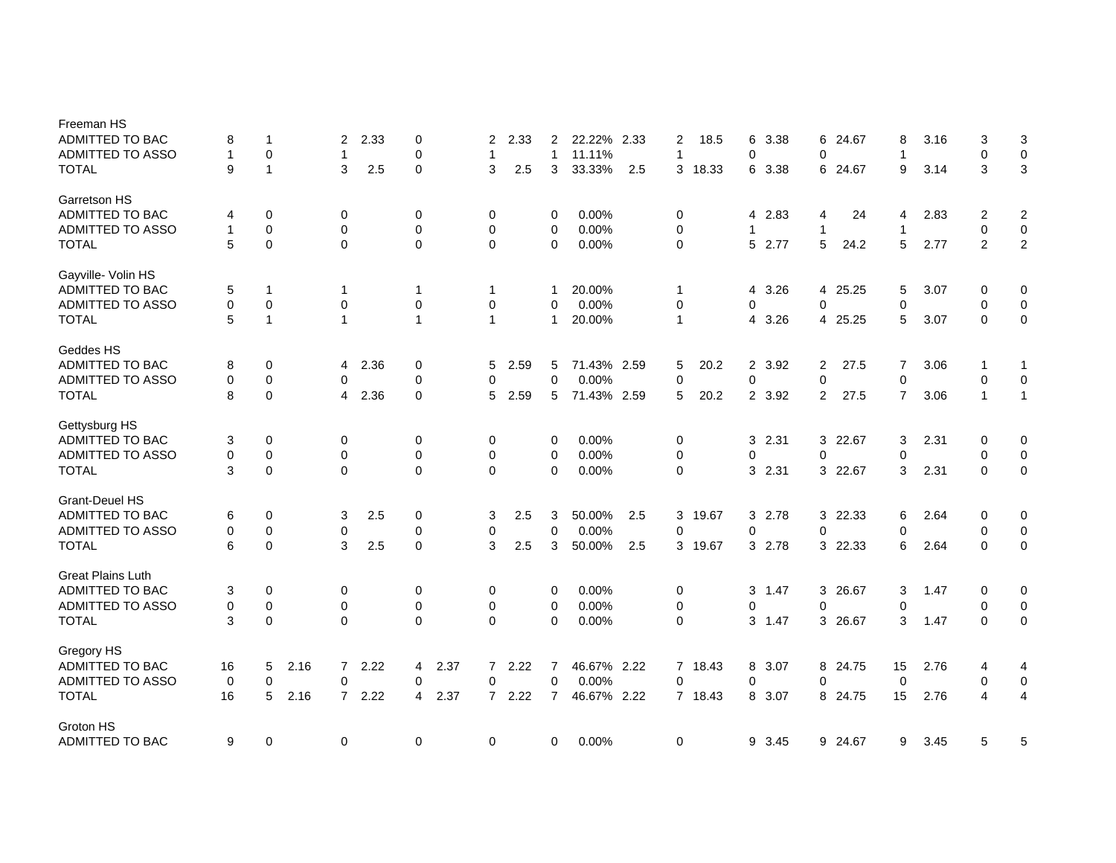| Freeman HS<br>ADMITTED TO BAC<br>ADMITTED TO ASSO | 8<br>$\mathbf{1}$ | $\mathbf 1$<br>$\mathbf 0$ |      | 2<br>$\mathbf{1}$ | 2.33 | 0<br>$\mathbf 0$ |      | 2<br>1         | 2.33 | 2<br>$\mathbf{1}$ | 22.22% 2.33<br>11.11% |     | 2<br>$\mathbf{1}$ | 18.5    | 6<br>$\Omega$  | 3.38   | $\mathbf 0$  | 6 24.67 | 8<br>1         | 3.16 | 3<br>$\mathbf 0$ | 3<br>$\pmb{0}$          |
|---------------------------------------------------|-------------------|----------------------------|------|-------------------|------|------------------|------|----------------|------|-------------------|-----------------------|-----|-------------------|---------|----------------|--------|--------------|---------|----------------|------|------------------|-------------------------|
| <b>TOTAL</b>                                      | 9                 | $\overline{1}$             |      | 3                 | 2.5  | $\mathbf 0$      |      | 3              | 2.5  | 3                 | 33.33%                | 2.5 | 3                 | 18.33   | 6              | 3.38   |              | 6 24.67 | 9              | 3.14 | 3                | $\mathbf{3}$            |
| Garretson HS                                      |                   |                            |      |                   |      |                  |      |                |      |                   |                       |     |                   |         |                |        |              |         |                |      |                  |                         |
| ADMITTED TO BAC                                   | 4                 | 0                          |      | 0                 |      | 0                |      | 0              |      | 0                 | 0.00%                 |     | $\mathbf 0$       |         | 4              | 2.83   | 4            | 24      | 4              | 2.83 | 2                | $\overline{2}$          |
| <b>ADMITTED TO ASSO</b>                           | $\mathbf{1}$      | $\mathbf 0$                |      | 0                 |      | $\mathbf 0$      |      | $\mathbf 0$    |      | $\mathbf 0$       | 0.00%                 |     | $\mathbf 0$       |         | $\overline{1}$ |        | $\mathbf{1}$ |         | 1              |      | $\mathbf 0$      | $\mathbf 0$             |
| <b>TOTAL</b>                                      | 5                 | $\mathbf 0$                |      | $\Omega$          |      | $\mathbf 0$      |      | $\Omega$       |      | $\Omega$          | 0.00%                 |     | $\mathbf 0$       |         | 5              | 2.77   | 5            | 24.2    | 5              | 2.77 | 2                | $\overline{2}$          |
| Gayville- Volin HS                                |                   |                            |      |                   |      |                  |      |                |      |                   |                       |     |                   |         |                |        |              |         |                |      |                  |                         |
| ADMITTED TO BAC                                   | 5                 | $\mathbf 1$                |      | 1                 |      | $\mathbf 1$      |      | 1              |      | 1                 | 20.00%                |     | $\mathbf 1$       |         | 4              | 3.26   |              | 4 25.25 | 5              | 3.07 | 0                | 0                       |
| ADMITTED TO ASSO                                  | $\mathbf 0$       | $\mathbf 0$                |      | 0                 |      | $\mathbf 0$      |      | $\mathbf 0$    |      | $\Omega$          | 0.00%                 |     | $\mathbf 0$       |         | $\Omega$       |        | $\Omega$     |         | $\Omega$       |      | $\mathbf 0$      | $\mathbf 0$             |
| <b>TOTAL</b>                                      | 5                 | $\overline{1}$             |      | 1                 |      | $\overline{1}$   |      | $\mathbf{1}$   |      | $\mathbf{1}$      | 20.00%                |     | $\mathbf{1}$      |         | 4              | 3.26   |              | 4 25.25 | 5              | 3.07 | $\Omega$         | 0                       |
| Geddes HS                                         |                   |                            |      |                   |      |                  |      |                |      |                   |                       |     |                   |         |                |        |              |         |                |      |                  |                         |
| ADMITTED TO BAC                                   | 8                 | 0                          |      | 4                 | 2.36 | 0                |      | 5              | 2.59 | 5                 | 71.43% 2.59           |     | 5                 | 20.2    | $\overline{2}$ | 3.92   | 2            | 27.5    | 7              | 3.06 | -1               | 1                       |
| ADMITTED TO ASSO                                  | $\mathbf 0$       | $\mathbf 0$                |      | 0                 |      | $\mathbf 0$      |      | 0              |      | $\overline{0}$    | 0.00%                 |     | $\mathbf 0$       |         | 0              |        | $\mathbf 0$  |         | $\mathbf 0$    |      | $\mathbf 0$      | 0                       |
| <b>TOTAL</b>                                      | 8                 | $\mathbf 0$                |      | 4                 | 2.36 | $\mathbf 0$      |      | 5              | 2.59 | 5                 | 71.43% 2.59           |     | 5                 | 20.2    | $\overline{2}$ | 3.92   | 2            | 27.5    | $\overline{7}$ | 3.06 | $\mathbf{1}$     | $\mathbf{1}$            |
| Gettysburg HS                                     |                   |                            |      |                   |      |                  |      |                |      |                   |                       |     |                   |         |                |        |              |         |                |      |                  |                         |
| ADMITTED TO BAC                                   | 3                 | 0                          |      | 0                 |      | 0                |      | 0              |      | 0                 | 0.00%                 |     | 0                 |         | 3              | 2.31   |              | 3 22.67 | 3              | 2.31 | 0                | $\mathbf 0$             |
| ADMITTED TO ASSO                                  | 0                 | 0                          |      | 0                 |      | 0                |      | 0              |      | 0                 | 0.00%                 |     | 0                 |         | 0              |        | $\mathbf 0$  |         | $\Omega$       |      | 0                | 0                       |
| <b>TOTAL</b>                                      | 3                 | $\mathbf 0$                |      | $\Omega$          |      | $\Omega$         |      | $\Omega$       |      | $\Omega$          | 0.00%                 |     | $\mathbf 0$       |         |                | 3 2.31 |              | 3 22.67 | 3              | 2.31 | $\Omega$         | $\pmb{0}$               |
| <b>Grant-Deuel HS</b>                             |                   |                            |      |                   |      |                  |      |                |      |                   |                       |     |                   |         |                |        |              |         |                |      |                  |                         |
| ADMITTED TO BAC                                   | 6                 | 0                          |      | 3                 | 2.5  | 0                |      | 3              | 2.5  | 3                 | 50.00%                | 2.5 | 3                 | 19.67   | 3              | 2.78   |              | 3 22.33 | 6              | 2.64 | 0                | 0                       |
| ADMITTED TO ASSO                                  | 0                 | $\mathbf 0$                |      | $\mathbf 0$       |      | 0                |      | 0              |      | $\mathbf 0$       | 0.00%                 |     | $\mathbf 0$       |         | 0              |        | $\mathbf 0$  |         | 0              |      | 0                | $\pmb{0}$               |
| <b>TOTAL</b>                                      | 6                 | $\mathbf 0$                |      | 3                 | 2.5  | $\mathbf 0$      |      | 3              | 2.5  | 3                 | 50.00%                | 2.5 |                   | 3 19.67 | 3              | 2.78   |              | 3 22.33 | 6              | 2.64 | $\Omega$         | $\pmb{0}$               |
| <b>Great Plains Luth</b>                          |                   |                            |      |                   |      |                  |      |                |      |                   |                       |     |                   |         |                |        |              |         |                |      |                  |                         |
| ADMITTED TO BAC                                   | 3                 | 0                          |      | 0                 |      | 0                |      | 0              |      | 0                 | 0.00%                 |     | 0                 |         | 3              | 1.47   |              | 3 26.67 | 3              | 1.47 | 0                | 0                       |
| ADMITTED TO ASSO                                  | 0                 | $\mathbf 0$                |      | 0                 |      | 0                |      | 0              |      | 0                 | 0.00%                 |     | 0                 |         | 0              |        | 0            |         | 0              |      | 0                | $\,0\,$                 |
| <b>TOTAL</b>                                      | 3                 | $\mathbf 0$                |      | $\Omega$          |      | $\Omega$         |      | $\mathbf 0$    |      | $\Omega$          | 0.00%                 |     | $\mathbf 0$       |         |                | 3 1.47 |              | 3 26.67 | 3              | 1.47 | $\Omega$         | $\mathbf 0$             |
| Gregory HS                                        |                   |                            |      |                   |      |                  |      |                |      |                   |                       |     |                   |         |                |        |              |         |                |      |                  |                         |
| ADMITTED TO BAC                                   | 16                | 5                          | 2.16 | 7                 | 2.22 | 4                | 2.37 | $\overline{7}$ | 2.22 | 7                 | 46.67% 2.22           |     | $\overline{7}$    | 18.43   | 8              | 3.07   |              | 8 24.75 | 15             | 2.76 | 4                | 4                       |
| ADMITTED TO ASSO                                  | 0                 | 0                          |      | 0                 |      | 0                |      | 0              |      | $\mathbf 0$       | 0.00%                 |     | $\mathbf 0$       |         | 0              |        | 0            |         | 0              |      | 0                | $\pmb{0}$               |
| <b>TOTAL</b>                                      | 16                | 5                          | 2.16 | $7^{\circ}$       | 2.22 | 4                | 2.37 | $\overline{7}$ | 2.22 | $\overline{7}$    | 46.67% 2.22           |     |                   | 7 18.43 | 8              | 3.07   |              | 8 24.75 | 15             | 2.76 | 4                | $\overline{\mathbf{4}}$ |
| Groton HS                                         |                   |                            |      |                   |      |                  |      |                |      |                   |                       |     |                   |         |                |        |              |         |                |      |                  |                         |
| ADMITTED TO BAC                                   | 9                 | 0                          |      | 0                 |      | 0                |      | 0              |      | 0                 | 0.00%                 |     | 0                 |         | 9              | 3.45   |              | 9 24.67 | 9              | 3.45 | 5                | 5                       |
|                                                   |                   |                            |      |                   |      |                  |      |                |      |                   |                       |     |                   |         |                |        |              |         |                |      |                  |                         |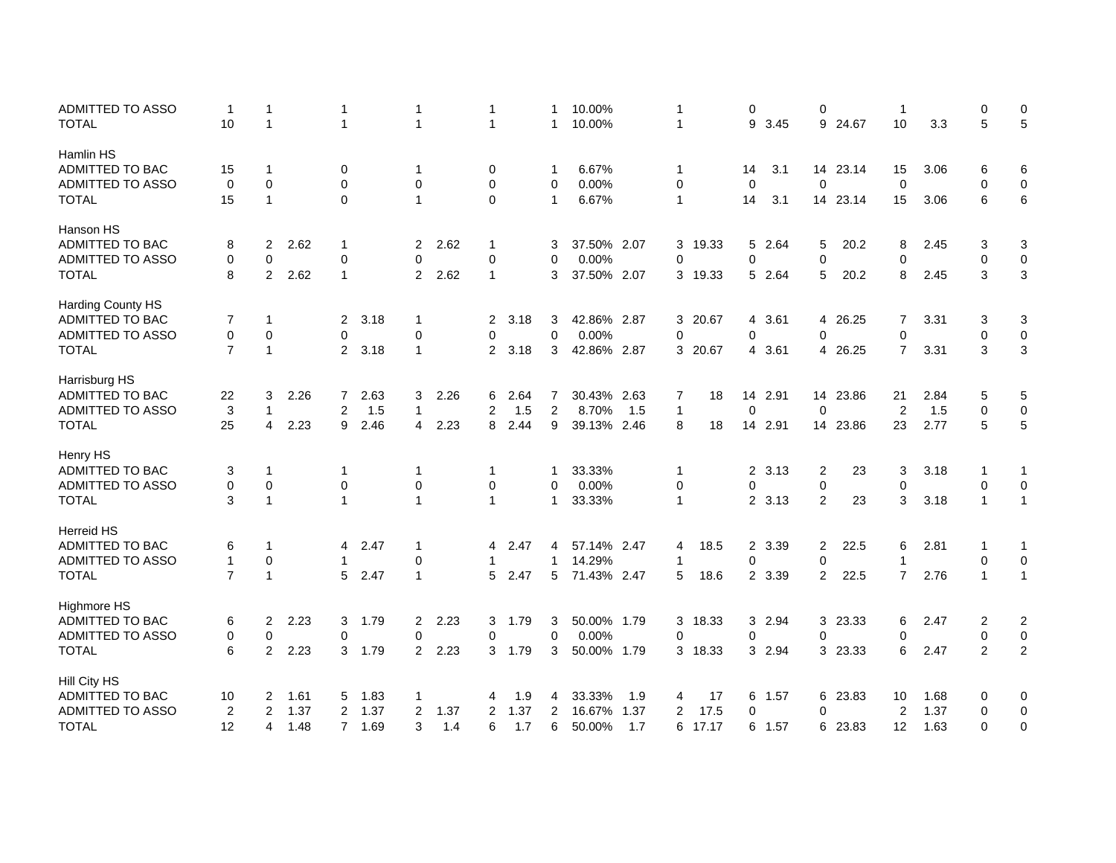| <b>ADMITTED TO ASSO</b> | -1             | -1             |      | 1              |      | $\mathbf 1$    |      | 1              |      | 1              | 10.00%      |      | 1            |         | 0              |         | 0           |          | $\overline{1}$ |      | $\pmb{0}$      | 0                |
|-------------------------|----------------|----------------|------|----------------|------|----------------|------|----------------|------|----------------|-------------|------|--------------|---------|----------------|---------|-------------|----------|----------------|------|----------------|------------------|
| <b>TOTAL</b>            | 10             | $\mathbf{1}$   |      | 1              |      | $\mathbf 1$    |      | $\mathbf{1}$   |      | 1              | 10.00%      |      | 1            |         | 9              | 3.45    | 9           | 24.67    | 10             | 3.3  | 5              | $\mathbf 5$      |
| Hamlin HS               |                |                |      |                |      |                |      |                |      |                |             |      |              |         |                |         |             |          |                |      |                |                  |
| ADMITTED TO BAC         | 15             | -1             |      | 0              |      | 1              |      | 0              |      | 1              | 6.67%       |      | 1            |         | 14             | 3.1     |             | 14 23.14 | 15             | 3.06 | 6              | 6                |
| <b>ADMITTED TO ASSO</b> | $\mathbf 0$    | $\mathbf 0$    |      | 0              |      | 0              |      | 0              |      | 0              | 0.00%       |      | 0            |         | $\mathbf 0$    |         | 0           |          | $\mathbf 0$    |      | 0              | $\mathbf 0$      |
| <b>TOTAL</b>            | 15             | $\mathbf{1}$   |      | 0              |      | $\mathbf{1}$   |      | 0              |      | 1              | 6.67%       |      | 1            |         | 14             | 3.1     |             | 14 23.14 | 15             | 3.06 | 6              | 6                |
| Hanson HS               |                |                |      |                |      |                |      |                |      |                |             |      |              |         |                |         |             |          |                |      |                |                  |
| <b>ADMITTED TO BAC</b>  | 8              | $\overline{2}$ | 2.62 | $\mathbf{1}$   |      | 2              | 2.62 | 1              |      | 3              | 37.50% 2.07 |      | 3            | 19.33   |                | 5 2.64  | 5           | 20.2     | 8              | 2.45 | 3              | 3                |
| ADMITTED TO ASSO        | 0              | $\mathbf 0$    |      | 0              |      | $\overline{0}$ |      | 0              |      | 0              | 0.00%       |      | $\mathbf 0$  |         | $\mathbf 0$    |         | $\mathbf 0$ |          | $\mathbf 0$    |      | $\mathbf 0$    | $\boldsymbol{0}$ |
| <b>TOTAL</b>            | 8              | 2              | 2.62 | $\mathbf{1}$   |      | $\overline{2}$ | 2.62 | $\mathbf{1}$   |      | 3              | 37.50% 2.07 |      | 3            | 19.33   | 5              | 2.64    | 5           | 20.2     | 8              | 2.45 | 3              | $\sqrt{3}$       |
| Harding County HS       |                |                |      |                |      |                |      |                |      |                |             |      |              |         |                |         |             |          |                |      |                |                  |
| ADMITTED TO BAC         | 7              | 1              |      | $\overline{2}$ | 3.18 | 1              |      | 2              | 3.18 | 3              | 42.86% 2.87 |      | 3            | 20.67   | 4              | 3.61    | 4           | 26.25    | 7              | 3.31 | 3              | 3                |
| ADMITTED TO ASSO        | 0              | $\mathbf 0$    |      | $\mathbf 0$    |      | $\mathbf 0$    |      | 0              |      | 0              | 0.00%       |      | $\mathbf 0$  |         | $\mathbf 0$    |         | $\Omega$    |          | $\mathbf 0$    |      | 0              | 0                |
| <b>TOTAL</b>            | $\overline{7}$ | $\mathbf{1}$   |      | $\overline{2}$ | 3.18 | $\mathbf{1}$   |      | $\overline{2}$ | 3.18 | 3              | 42.86% 2.87 |      |              | 3 20.67 | $\overline{4}$ | 3.61    |             | 4 26.25  | $\overline{7}$ | 3.31 | 3              | 3                |
| Harrisburg HS           |                |                |      |                |      |                |      |                |      |                |             |      |              |         |                |         |             |          |                |      |                |                  |
| ADMITTED TO BAC         | 22             | 3              | 2.26 | $\overline{7}$ | 2.63 | 3              | 2.26 | 6              | 2.64 | 7              | 30.43% 2.63 |      | 7            | 18      | 14             | 2.91    |             | 14 23.86 | 21             | 2.84 | 5              | $\mathbf 5$      |
| ADMITTED TO ASSO        | 3              | $\mathbf 1$    |      | 2              | 1.5  | $\mathbf{1}$   |      | $\overline{2}$ | 1.5  | $\overline{2}$ | 8.70%       | 1.5  | $\mathbf{1}$ |         | $\mathbf 0$    |         | $\mathbf 0$ |          | $\overline{2}$ | 1.5  | $\pmb{0}$      | $\pmb{0}$        |
| TOTAL                   | 25             | 4              | 2.23 | 9              | 2.46 | 4              | 2.23 | 8              | 2.44 | 9              | 39.13% 2.46 |      | 8            | 18      |                | 14 2.91 |             | 14 23.86 | 23             | 2.77 | 5              | $\sqrt{5}$       |
| Henry HS                |                |                |      |                |      |                |      |                |      |                |             |      |              |         |                |         |             |          |                |      |                |                  |
| ADMITTED TO BAC         | 3              | $\mathbf 1$    |      | 1              |      | 1              |      | 1              |      | 1              | 33.33%      |      | $\mathbf{1}$ |         |                | 2 3.13  | 2           | 23       | 3              | 3.18 | $\mathbf 1$    | $\mathbf{1}$     |
| <b>ADMITTED TO ASSO</b> | 0              | 0              |      | 0              |      | $\mathbf 0$    |      | 0              |      | 0              | 0.00%       |      | 0            |         | 0              |         | $\pmb{0}$   |          | $\mathbf 0$    |      | $\mathbf 0$    | $\pmb{0}$        |
| <b>TOTAL</b>            | 3              | $\mathbf{1}$   |      | $\mathbf{1}$   |      | $\mathbf{1}$   |      | $\mathbf{1}$   |      | 1              | 33.33%      |      | $\mathbf{1}$ |         |                | 2 3.13  | 2           | 23       | 3              | 3.18 | $\mathbf{1}$   | $\mathbf{1}$     |
| <b>Herreid HS</b>       |                |                |      |                |      |                |      |                |      |                |             |      |              |         |                |         |             |          |                |      |                |                  |
| ADMITTED TO BAC         | 6              | -1             |      | 4              | 2.47 | $\mathbf 1$    |      | 4              | 2.47 | 4              | 57.14% 2.47 |      | 4            | 18.5    |                | 2 3.39  | 2           | 22.5     | 6              | 2.81 | -1             | -1               |
| <b>ADMITTED TO ASSO</b> | $\mathbf{1}$   | $\mathbf 0$    |      | $\mathbf 1$    |      | $\mathbf 0$    |      | $\mathbf{1}$   |      | $\mathbf{1}$   | 14.29%      |      | 1            |         | 0              |         | 0           |          | $\overline{1}$ |      | $\mathbf 0$    | $\mathbf 0$      |
| <b>TOTAL</b>            | $\overline{7}$ | $\mathbf{1}$   |      | 5              | 2.47 | $\mathbf{1}$   |      | 5              | 2.47 | 5              | 71.43% 2.47 |      | 5            | 18.6    | $\mathbf{2}$   | 3.39    | 2           | 22.5     | $\overline{7}$ | 2.76 | $\mathbf{1}$   | $\mathbf{1}$     |
| <b>Highmore HS</b>      |                |                |      |                |      |                |      |                |      |                |             |      |              |         |                |         |             |          |                |      |                |                  |
| ADMITTED TO BAC         | 6              | $\overline{2}$ | 2.23 | 3              | 1.79 | $\overline{2}$ | 2.23 | 3              | 1.79 | 3              | 50.00% 1.79 |      | 3            | 18.33   | 3              | 2.94    |             | 3 23.33  | 6              | 2.47 | 2              | $\overline{2}$   |
| <b>ADMITTED TO ASSO</b> | 0              | 0              |      | 0              |      | $\mathbf 0$    |      | 0              |      | 0              | 0.00%       |      | 0            |         | 0              |         | 0           |          | 0              |      | 0              | $\pmb{0}$        |
| <b>TOTAL</b>            | 6              | 2              | 2.23 | 3              | 1.79 | $\overline{2}$ | 2.23 | 3              | 1.79 | 3              | 50.00% 1.79 |      | 3            | 18.33   |                | 3 2.94  |             | 3 23.33  | 6              | 2.47 | $\overline{2}$ | $\overline{2}$   |
| Hill City HS            |                |                |      |                |      |                |      |                |      |                |             |      |              |         |                |         |             |          |                |      |                |                  |
| ADMITTED TO BAC         | 10             | $\overline{2}$ | 1.61 | 5              | 1.83 | $\mathbf 1$    |      | 4              | 1.9  | 4              | 33.33%      | 1.9  | 4            | 17      | 6              | 1.57    |             | 6 23.83  | 10             | 1.68 | 0              | 0                |
| <b>ADMITTED TO ASSO</b> | 2              | 2              | 1.37 | 2              | 1.37 | 2              | 1.37 | 2              | 1.37 | $\overline{2}$ | 16.67%      | 1.37 | 2            | 17.5    | $\mathbf 0$    |         | $\mathbf 0$ |          | 2              | 1.37 | $\mathbf 0$    | $\mathbf 0$      |
| <b>TOTAL</b>            | 12             | 4              | 1.48 | $\overline{7}$ | 1.69 | 3              | 1.4  | 6              | 1.7  | 6              | 50.00%      | 1.7  | 6            | 17.17   | 6              | 1.57    |             | 6 23.83  | 12             | 1.63 | $\Omega$       | $\mathbf 0$      |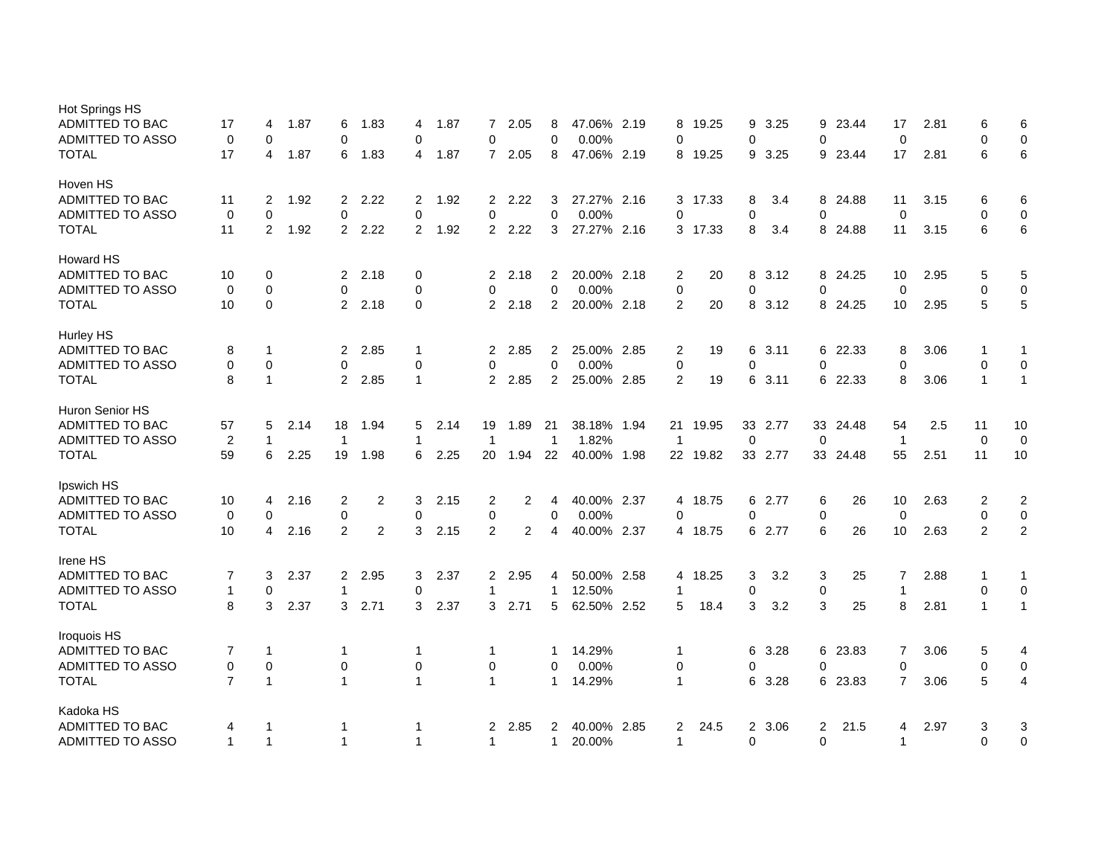| Hot Springs HS          |                |                |      |                |                |                |      |                |      |                |             |                |         |    |         |                |          |                |      |                  |                |
|-------------------------|----------------|----------------|------|----------------|----------------|----------------|------|----------------|------|----------------|-------------|----------------|---------|----|---------|----------------|----------|----------------|------|------------------|----------------|
| <b>ADMITTED TO BAC</b>  | 17             | 4              | 1.87 | 6              | 1.83           | 4              | 1.87 | $\overline{7}$ | 2.05 | 8              | 47.06% 2.19 | 8              | 19.25   | 9  | 3.25    |                | 9 23.44  | 17             | 2.81 | 6                | 6              |
| <b>ADMITTED TO ASSO</b> | 0              | 0              |      | 0              |                | $\mathbf 0$    |      | 0              |      | $\mathbf 0$    | 0.00%       | 0              |         | 0  |         | $\mathbf 0$    |          | $\mathbf 0$    |      | $\mathbf 0$      | $\mathbf 0$    |
| <b>TOTAL</b>            | 17             | 4              | 1.87 | 6              | 1.83           | 4              | 1.87 | $\overline{7}$ | 2.05 | 8              | 47.06% 2.19 | 8              | 19.25   | 9  | 3.25    |                | 9 23.44  | 17             | 2.81 | 6                | 6              |
| Hoven HS                |                |                |      |                |                |                |      |                |      |                |             |                |         |    |         |                |          |                |      |                  |                |
| <b>ADMITTED TO BAC</b>  | 11             | 2              | 1.92 | $\overline{2}$ | 2.22           | $\overline{2}$ | 1.92 | $\overline{2}$ | 2.22 | 3              | 27.27% 2.16 | 3              | 17.33   | 8  | 3.4     |                | 8 24.88  | 11             | 3.15 | 6                | 6              |
| <b>ADMITTED TO ASSO</b> | $\mathbf 0$    | $\mathbf 0$    |      | $\mathbf 0$    |                | $\mathbf 0$    |      | $\mathbf 0$    |      | $\pmb{0}$      | 0.00%       | $\mathbf 0$    |         | 0  |         | $\mathbf 0$    |          | $\mathbf 0$    |      | $\mathbf 0$      | 0              |
| <b>TOTAL</b>            | 11             | $\overline{2}$ | 1.92 | $\overline{2}$ | 2.22           | 2              | 1.92 | $\overline{2}$ | 2.22 | 3              | 27.27% 2.16 |                | 3 17.33 | 8  | 3.4     |                | 8 24.88  | 11             | 3.15 | 6                | 6              |
| <b>Howard HS</b>        |                |                |      |                |                |                |      |                |      |                |             |                |         |    |         |                |          |                |      |                  |                |
| <b>ADMITTED TO BAC</b>  | 10             | 0              |      | $\mathbf{2}$   | 2.18           | 0              |      | $\overline{2}$ | 2.18 | $\overline{2}$ | 20.00% 2.18 | 2              | 20      | 8  | 3.12    |                | 8 24.25  | 10             | 2.95 | 5                | 5              |
| <b>ADMITTED TO ASSO</b> | $\mathbf 0$    | $\pmb{0}$      |      | $\mathbf 0$    |                | $\mathbf 0$    |      | 0              |      | $\mathbf 0$    | 0.00%       | $\mathbf 0$    |         | 0  |         | $\mathbf 0$    |          | $\mathbf 0$    |      | $\mathbf 0$      | $\mathbf 0$    |
| <b>TOTAL</b>            | 10             | $\mathbf 0$    |      | $\overline{2}$ | 2.18           | $\Omega$       |      | $\overline{2}$ | 2.18 | $\overline{2}$ | 20.00% 2.18 | $\overline{2}$ | 20      | 8  | 3.12    |                | 8 24.25  | 10             | 2.95 | 5                | 5              |
| Hurley HS               |                |                |      |                |                |                |      |                |      |                |             |                |         |    |         |                |          |                |      |                  |                |
| <b>ADMITTED TO BAC</b>  | 8              | $\mathbf{1}$   |      | $\overline{2}$ | 2.85           | $\mathbf 1$    |      | $\overline{2}$ | 2.85 | $\overline{2}$ | 25.00% 2.85 | $\overline{c}$ | 19      | 6  | 3.11    |                | 6 22.33  | 8              | 3.06 | 1                | 1              |
| <b>ADMITTED TO ASSO</b> | $\mathbf 0$    | $\mathbf 0$    |      | 0              |                | $\mathbf 0$    |      | 0              |      | $\mathbf 0$    | 0.00%       | $\mathbf 0$    |         | 0  |         | $\mathbf 0$    |          | $\Omega$       |      | $\mathbf 0$      | $\mathbf 0$    |
| <b>TOTAL</b>            | 8              | $\mathbf{1}$   |      | $\overline{2}$ | 2.85           | $\mathbf 1$    |      | $\overline{2}$ | 2.85 | $\overline{2}$ | 25.00% 2.85 | 2              | 19      | 6  | 3.11    | 6              | 22.33    | 8              | 3.06 | 1                | $\mathbf{1}$   |
| <b>Huron Senior HS</b>  |                |                |      |                |                |                |      |                |      |                |             |                |         |    |         |                |          |                |      |                  |                |
| <b>ADMITTED TO BAC</b>  | 57             | 5              | 2.14 | 18             | 1.94           | 5              | 2.14 | 19             | 1.89 | 21             | 38.18% 1.94 | 21             | 19.95   | 33 | 2.77    |                | 33 24.48 | 54             | 2.5  | 11               | 10             |
| <b>ADMITTED TO ASSO</b> | $\overline{2}$ | $\mathbf{1}$   |      | $\overline{1}$ |                | $\mathbf{1}$   |      | 1              |      | $\mathbf{1}$   | 1.82%       | $\overline{1}$ |         | 0  |         | $\Omega$       |          | $\overline{1}$ |      | $\mathbf 0$      | $\mathbf 0$    |
| <b>TOTAL</b>            | 59             | 6              | 2.25 | 19             | 1.98           | 6              | 2.25 | 20             | 1.94 | 22             | 40.00% 1.98 | 22             | 19.82   |    | 33 2.77 |                | 33 24.48 | 55             | 2.51 | 11               | 10             |
| Ipswich HS              |                |                |      |                |                |                |      |                |      |                |             |                |         |    |         |                |          |                |      |                  |                |
| <b>ADMITTED TO BAC</b>  | 10             | $\overline{4}$ | 2.16 | 2              | $\overline{2}$ | 3              | 2.15 | 2              | 2    | 4              | 40.00% 2.37 | 4              | 18.75   | 6  | 2.77    | 6              | 26       | 10             | 2.63 | $\overline{2}$   | $\overline{c}$ |
| <b>ADMITTED TO ASSO</b> | 0              | 0              |      | 0              |                | $\mathbf 0$    |      | 0              |      | 0              | 0.00%       | $\mathbf 0$    |         | 0  |         | 0              |          | $\mathbf 0$    |      | 0                | 0              |
| TOTAL                   | 10             | $\overline{4}$ | 2.16 | 2              | 2              | 3              | 2.15 | 2              | 2    | 4              | 40.00% 2.37 |                | 4 18.75 |    | 6 2.77  | 6              | 26       | 10             | 2.63 | 2                | 2              |
| Irene HS                |                |                |      |                |                |                |      |                |      |                |             |                |         |    |         |                |          |                |      |                  |                |
| <b>ADMITTED TO BAC</b>  | 7              | 3              | 2.37 | $\overline{2}$ | 2.95           | 3              | 2.37 | $\overline{2}$ | 2.95 | 4              | 50.00% 2.58 | 4              | 18.25   | 3  | 3.2     | 3              | 25       | $\overline{7}$ | 2.88 | 1                | 1              |
| <b>ADMITTED TO ASSO</b> | $\mathbf{1}$   | $\mathbf 0$    |      | 1              |                | $\mathbf 0$    |      | 1              |      | $\mathbf{1}$   | 12.50%      | $\overline{1}$ |         | 0  |         | $\pmb{0}$      |          | $\mathbf{1}$   |      | $\mathbf 0$      | $\pmb{0}$      |
| <b>TOTAL</b>            | 8              | 3              | 2.37 | 3              | 2.71           | 3              | 2.37 | 3              | 2.71 | 5              | 62.50% 2.52 | 5              | 18.4    | 3  | 3.2     | 3              | 25       | 8              | 2.81 | $\mathbf{1}$     | $\mathbf{1}$   |
| Iroquois HS             |                |                |      |                |                |                |      |                |      |                |             |                |         |    |         |                |          |                |      |                  |                |
| <b>ADMITTED TO BAC</b>  | 7              | $\mathbf{1}$   |      | 1              |                | $\mathbf 1$    |      | 1              |      | 1              | 14.29%      | $\mathbf 1$    |         | 6  | 3.28    | 6              | 23.83    | 7              | 3.06 | 5                | 4              |
| ADMITTED TO ASSO        | $\mathbf 0$    | $\mathbf 0$    |      | 0              |                | $\mathbf 0$    |      | 0              |      | $\mathbf 0$    | 0.00%       | 0              |         | 0  |         | $\mathbf 0$    |          | $\mathbf 0$    |      | $\boldsymbol{0}$ | $\pmb{0}$      |
| <b>TOTAL</b>            | $\overline{7}$ | $\mathbf{1}$   |      | 1              |                | $\mathbf{1}$   |      | $\mathbf{1}$   |      | 1              | 14.29%      | $\mathbf{1}$   |         | 6  | 3.28    | 6              | 23.83    | $\overline{7}$ | 3.06 | 5                | $\overline{4}$ |
| Kadoka HS               |                |                |      |                |                |                |      |                |      |                |             |                |         |    |         |                |          |                |      |                  |                |
| <b>ADMITTED TO BAC</b>  | 4              | -1             |      | 1              |                | 1              |      | 2              | 2.85 | 2              | 40.00% 2.85 | 2              | 24.5    | 2  | 3.06    | $\overline{2}$ | 21.5     | 4              | 2.97 | 3                | 3              |
| <b>ADMITTED TO ASSO</b> | $\mathbf{1}$   | $\mathbf{1}$   |      | 1              |                | $\mathbf{1}$   |      | $\mathbf{1}$   |      | $\mathbf{1}$   | 20.00%      | $\mathbf{1}$   |         | 0  |         | $\Omega$       |          | $\mathbf{1}$   |      | $\mathbf{0}$     | $\mathbf 0$    |
|                         |                |                |      |                |                |                |      |                |      |                |             |                |         |    |         |                |          |                |      |                  |                |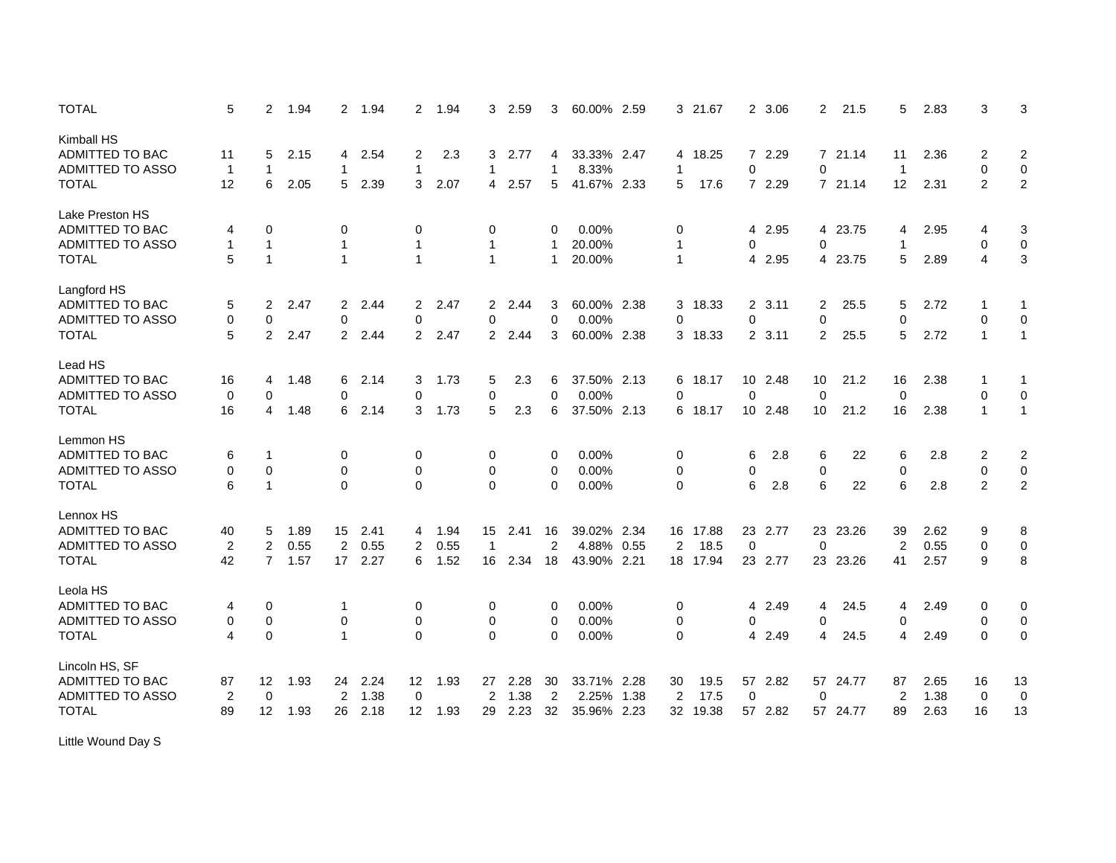| <b>TOTAL</b>                  | 5                        | $\overline{2}$ | 1.94 | $\overline{2}$ | 1.94 | $\overline{2}$ | 1.94 | 3                | 2.59 | 3              | 60.00%      | 2.59 | 3              | 21.67    | $\overline{2}$ | 3.06    | 2           | 21.5     | 5              | 2.83 | 3              | 3                       |
|-------------------------------|--------------------------|----------------|------|----------------|------|----------------|------|------------------|------|----------------|-------------|------|----------------|----------|----------------|---------|-------------|----------|----------------|------|----------------|-------------------------|
| Kimball HS<br>ADMITTED TO BAC | 11                       | 5              | 2.15 | 4              | 2.54 | 2              | 2.3  | 3                | 2.77 | 4              | 33.33% 2.47 |      |                | 4 18.25  |                | 7 2.29  |             | 7 21.14  | 11             | 2.36 | $\overline{c}$ | $\overline{\mathbf{c}}$ |
| ADMITTED TO ASSO              | $\overline{1}$           | $\mathbf{1}$   |      | 1              |      | 1              |      | $\mathbf{1}$     |      | 1              | 8.33%       |      | -1             |          | 0              |         | 0           |          | $\overline{1}$ |      | $\mathbf 0$    | $\mathbf 0$             |
| <b>TOTAL</b>                  | 12                       | 6              | 2.05 | 5              | 2.39 | 3              | 2.07 | 4                | 2.57 | 5              | 41.67% 2.33 |      | 5              | 17.6     |                | 7 2.29  |             | 7 21.14  | 12             | 2.31 | $\overline{2}$ | $\sqrt{2}$              |
| Lake Preston HS               |                          |                |      |                |      |                |      |                  |      |                |             |      |                |          |                |         |             |          |                |      |                |                         |
| <b>ADMITTED TO BAC</b>        | 4                        | 0              |      | 0              |      | 0              |      | 0                |      | 0              | $0.00\%$    |      | 0              |          | 4              | 2.95    |             | 4 23.75  | 4              | 2.95 | 4              | 3                       |
| ADMITTED TO ASSO              | $\mathbf{1}$             | $\mathbf{1}$   |      | 1              |      | 1              |      | $\mathbf{1}$     |      |                | 20.00%      |      | 1              |          | 0              |         | 0           |          | $\overline{1}$ |      | $\mathbf 0$    | $\pmb{0}$               |
| <b>TOTAL</b>                  | 5                        | $\mathbf{1}$   |      | 1              |      | $\mathbf{1}$   |      | $\mathbf{1}$     |      | 1              | 20.00%      |      | $\mathbf{1}$   |          | 4              | 2.95    |             | 4 23.75  | 5              | 2.89 | $\overline{4}$ | $\mathfrak{Z}$          |
| Langford HS                   |                          |                |      |                |      |                |      |                  |      |                |             |      |                |          |                |         |             |          |                |      |                |                         |
| <b>ADMITTED TO BAC</b>        | 5                        | 2              | 2.47 | $\overline{2}$ | 2.44 | $\overline{2}$ | 2.47 | $\overline{2}$   | 2.44 | 3              | 60.00% 2.38 |      | 3              | 18.33    |                | 2, 3.11 | 2           | 25.5     | 5              | 2.72 |                | 1                       |
| ADMITTED TO ASSO              | 0                        | 0              |      | 0              |      | 0              |      | 0                |      | 0              | 0.00%       |      | 0              |          | $\mathbf 0$    |         | 0           |          | $\mathbf 0$    |      | $\mathbf 0$    | $\mathbf 0$             |
| <b>TOTAL</b>                  | 5                        | 2              | 2.47 | $\overline{2}$ | 2.44 | $\overline{2}$ | 2.47 | $\overline{2}$   | 2.44 | 3              | 60.00% 2.38 |      | 3              | 18.33    |                | 2, 3.11 | 2           | 25.5     | 5              | 2.72 | $\mathbf{1}$   | $\mathbf{1}$            |
|                               |                          |                |      |                |      |                |      |                  |      |                |             |      |                |          |                |         |             |          |                |      |                |                         |
| Lead HS                       |                          |                |      |                |      |                |      |                  |      |                |             |      |                |          |                |         |             |          |                |      |                |                         |
| ADMITTED TO BAC               | 16                       | 4              | 1.48 | 6              | 2.14 | 3              | 1.73 | 5                | 2.3  | 6              | 37.50% 2.13 |      | 6              | 18.17    |                | 10 2.48 | 10          | 21.2     | 16             | 2.38 | -1             | -1                      |
| <b>ADMITTED TO ASSO</b>       | $\mathbf 0$              | $\Omega$       |      | 0              |      | $\Omega$       |      | 0                |      | 0              | 0.00%       |      | $\Omega$       |          | $\Omega$       |         | $\mathbf 0$ |          | $\mathbf 0$    |      | $\Omega$       | $\mathbf 0$             |
| <b>TOTAL</b>                  | 16                       | 4              | 1.48 | 6              | 2.14 | 3              | 1.73 | 5                | 2.3  | 6              | 37.50% 2.13 |      | 6              | 18.17    |                | 10 2.48 | 10          | 21.2     | 16             | 2.38 | $\mathbf{1}$   | $\mathbf{1}$            |
| Lemmon HS                     |                          |                |      |                |      |                |      |                  |      |                |             |      |                |          |                |         |             |          |                |      |                |                         |
| <b>ADMITTED TO BAC</b>        | 6                        | -1             |      | 0              |      | 0              |      | 0                |      | 0              | 0.00%       |      | 0              |          | 6              | 2.8     | 6           | 22       | 6              | 2.8  | 2              | $\overline{c}$          |
| ADMITTED TO ASSO              | 0                        | $\mathbf 0$    |      | $\mathbf 0$    |      | $\mathbf 0$    |      | $\mathbf 0$      |      | 0              | 0.00%       |      | 0              |          | 0              |         | 0           |          | $\mathbf 0$    |      | $\mathbf 0$    | $\pmb{0}$               |
| <b>TOTAL</b>                  | 6                        | $\mathbf{1}$   |      | $\mathbf 0$    |      | $\mathbf 0$    |      | $\mathbf 0$      |      | 0              | 0.00%       |      | 0              |          | 6              | 2.8     | 6           | 22       | 6              | 2.8  | 2              | $\overline{2}$          |
| Lennox HS                     |                          |                |      |                |      |                |      |                  |      |                |             |      |                |          |                |         |             |          |                |      |                |                         |
| <b>ADMITTED TO BAC</b>        | 40                       | 5              | 1.89 | 15             | 2.41 | 4              | 1.94 | 15 <sup>15</sup> | 2.41 | 16             | 39.02% 2.34 |      | 16             | 17.88    |                | 23 2.77 |             | 23 23.26 | 39             | 2.62 | 9              | 8                       |
| ADMITTED TO ASSO              | $\overline{2}$           | $\overline{2}$ | 0.55 | $\overline{2}$ | 0.55 | 2              | 0.55 | $\mathbf{1}$     |      | $\overline{2}$ | 4.88% 0.55  |      | $\overline{2}$ | 18.5     | $\mathbf 0$    |         | $\mathbf 0$ |          | $\overline{2}$ | 0.55 | $\mathbf 0$    | $\pmb{0}$               |
| <b>TOTAL</b>                  | 42                       | $\overline{7}$ | 1.57 | 17             | 2.27 | 6              | 1.52 | 16               | 2.34 | 18             | 43.90% 2.21 |      |                | 18 17.94 |                | 23 2.77 |             | 23 23.26 | 41             | 2.57 | 9              | 8                       |
|                               |                          |                |      |                |      |                |      |                  |      |                |             |      |                |          |                |         |             |          |                |      |                |                         |
| Leola HS                      |                          |                |      |                |      |                |      |                  |      |                |             |      |                |          |                |         |             |          |                |      |                |                         |
| <b>ADMITTED TO BAC</b>        | 4                        | 0              |      | 1              |      | 0              |      | 0                |      | 0              | 0.00%       |      | 0              |          | 4              | 2.49    | 4           | 24.5     | 4              | 2.49 | 0              | 0                       |
| ADMITTED TO ASSO              | 0                        | $\pmb{0}$      |      | 0              |      | 0              |      | 0                |      | 0              | 0.00%       |      | 0              |          | 0              |         | 0           |          | 0              |      | $\mathbf 0$    | 0                       |
| <b>TOTAL</b>                  | $\overline{\mathcal{A}}$ | $\mathbf 0$    |      | $\mathbf{1}$   |      | $\Omega$       |      | $\Omega$         |      | 0              | 0.00%       |      | $\mathbf 0$    |          | $\overline{4}$ | 2.49    | 4           | 24.5     | 4              | 2.49 | $\Omega$       | $\mathbf 0$             |
| Lincoln HS, SF                |                          |                |      |                |      |                |      |                  |      |                |             |      |                |          |                |         |             |          |                |      |                |                         |
| <b>ADMITTED TO BAC</b>        | 87                       | 12             | 1.93 | 24             | 2.24 | 12             | 1.93 | 27               | 2.28 | 30             | 33.71% 2.28 |      | 30             | 19.5     |                | 57 2.82 | 57          | 24.77    | 87             | 2.65 | 16             | 13                      |
| <b>ADMITTED TO ASSO</b>       | 2                        | 0              |      | 2              | 1.38 | $\mathbf 0$    |      | 2                | 1.38 | $\overline{2}$ | 2.25%       | 1.38 | $\overline{2}$ | 17.5     | 0              |         | 0           |          | $\overline{2}$ | 1.38 | 0              | $\mathbf 0$             |
| <b>TOTAL</b>                  | 89                       | 12             | 1.93 | 26             | 2.18 | 12             | 1.93 | 29               | 2.23 | 32             | 35.96% 2.23 |      | 32             | 19.38    |                | 57 2.82 |             | 57 24.77 | 89             | 2.63 | 16             | 13                      |
|                               |                          |                |      |                |      |                |      |                  |      |                |             |      |                |          |                |         |             |          |                |      |                |                         |

Little Wound Day S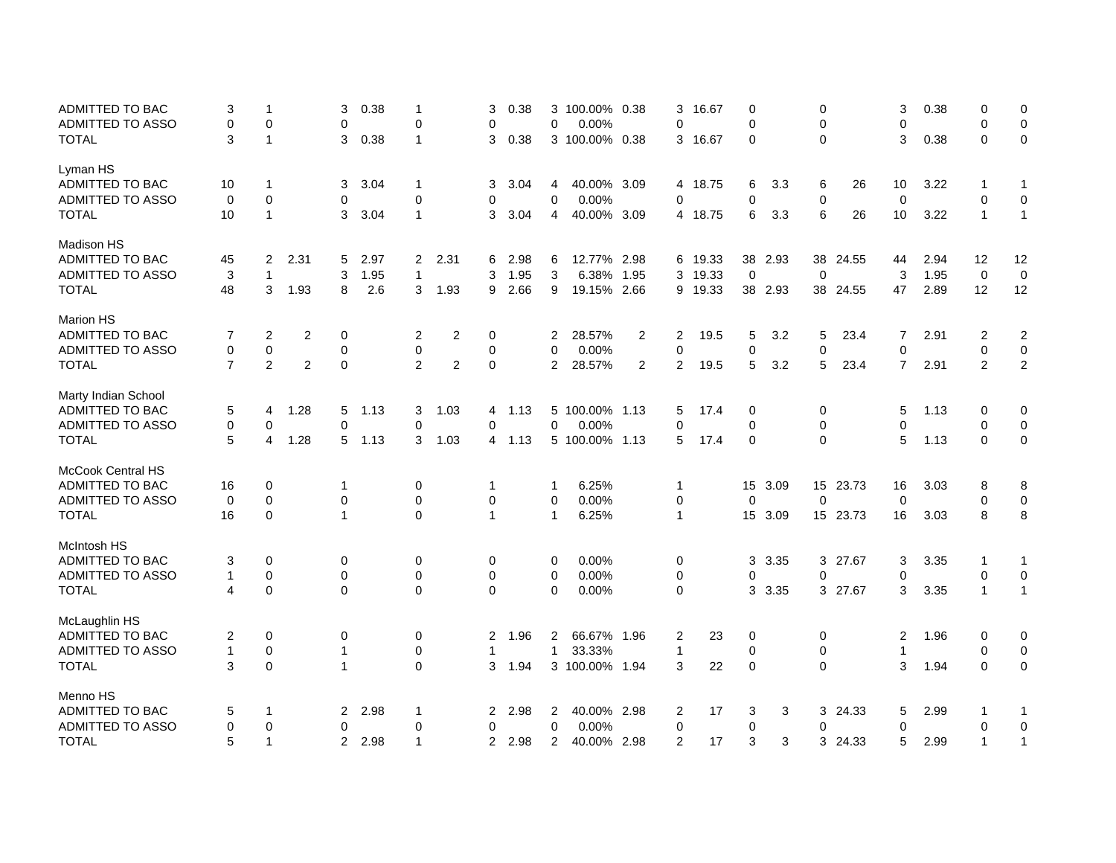| 0                | 0            | 0.38 | 3                |          | 0           |      | 0           | 16.67   | 3              |                | 3 100.00% 0.38 |                | 0.38 | 3              |                | $\mathbf 1$             | 0.38 | 3              |                | $\mathbf 1$    | 3              | ADMITTED TO BAC          |
|------------------|--------------|------|------------------|----------|-------------|------|-------------|---------|----------------|----------------|----------------|----------------|------|----------------|----------------|-------------------------|------|----------------|----------------|----------------|----------------|--------------------------|
| $\pmb{0}$        | 0            |      | 0                |          | $\mathbf 0$ |      | 0           |         | 0              |                | 0.00%          | 0              |      | 0              |                | $\mathbf 0$             |      | 0              |                | 0              | 0              | ADMITTED TO ASSO         |
| $\pmb{0}$        | $\Omega$     | 0.38 | 3                |          | $\Omega$    |      | $\Omega$    | 16.67   | 3              |                | 3 100.00% 0.38 |                | 0.38 | 3              |                | $\mathbf{1}$            | 0.38 | 3              |                | $\overline{1}$ | 3              | <b>TOTAL</b>             |
|                  |              |      |                  |          |             |      |             |         |                |                |                |                |      |                |                |                         |      |                |                |                |                | Lyman HS                 |
| 1                | -1           | 3.22 | 10               | 26       | 6           | 3.3  | 6           | 4 18.75 |                |                | 40.00% 3.09    | 4              | 3.04 | 3              |                | $\mathbf 1$             | 3.04 | 3              |                | $\mathbf{1}$   | 10             | ADMITTED TO BAC          |
| $\mathbf 0$      | 0            |      | $\mathbf 0$      |          | $\mathbf 0$ |      | 0           |         | 0              |                | 0.00%          | $\mathbf 0$    |      | 0              |                | 0                       |      | 0              |                | $\mathbf 0$    | 0              | ADMITTED TO ASSO         |
| $\mathbf{1}$     | $\mathbf{1}$ | 3.22 | 10               | 26       | 6           | 3.3  | 6           | 18.75   | 4              |                | 40.00% 3.09    | $\overline{4}$ | 3.04 | 3              |                | $\mathbf{1}$            | 3.04 | 3              |                | $\overline{1}$ | 10             | <b>TOTAL</b>             |
|                  |              |      |                  |          |             |      |             |         |                |                |                |                |      |                |                |                         |      |                |                |                |                | <b>Madison HS</b>        |
| 12               | 12           | 2.94 | 44               | 38 24.55 |             | 2.93 | 38          | 19.33   | 6              |                | 12.77% 2.98    | 6              | 2.98 | 6              | 2.31           | $\overline{\mathbf{c}}$ | 2.97 | 5              | 2.31           | 2              | 45             | ADMITTED TO BAC          |
| $\mathbf 0$      | $\mathbf 0$  | 1.95 | 3                |          | $\mathbf 0$ |      | $\mathbf 0$ | 19.33   | 3              | 1.95           | 6.38%          | 3              | 1.95 | 3              |                | $\mathbf{1}$            | 1.95 | 3              |                | $\mathbf{1}$   | 3              | ADMITTED TO ASSO         |
| 12               | 12           | 2.89 | 47               | 38 24.55 |             | 2.93 | 38          | 9 19.33 |                |                | 19.15% 2.66    | 9              | 2.66 | 9              | 1.93           | 3                       | 2.6  | 8              | 1.93           | 3              | 48             | <b>TOTAL</b>             |
|                  |              |      |                  |          |             |      |             |         |                |                |                |                |      |                |                |                         |      |                |                |                |                | <b>Marion HS</b>         |
| $\boldsymbol{2}$ | 2            | 2.91 | 7                | 23.4     | 5           | 3.2  | 5           | 19.5    | $\overline{c}$ | 2              | 28.57%         | 2              |      | 0              | 2              | 2                       |      | 0              | $\overline{2}$ | 2              | 7              | <b>ADMITTED TO BAC</b>   |
| $\pmb{0}$        | 0            |      | $\mathbf 0$      |          | $\pmb{0}$   |      | 0           |         | $\mathbf 0$    |                | 0.00%          | $\mathbf 0$    |      | 0              |                | $\pmb{0}$               |      | 0              |                | 0              | 0              | ADMITTED TO ASSO         |
| $\overline{2}$   | 2            | 2.91 | $\overline{7}$   | 23.4     | 5           | 3.2  | 5           | 19.5    | 2              | $\overline{2}$ | 28.57%         | 2              |      | $\mathbf 0$    | $\overline{2}$ | 2                       |      | 0              | $\overline{2}$ | 2              | $\overline{7}$ | <b>TOTAL</b>             |
|                  |              |      |                  |          |             |      |             |         |                |                |                |                |      |                |                |                         |      |                |                |                |                | Marty Indian School      |
| 0                | 0            | 1.13 | 5                |          | 0           |      | 0           | 17.4    | 5              |                | 5 100,00% 1.13 |                | 1.13 | 4              | 1.03           | 3                       | 1.13 | 5              | 1.28           | 4              | 5              | ADMITTED TO BAC          |
| $\mathbf 0$      | 0            |      | $\Omega$         |          | 0           |      | $\Omega$    |         | 0              |                | 0.00%          | $\Omega$       |      | $\Omega$       |                | 0                       |      | 0              |                | $\Omega$       | 0              | <b>ADMITTED TO ASSO</b>  |
| 0                | $\Omega$     | 1.13 | 5                |          | $\Omega$    |      | $\mathbf 0$ | 17.4    | 5              |                | 5 100.00% 1.13 |                | 1.13 | 4              | 1.03           | 3                       | 1.13 | 5              | 1.28           | 4              | 5              | <b>TOTAL</b>             |
|                  |              |      |                  |          |             |      |             |         |                |                |                |                |      |                |                |                         |      |                |                |                |                | <b>McCook Central HS</b> |
| 8                | 8            | 3.03 | 16               | 15 23.73 |             | 3.09 | 15          |         | $\mathbf 1$    |                | 6.25%          | 1              |      | 1              |                | 0                       |      | 1              |                | 0              | 16             | ADMITTED TO BAC          |
| $\pmb{0}$        | 0            |      | $\boldsymbol{0}$ |          | $\pmb{0}$   |      | 0           |         | 0              |                | 0.00%          | 0              |      | 0              |                | $\mathbf 0$             |      | 0              |                | 0              | $\mathbf 0$    | ADMITTED TO ASSO         |
| 8                | 8            | 3.03 | 16               | 15 23.73 |             | 3.09 | 15          |         | $\mathbf{1}$   |                | 6.25%          | $\mathbf{1}$   |      | $\mathbf{1}$   |                | $\mathbf 0$             |      | 1              |                | $\mathbf 0$    | 16             | <b>TOTAL</b>             |
|                  |              |      |                  |          |             |      |             |         |                |                |                |                |      |                |                |                         |      |                |                |                |                | McIntosh HS              |
| 1                | 1            | 3.35 | 3                | 3 27.67  |             | 3.35 | 3           |         | 0              |                | 0.00%          | 0              |      | 0              |                | 0                       |      | 0              |                | $\mathbf 0$    | 3              | ADMITTED TO BAC          |
| $\pmb{0}$        | 0            |      | $\mathbf 0$      |          | $\mathbf 0$ |      | 0           |         | 0              |                | 0.00%          | 0              |      | 0              |                | $\mathbf 0$             |      | 0              |                | 0              | 1              | ADMITTED TO ASSO         |
| $\mathbf{1}$     | $\mathbf{1}$ | 3.35 | 3                | 3 27.67  |             | 3.35 | 3           |         | $\mathbf 0$    |                | 0.00%          | 0              |      | $\mathbf 0$    |                | $\mathbf 0$             |      | $\mathbf 0$    |                | $\mathbf 0$    | 4              | <b>TOTAL</b>             |
|                  |              |      |                  |          |             |      |             |         |                |                |                |                |      |                |                |                         |      |                |                |                |                |                          |
| 0                | 0            |      | $\overline{2}$   |          | 0           |      | 0           |         | $\overline{2}$ |                | 66.67% 1.96    | 2              |      | $\overline{2}$ |                | 0                       |      | 0              |                | 0              | 2              | ADMITTED TO BAC          |
| $\pmb{0}$        | $\Omega$     |      | 1                |          | 0           |      | $\mathbf 0$ |         | 1              |                | 33.33%         | $\mathbf{1}$   |      | 1              |                | 0                       |      | 1              |                | $\mathbf 0$    | 1              | <b>ADMITTED TO ASSO</b>  |
| 0                | $\Omega$     | 1.94 | 3                |          | $\Omega$    |      | $\mathbf 0$ | 22      | 3              |                | 3 100.00% 1.94 |                | 1.94 | 3              |                | $\Omega$                |      | $\mathbf{1}$   |                | $\mathbf 0$    | 3              | <b>TOTAL</b>             |
|                  |              |      |                  |          |             |      |             |         |                |                |                |                |      |                |                |                         |      |                |                |                |                | Menno HS                 |
| 1                | 1            | 2.99 | 5                | 3 24.33  |             | 3    | 3           | 17      | 2              |                | 40.00% 2.98    | 2              | 2.98 | 2              |                | $\mathbf 1$             | 2.98 | 2              |                | $\mathbf{1}$   | 5              | ADMITTED TO BAC          |
| $\pmb{0}$        | 0            |      | $\mathbf 0$      |          | $\mathbf 0$ |      | 0           |         | 0              |                | 0.00%          | 0              |      | 0              |                | $\mathbf 0$             |      | 0              |                | 0              | 0              | ADMITTED TO ASSO         |
| 1                | $\mathbf{1}$ | 2.99 | 5                | 3 24.33  |             | 3    | 3           | 17      | 2              |                | 40.00% 2.98    | 2              | 2.98 | 2              |                | $\overline{1}$          | 2.98 | $\overline{2}$ |                | $\mathbf{1}$   | 5              | <b>TOTAL</b>             |
|                  |              | 1.96 |                  |          |             |      |             | 23      |                |                |                |                | 1.96 |                |                |                         |      |                |                |                |                | McLaughlin HS            |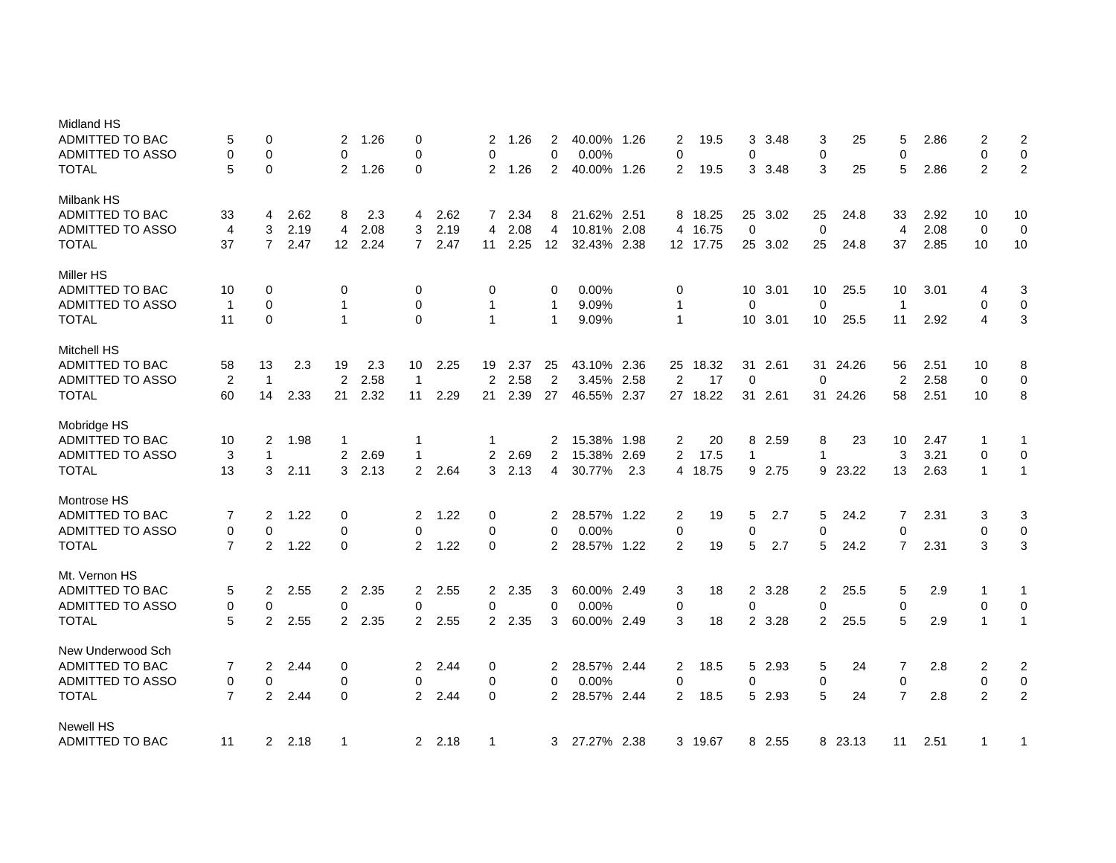| Midland HS<br><b>ADMITTED TO BAC</b><br><b>ADMITTED TO ASSO</b><br>TOTAL | 5<br>0<br>5    | 0<br>$\mathbf 0$<br>$\mathbf 0$ |        | $\overline{2}$<br>$\mathbf 0$<br>$\overline{2}$ | 1.26<br>1.26 | $\mathbf 0$<br>$\mathbf 0$<br>$\Omega$ |      | 2<br>0<br>$\overline{2}$ | 1.26<br>1.26 | 2<br>$\overline{0}$<br>2 | 40.00% 1.26<br>0.00%<br>40.00% 1.26 |     | 2<br>$\mathbf 0$<br>2 | 19.5<br>19.5 | 3<br>0<br>3     | 3.48<br>3.48 | 3<br>$\pmb{0}$<br>3 | 25<br>25 | 5<br>$\mathbf 0$<br>5 | 2.86<br>2.86 | 2<br>0<br>$\overline{2}$ | $\overline{2}$<br>$\boldsymbol{0}$<br>$\overline{2}$ |
|--------------------------------------------------------------------------|----------------|---------------------------------|--------|-------------------------------------------------|--------------|----------------------------------------|------|--------------------------|--------------|--------------------------|-------------------------------------|-----|-----------------------|--------------|-----------------|--------------|---------------------|----------|-----------------------|--------------|--------------------------|------------------------------------------------------|
| <b>Milbank HS</b>                                                        |                |                                 |        |                                                 |              |                                        |      |                          |              |                          |                                     |     |                       |              |                 |              |                     |          |                       |              |                          |                                                      |
| <b>ADMITTED TO BAC</b>                                                   | 33             | 4                               | 2.62   | 8                                               | 2.3          | 4                                      | 2.62 | $\overline{7}$           | 2.34         | 8                        | 21.62% 2.51                         |     |                       | 8 18.25      |                 | 25 3.02      | 25                  | 24.8     | 33                    | 2.92         | 10                       | 10                                                   |
| <b>ADMITTED TO ASSO</b>                                                  | $\overline{4}$ | 3                               | 2.19   | 4                                               | 2.08         | 3                                      | 2.19 | 4                        | 2.08         | 4                        | 10.81% 2.08                         |     | 4                     | 16.75        | $\mathbf 0$     |              | $\mathbf 0$         |          | $\overline{4}$        | 2.08         | $\mathbf 0$              | $\mathbf 0$                                          |
| <b>TOTAL</b>                                                             | 37             | $\overline{7}$                  | 2.47   | 12                                              | 2.24         | $\overline{7}$                         | 2.47 | 11                       | 2.25         | 12                       | 32.43% 2.38                         |     |                       | 12 17.75     |                 | 25 3.02      | 25                  | 24.8     | 37                    | 2.85         | 10                       | 10                                                   |
| Miller HS                                                                |                |                                 |        |                                                 |              |                                        |      |                          |              |                          |                                     |     |                       |              |                 |              |                     |          |                       |              |                          |                                                      |
| ADMITTED TO BAC                                                          | 10             | 0                               |        | 0                                               |              | 0                                      |      | 0                        |              | 0                        | 0.00%                               |     | 0                     |              |                 | 10 3.01      | 10                  | 25.5     | 10                    | 3.01         | 4                        | 3                                                    |
| <b>ADMITTED TO ASSO</b>                                                  | $\overline{1}$ | $\mathbf 0$                     |        | $\mathbf 1$                                     |              | 0                                      |      | 1                        |              | 1                        | 9.09%                               |     | $\mathbf{1}$          |              | 0               |              | $\pmb{0}$           |          | $\overline{1}$        |              | 0                        | 0                                                    |
| <b>TOTAL</b>                                                             | 11             | $\mathbf 0$                     |        | $\mathbf{1}$                                    |              | $\Omega$                               |      | $\mathbf{1}$             |              | $\mathbf 1$              | 9.09%                               |     | $\mathbf{1}$          |              | 10 <sup>°</sup> | 3.01         | 10                  | 25.5     | 11                    | 2.92         | 4                        | 3                                                    |
| <b>Mitchell HS</b>                                                       |                |                                 |        |                                                 |              |                                        |      |                          |              |                          |                                     |     |                       |              |                 |              |                     |          |                       |              |                          |                                                      |
| ADMITTED TO BAC                                                          | 58             | 13                              | 2.3    | 19                                              | 2.3          | 10                                     | 2.25 | 19                       | 2.37         | 25                       | 43.10% 2.36                         |     | 25                    | 18.32        | 31              | 2.61         | 31                  | 24.26    | 56                    | 2.51         | 10                       | 8                                                    |
| <b>ADMITTED TO ASSO</b>                                                  | 2              | $\mathbf{1}$                    |        | 2                                               | 2.58         | $\overline{1}$                         |      | $\overline{2}$           | 2.58         | $\overline{2}$           | 3.45% 2.58                          |     | 2                     | 17           | 0               |              | $\mathbf 0$         |          | $\overline{2}$        | 2.58         | $\mathbf 0$              | 0                                                    |
| <b>TOTAL</b>                                                             | 60             | 14                              | 2.33   | 21                                              | 2.32         | 11                                     | 2.29 | 21                       | 2.39         | 27                       | 46.55% 2.37                         |     |                       | 27 18.22     | 31              | 2.61         |                     | 31 24.26 | 58                    | 2.51         | 10                       | 8                                                    |
| Mobridge HS                                                              |                |                                 |        |                                                 |              |                                        |      |                          |              |                          |                                     |     |                       |              |                 |              |                     |          |                       |              |                          |                                                      |
| <b>ADMITTED TO BAC</b>                                                   | 10             | 2                               | 1.98   | 1                                               |              | $\mathbf 1$                            |      | 1                        |              | 2                        | 15.38% 1.98                         |     | $\overline{2}$        | 20           | 8               | 2.59         | 8                   | 23       | 10                    | 2.47         | 1                        | 1                                                    |
| <b>ADMITTED TO ASSO</b>                                                  | 3              | $\mathbf{1}$                    |        | $\overline{2}$                                  | 2.69         | $\mathbf{1}$                           |      | $\overline{2}$           | 2.69         | 2                        | 15.38% 2.69                         |     | 2                     | 17.5         | $\mathbf{1}$    |              | $\mathbf{1}$        |          | 3                     | 3.21         | $\mathbf 0$              | $\mathbf 0$                                          |
| TOTAL                                                                    | 13             | 3                               | 2.11   | 3                                               | 2.13         | $\overline{2}$                         | 2.64 | 3                        | 2.13         | $\overline{4}$           | 30.77%                              | 2.3 | $\overline{4}$        | 18.75        |                 | 9 2.75       |                     | 9 23.22  | 13                    | 2.63         | $\mathbf{1}$             | $\mathbf{1}$                                         |
| Montrose HS                                                              |                |                                 |        |                                                 |              |                                        |      |                          |              |                          |                                     |     |                       |              |                 |              |                     |          |                       |              |                          |                                                      |
| <b>ADMITTED TO BAC</b>                                                   | 7              | $\overline{2}$                  | 1.22   | 0                                               |              | 2                                      | 1.22 | 0                        |              | 2                        | 28.57% 1.22                         |     | $\overline{2}$        | 19           | 5               | 2.7          | 5                   | 24.2     | 7                     | 2.31         | 3                        | 3                                                    |
| <b>ADMITTED TO ASSO</b>                                                  | $\mathbf 0$    | $\mathbf 0$                     |        | 0                                               |              | $\mathbf 0$                            |      | 0                        |              | $\Omega$                 | 0.00%                               |     | $\mathbf 0$           |              | 0               |              | $\pmb{0}$           |          | $\mathbf 0$           |              | 0                        | $\pmb{0}$                                            |
| TOTAL                                                                    | $\overline{7}$ | 2                               | 1.22   | $\Omega$                                        |              | 2                                      | 1.22 | $\Omega$                 |              | $\overline{2}$           | 28.57% 1.22                         |     | 2                     | 19           | 5               | 2.7          | 5                   | 24.2     | $\overline{7}$        | 2.31         | 3                        | 3                                                    |
| Mt. Vernon HS                                                            |                |                                 |        |                                                 |              |                                        |      |                          |              |                          |                                     |     |                       |              |                 |              |                     |          |                       |              |                          |                                                      |
| ADMITTED TO BAC                                                          | 5              | $\overline{2}$                  | 2.55   | $\overline{2}$                                  | 2.35         | 2                                      | 2.55 | $\overline{2}$           | 2.35         | 3                        | 60.00% 2.49                         |     | 3                     | 18           | $\overline{2}$  | 3.28         | 2                   | 25.5     | 5                     | 2.9          | 1                        | 1                                                    |
| <b>ADMITTED TO ASSO</b>                                                  | 0              | 0                               |        | 0                                               |              | $\overline{0}$                         |      | 0                        |              | $\overline{0}$           | 0.00%                               |     | 0                     |              | 0               |              | $\pmb{0}$           |          | 0                     |              | 0                        | $\pmb{0}$                                            |
| TOTAL                                                                    | 5              | 2                               | 2.55   |                                                 | 2 2.35       | 2                                      | 2.55 | $\overline{2}$           | 2.35         | 3                        | 60.00% 2.49                         |     | 3                     | 18           | $\mathbf{2}$    | 3.28         | 2                   | 25.5     | 5                     | 2.9          | 1                        | $\mathbf{1}$                                         |
| New Underwood Sch                                                        |                |                                 |        |                                                 |              |                                        |      |                          |              |                          |                                     |     |                       |              |                 |              |                     |          |                       |              |                          |                                                      |
| ADMITTED TO BAC                                                          | 7              | $\overline{2}$                  | 2.44   | 0                                               |              | 2                                      | 2.44 | 0                        |              | 2                        | 28.57% 2.44                         |     | 2                     | 18.5         | 5               | 2.93         | 5                   | 24       | 7                     | 2.8          | 2                        | 2                                                    |
| <b>ADMITTED TO ASSO</b>                                                  | $\mathbf 0$    | 0                               |        | 0                                               |              | 0                                      |      | 0                        |              | $\Omega$                 | 0.00%                               |     | 0                     |              | 0               |              | $\pmb{0}$           |          | $\mathbf 0$           |              | 0                        | $\pmb{0}$                                            |
| <b>TOTAL</b>                                                             | $\overline{7}$ | 2                               | 2.44   | 0                                               |              | 2                                      | 2.44 | $\mathbf 0$              |              | $\overline{2}$           | 28.57% 2.44                         |     | 2                     | 18.5         | 5               | 2.93         | 5                   | 24       | $\overline{7}$        | 2.8          | $\overline{2}$           | $\boldsymbol{2}$                                     |
| <b>Newell HS</b>                                                         |                |                                 |        |                                                 |              |                                        |      |                          |              |                          |                                     |     |                       |              |                 |              |                     |          |                       |              |                          |                                                      |
| ADMITTED TO BAC                                                          | 11             |                                 | 2 2.18 | 1                                               |              | $\mathbf{2}$                           | 2.18 | 1                        |              | 3                        | 27.27% 2.38                         |     |                       | 3 19.67      |                 | 8 2.55       |                     | 8 23.13  | 11                    | 2.51         | 1                        | 1                                                    |
|                                                                          |                |                                 |        |                                                 |              |                                        |      |                          |              |                          |                                     |     |                       |              |                 |              |                     |          |                       |              |                          |                                                      |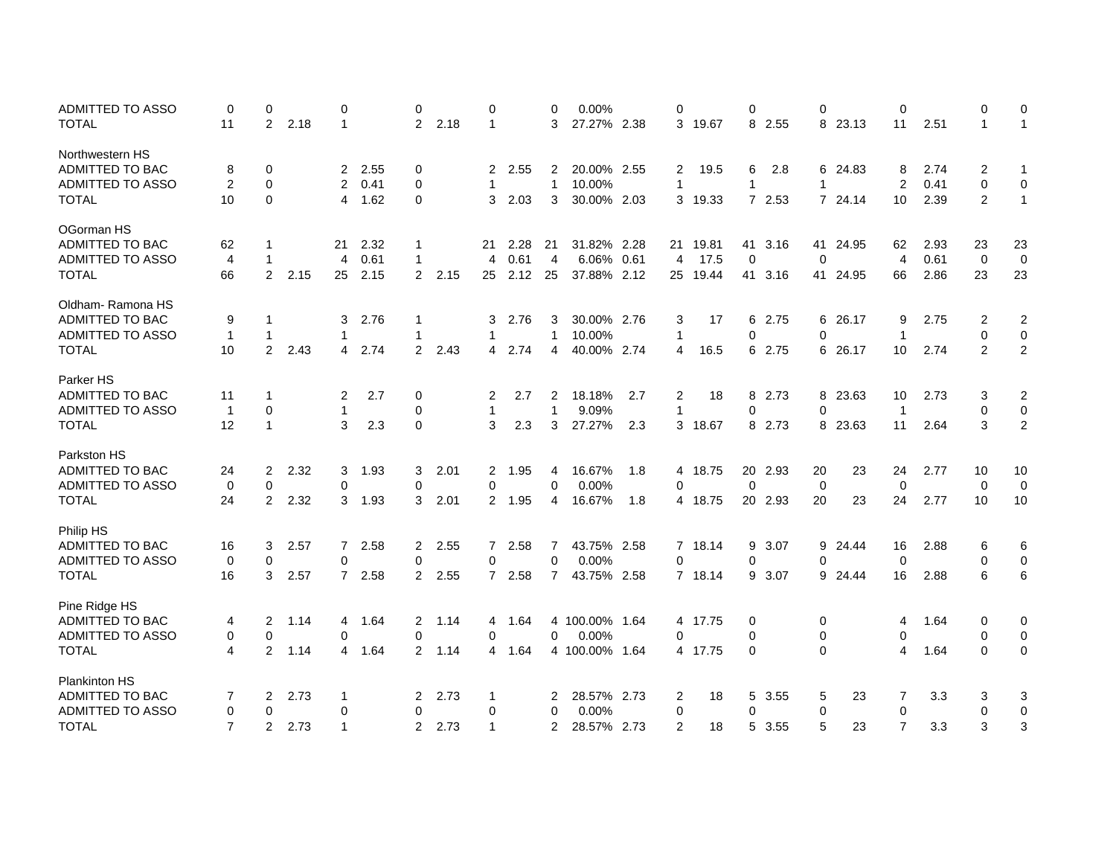| <b>ADMITTED TO ASSO</b> | 0              | 0              |      | 0              |      | 0              |      | 0              |      | 0              | 0.00%          |     | $\mathbf 0$  |         | 0           |         | 0            |          | $\mathbf 0$    |      | 0              | 0              |
|-------------------------|----------------|----------------|------|----------------|------|----------------|------|----------------|------|----------------|----------------|-----|--------------|---------|-------------|---------|--------------|----------|----------------|------|----------------|----------------|
| <b>TOTAL</b>            | 11             | $\overline{2}$ | 2.18 | 1              |      | $\overline{2}$ | 2.18 | 1              |      | 3              | 27.27% 2.38    |     | 3            | 19.67   | 8           | 2.55    | 8            | 23.13    | 11             | 2.51 | $\mathbf{1}$   | $\mathbf{1}$   |
| Northwestern HS         |                |                |      |                |      |                |      |                |      |                |                |     |              |         |             |         |              |          |                |      |                |                |
| ADMITTED TO BAC         | 8              | 0              |      | 2              | 2.55 | 0              |      | 2              | 2.55 | 2              | 20.00% 2.55    |     | 2            | 19.5    | 6           | 2.8     |              | 6 24.83  | 8              | 2.74 | 2              | $\mathbf 1$    |
| ADMITTED TO ASSO        | $\overline{2}$ | 0              |      | $\overline{2}$ | 0.41 | 0              |      | 1              |      | $\mathbf{1}$   | 10.00%         |     | $\mathbf{1}$ |         | 1           |         | 1            |          | 2              | 0.41 | 0              | $\mathbf 0$    |
| <b>TOTAL</b>            | 10             | 0              |      | 4              | 1.62 | 0              |      | 3              | 2.03 | 3              | 30.00% 2.03    |     | 3            | 19.33   |             | 7 2.53  |              | 7 24.14  | 10             | 2.39 | 2              | $\mathbf{1}$   |
| OGorman HS              |                |                |      |                |      |                |      |                |      |                |                |     |              |         |             |         |              |          |                |      |                |                |
| ADMITTED TO BAC         | 62             | 1              |      | 21             | 2.32 | -1             |      | 21             | 2.28 | 21             | 31.82% 2.28    |     | 21           | 19.81   | 41          | 3.16    | 41           | 24.95    | 62             | 2.93 | 23             | 23             |
| ADMITTED TO ASSO        | 4              | $\mathbf 1$    |      | 4              | 0.61 | $\mathbf 1$    |      | 4              | 0.61 | 4              | 6.06% 0.61     |     | 4            | 17.5    | 0           |         | 0            |          | 4              | 0.61 | 0              | 0              |
| <b>TOTAL</b>            | 66             | $\overline{2}$ | 2.15 | 25             | 2.15 | 2              | 2.15 | 25             | 2.12 | 25             | 37.88% 2.12    |     | 25           | 19.44   | 41          | 3.16    |              | 41 24.95 | 66             | 2.86 | 23             | 23             |
| Oldham-Ramona HS        |                |                |      |                |      |                |      |                |      |                |                |     |              |         |             |         |              |          |                |      |                |                |
| ADMITTED TO BAC         | 9              | $\mathbf{1}$   |      | 3              | 2.76 | -1             |      | 3              | 2.76 | 3              | 30.00% 2.76    |     | 3            | 17      | 6           | 2.75    | 6            | 26.17    | 9              | 2.75 | 2              | 2              |
| <b>ADMITTED TO ASSO</b> | $\mathbf{1}$   | $\mathbf{1}$   |      | 1              |      | $\mathbf 1$    |      | 1              |      | 1              | 10.00%         |     | 1            |         | 0           |         | 0            |          | $\mathbf 1$    |      | 0              | 0              |
| <b>TOTAL</b>            | 10             | $\overline{2}$ | 2.43 | 4              | 2.74 | 2              | 2.43 | 4              | 2.74 | 4              | 40.00% 2.74    |     | 4            | 16.5    |             | 6 2.75  |              | 6 26.17  | 10             | 2.74 | $\overline{2}$ | $\overline{2}$ |
| Parker HS               |                |                |      |                |      |                |      |                |      |                |                |     |              |         |             |         |              |          |                |      |                |                |
| ADMITTED TO BAC         | 11             | $\mathbf 1$    |      | 2              | 2.7  | 0              |      | 2              | 2.7  | 2              | 18.18%         | 2.7 | 2            | 18      | 8           | 2.73    |              | 8 23.63  | 10             | 2.73 | 3              | 2              |
| ADMITTED TO ASSO        | $\overline{1}$ | 0              |      | 1              |      | 0              |      | 1              |      | 1              | 9.09%          |     | 1            |         | 0           |         | 0            |          | $\overline{1}$ |      | 0              | $\pmb{0}$      |
| TOTAL                   | 12             | $\mathbf{1}$   |      | 3              | 2.3  | 0              |      | 3              | 2.3  | 3              | 27.27%         | 2.3 |              | 3 18.67 |             | 8 2.73  |              | 8 23.63  | 11             | 2.64 | 3              | $\overline{2}$ |
| Parkston HS             |                |                |      |                |      |                |      |                |      |                |                |     |              |         |             |         |              |          |                |      |                |                |
| ADMITTED TO BAC         | 24             | 2              | 2.32 | 3              | 1.93 | 3              | 2.01 | 2              | 1.95 | 4              | 16.67%         | 1.8 | 4            | 18.75   |             | 20 2.93 | 20           | 23       | 24             | 2.77 | 10             | 10             |
| <b>ADMITTED TO ASSO</b> | 0              | 0              |      | 0              |      | 0              |      | 0              |      | 0              | 0.00%          |     | $\mathbf 0$  |         | $\mathbf 0$ |         | $\mathbf 0$  |          | 0              |      | 0              | 0              |
| <b>TOTAL</b>            | 24             | $\overline{2}$ | 2.32 | 3              | 1.93 | 3              | 2.01 | $\overline{2}$ | 1.95 | 4              | 16.67%         | 1.8 | 4            | 18.75   |             | 20 2.93 | 20           | 23       | 24             | 2.77 | 10             | 10             |
| Philip HS               |                |                |      |                |      |                |      |                |      |                |                |     |              |         |             |         |              |          |                |      |                |                |
| ADMITTED TO BAC         | 16             | 3              | 2.57 | $\mathbf{7}$   | 2.58 | 2              | 2.55 | $\overline{7}$ | 2.58 | 7              | 43.75% 2.58    |     |              | 7 18.14 | 9           | 3.07    |              | 9 24.44  | 16             | 2.88 | 6              | 6              |
| ADMITTED TO ASSO        | 0              | 0              |      | 0              |      | 0              |      | 0              |      | 0              | 0.00%          |     | 0            |         | 0           |         | 0            |          | 0              |      | 0              | $\mathbf 0$    |
| <b>TOTAL</b>            | 16             | 3              | 2.57 | $\overline{7}$ | 2.58 | 2              | 2.55 | $\overline{7}$ | 2.58 | $\overline{7}$ | 43.75% 2.58    |     |              | 7 18.14 | 9           | 3.07    | 9            | 24.44    | 16             | 2.88 | 6              | 6              |
| Pine Ridge HS           |                |                |      |                |      |                |      |                |      |                |                |     |              |         |             |         |              |          |                |      |                |                |
| ADMITTED TO BAC         | 4              | 2              | 1.14 | 4              | 1.64 | 2              | 1.14 | 4              | 1.64 |                | 4 100.00% 1.64 |     |              | 4 17.75 | 0           |         | 0            |          | 4              | 1.64 | 0              | 0              |
| ADMITTED TO ASSO        | 0              | 0              |      | 0              |      | 0              |      | 0              |      | 0              | 0.00%          |     | 0            |         | 0           |         | 0            |          | 0              |      | 0              | 0              |
| <b>TOTAL</b>            | 4              | 2              | 1.14 | 4              | 1.64 | 2              | 1.14 | 4              | 1.64 |                | 4 100.00% 1.64 |     | 4            | 17.75   | 0           |         | $\mathbf{0}$ |          | 4              | 1.64 | $\Omega$       | 0              |
| <b>Plankinton HS</b>    |                |                |      |                |      |                |      |                |      |                |                |     |              |         |             |         |              |          |                |      |                |                |
| ADMITTED TO BAC         | 7              | 2              | 2.73 | -1             |      | 2              | 2.73 | 1              |      | 2              | 28.57% 2.73    |     | 2            | 18      | 5           | 3.55    | 5            | 23       | 7              | 3.3  | 3              | 3              |
| ADMITTED TO ASSO        | 0              | 0              |      | 0              |      | 0              |      | 0              |      | 0              | 0.00%          |     | 0            |         | 0           |         | 0            |          | 0              |      | 0              | 0              |
| <b>TOTAL</b>            | $\overline{7}$ | $\overline{2}$ | 2.73 | $\mathbf{1}$   |      | 2              | 2.73 | $\mathbf 1$    |      | 2              | 28.57% 2.73    |     | 2            | 18      | 5           | 3.55    | 5            | 23       | $\overline{7}$ | 3.3  | 3              | 3              |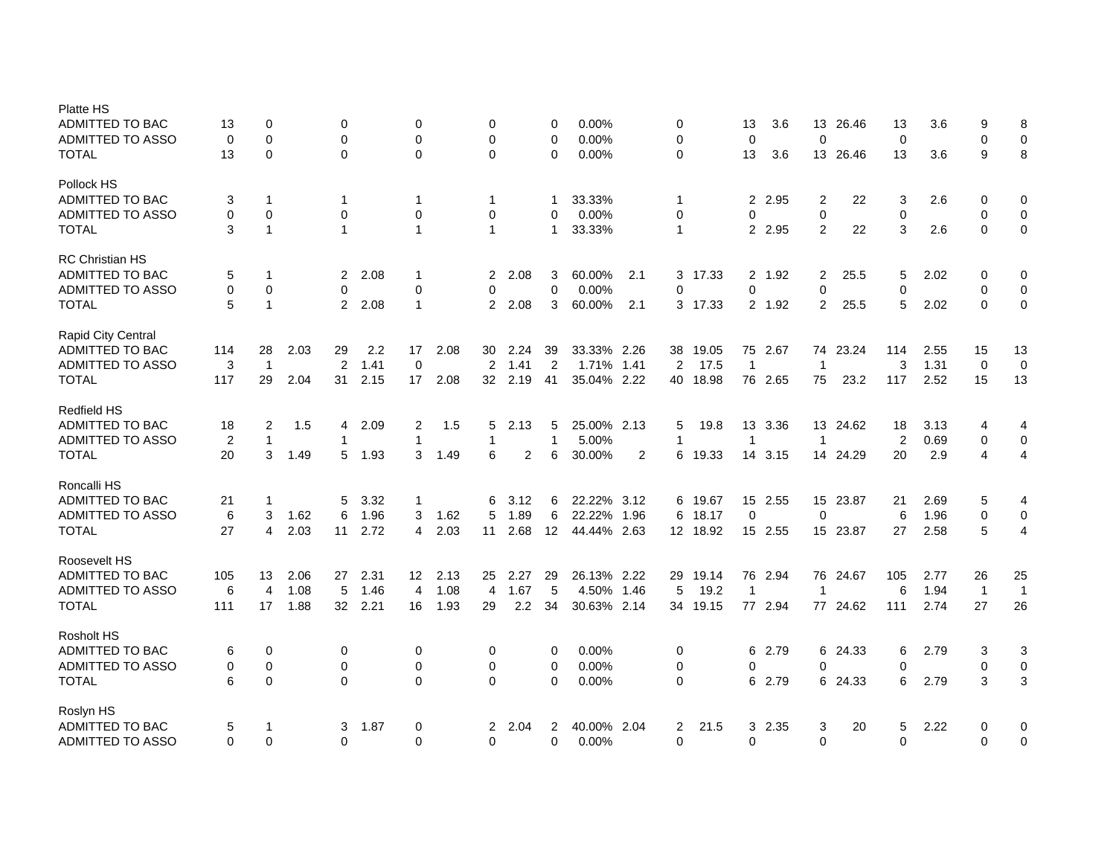| <b>Platte HS</b><br><b>ADMITTED TO BAC</b><br><b>ADMITTED TO ASSO</b><br>TOTAL | 13<br>0<br>13      | 0<br>$\mathbf 0$<br>$\mathbf 0$            |      | 0<br>$\mathbf 0$<br>0    |      | 0<br>$\mathbf 0$<br>$\mathbf 0$            |      | 0<br>0<br>$\Omega$  |                | 0<br>0<br>$\mathbf{0}$ | 0.00%<br>0.00%<br>0.00%   |                | 0<br>0<br>$\mathbf 0$            |          | 13<br>$\Omega$<br>13 | 3.6<br>3.6     | 13<br>$\mathbf 0$<br>13            | 26.46<br>26.46 | 13<br>$\mathbf 0$<br>13 | 3.6<br>3.6 | 9<br>$\mathbf 0$<br>9        | 8<br>$\mathbf 0$<br>8    |
|--------------------------------------------------------------------------------|--------------------|--------------------------------------------|------|--------------------------|------|--------------------------------------------|------|---------------------|----------------|------------------------|---------------------------|----------------|----------------------------------|----------|----------------------|----------------|------------------------------------|----------------|-------------------------|------------|------------------------------|--------------------------|
| Pollock HS<br>ADMITTED TO BAC<br><b>ADMITTED TO ASSO</b><br><b>TOTAL</b>       | 3<br>$\Omega$<br>3 | $\mathbf 1$<br>$\mathbf 0$<br>$\mathbf{1}$ |      | 1<br>0<br>$\overline{1}$ |      | $\mathbf 1$<br>$\mathbf 0$<br>$\mathbf{1}$ |      | 1<br>0<br>1         |                | 1<br>0<br>1            | 33.33%<br>0.00%<br>33.33% |                | $\mathbf 1$<br>0<br>$\mathbf{1}$ |          | $\overline{2}$<br>0  | 2.95<br>2 2.95 | $\overline{2}$<br>$\mathbf 0$<br>2 | 22<br>22       | 3<br>0<br>3             | 2.6<br>2.6 | 0<br>$\mathbf 0$<br>$\Omega$ | 0<br>0<br>$\pmb{0}$      |
|                                                                                |                    |                                            |      |                          |      |                                            |      |                     |                |                        |                           |                |                                  |          |                      |                |                                    |                |                         |            |                              |                          |
| <b>RC Christian HS</b><br>ADMITTED TO BAC<br><b>ADMITTED TO ASSO</b>           | 5<br>0             | $\mathbf{1}$<br>$\mathbf 0$                |      | $\overline{2}$<br>0      | 2.08 | $\mathbf 1$<br>$\mathbf 0$                 |      | $\overline{2}$      | 2.08           | 3<br>$\mathbf 0$       | 60.00%<br>0.00%           | 2.1            | 3                                | 17.33    | 0                    | 2 1.92         | 2                                  | 25.5           | 5                       | 2.02       | 0<br>$\mathbf 0$             | $\mathbf 0$              |
| <b>TOTAL</b>                                                                   | 5                  | $\mathbf{1}$                               |      | $\overline{2}$           | 2.08 | $\mathbf{1}$                               |      | 0<br>$\overline{2}$ | 2.08           | 3                      | 60.00%                    | 2.1            | 0                                | 3 17.33  |                      | 2 1.92         | $\pmb{0}$<br>2                     | 25.5           | $\mathbf 0$<br>5        | 2.02       | $\Omega$                     | $\mathbf 0$<br>$\pmb{0}$ |
| Rapid City Central                                                             |                    |                                            |      |                          |      |                                            |      |                     |                |                        |                           |                |                                  |          |                      |                |                                    |                |                         |            |                              |                          |
| ADMITTED TO BAC                                                                | 114                | 28                                         | 2.03 | 29                       | 2.2  | 17                                         | 2.08 | 30                  | 2.24           | 39                     | 33.33% 2.26               |                | 38                               | 19.05    |                      | 75 2.67        |                                    | 74 23.24       | 114                     | 2.55       | 15                           | 13                       |
| <b>ADMITTED TO ASSO</b>                                                        | 3                  | $\mathbf 1$                                |      | 2                        | 1.41 | $\mathbf 0$                                |      | $\overline{2}$      | 1.41           | $\overline{2}$         | 1.71% 1.41                |                | 2                                | 17.5     | $\mathbf 1$          |                | $\overline{1}$                     |                | 3                       | 1.31       | $\mathbf 0$                  | $\mathbf 0$              |
| <b>TOTAL</b>                                                                   | 117                | 29                                         | 2.04 | 31                       | 2.15 | 17                                         | 2.08 | 32                  | 2.19           | 41                     | 35.04% 2.22               |                | 40                               | 18.98    |                      | 76 2.65        | 75                                 | 23.2           | 117                     | 2.52       | 15                           | 13                       |
| <b>Redfield HS</b>                                                             |                    |                                            |      |                          |      |                                            |      |                     |                |                        |                           |                |                                  |          |                      |                |                                    |                |                         |            |                              |                          |
| ADMITTED TO BAC                                                                | 18                 | 2                                          | 1.5  | 4                        | 2.09 | $\overline{2}$                             | 1.5  | 5                   | 2.13           | 5                      | 25.00% 2.13               |                | 5                                | 19.8     | 13                   | 3.36           |                                    | 13 24.62       | 18                      | 3.13       | 4                            | 4                        |
| <b>ADMITTED TO ASSO</b>                                                        | 2                  | $\mathbf{1}$                               |      | 1                        |      | $\mathbf{1}$                               |      | 1                   |                | 1                      | 5.00%                     |                | -1                               |          | 1                    |                | $\overline{1}$                     |                | 2                       | 0.69       | $\mathbf 0$                  | $\mathbf 0$              |
| <b>TOTAL</b>                                                                   | 20                 | 3                                          | 1.49 | 5                        | 1.93 | 3                                          | 1.49 | 6                   | $\overline{2}$ | 6                      | 30.00%                    | $\overline{2}$ | 6                                | 19.33    | 14                   | 3.15           |                                    | 14 24.29       | 20                      | 2.9        | 4                            | $\overline{4}$           |
|                                                                                |                    |                                            |      |                          |      |                                            |      |                     |                |                        |                           |                |                                  |          |                      |                |                                    |                |                         |            |                              |                          |
| Roncalli HS<br>ADMITTED TO BAC                                                 |                    | 1                                          |      | 5                        | 3.32 |                                            |      | 6                   | 3.12           |                        | 22.22% 3.12               |                |                                  | 19.67    |                      | 15 2.55        | 15                                 | 23.87          | 21                      | 2.69       |                              | 4                        |
| <b>ADMITTED TO ASSO</b>                                                        | 21<br>6            | 3                                          | 1.62 | 6                        | 1.96 | $\mathbf 1$<br>3                           | 1.62 | 5                   | 1.89           | 6<br>6                 | 22.22% 1.96               |                | 6<br>6                           | 18.17    | $\Omega$             |                | $\mathbf 0$                        |                | 6                       | 1.96       | 5<br>0                       | 0                        |
| <b>TOTAL</b>                                                                   | 27                 | $\overline{4}$                             | 2.03 | 11                       | 2.72 | 4                                          | 2.03 | 11                  | 2.68           | 12                     | 44.44% 2.63               |                |                                  | 12 18.92 |                      | 15 2.55        |                                    | 15 23.87       | 27                      | 2.58       | 5                            | $\overline{4}$           |
|                                                                                |                    |                                            |      |                          |      |                                            |      |                     |                |                        |                           |                |                                  |          |                      |                |                                    |                |                         |            |                              |                          |
| Roosevelt HS                                                                   |                    |                                            |      |                          |      |                                            |      |                     |                |                        |                           |                |                                  |          |                      |                |                                    |                |                         |            |                              |                          |
| ADMITTED TO BAC                                                                | 105                | 13                                         | 2.06 | 27                       | 2.31 | 12                                         | 2.13 | 25                  | 2.27           | 29                     | 26.13% 2.22               |                | 29                               | 19.14    | 76                   | 2.94           |                                    | 76 24.67       | 105                     | 2.77       | 26                           | 25                       |
| ADMITTED TO ASSO                                                               | 6                  | $\overline{4}$                             | 1.08 | 5                        | 1.46 | $\overline{4}$                             | 1.08 | 4                   | 1.67           | 5                      | 4.50% 1.46                |                | 5                                | 19.2     | $\mathbf{1}$         |                | $\overline{1}$                     |                | 6                       | 1.94       | $\overline{1}$               | $\mathbf{1}$             |
| <b>TOTAL</b>                                                                   | 111                | 17                                         | 1.88 | 32                       | 2.21 | 16                                         | 1.93 | 29                  | 2.2            | 34                     | 30.63% 2.14               |                | 34                               | 19.15    |                      | 77 2.94        |                                    | 77 24.62       | 111                     | 2.74       | 27                           | 26                       |
| <b>Rosholt HS</b>                                                              |                    |                                            |      |                          |      |                                            |      |                     |                |                        |                           |                |                                  |          |                      |                |                                    |                |                         |            |                              |                          |
| ADMITTED TO BAC                                                                | 6                  | $\mathbf 0$                                |      | 0                        |      | 0                                          |      | 0                   |                | 0                      | 0.00%                     |                | 0                                |          | 6                    | 2.79           |                                    | 6 24.33        | 6                       | 2.79       | 3                            | 3                        |
| <b>ADMITTED TO ASSO</b>                                                        | 0                  | $\mathbf 0$                                |      | $\mathbf 0$              |      | $\mathbf 0$                                |      | 0                   |                | 0                      | 0.00%                     |                | 0                                |          | 0                    |                | $\mathbf 0$                        |                | $\Omega$                |            | $\mathbf 0$                  | $\mathbf 0$              |
| <b>TOTAL</b>                                                                   | 6                  | $\Omega$                                   |      | 0                        |      | $\Omega$                                   |      | $\Omega$            |                | $\mathbf{0}$           | 0.00%                     |                | $\Omega$                         |          | 6                    | 2.79           | 6                                  | 24.33          | 6                       | 2.79       | 3                            | 3                        |
| Roslyn HS                                                                      |                    |                                            |      |                          |      |                                            |      |                     |                |                        |                           |                |                                  |          |                      |                |                                    |                |                         |            |                              |                          |
| ADMITTED TO BAC                                                                | 5                  | $\mathbf{1}$                               |      | 3                        | 1.87 | 0                                          |      | 2                   | 2.04           | 2                      | 40.00% 2.04               |                | 2                                | 21.5     | 3                    | 2.35           | 3                                  | 20             | 5                       | 2.22       | 0                            | 0                        |
| <b>ADMITTED TO ASSO</b>                                                        | $\Omega$           | $\Omega$                                   |      | 0                        |      | $\Omega$                                   |      | $\Omega$            |                | 0                      | 0.00%                     |                | $\Omega$                         |          | 0                    |                | $\Omega$                           |                | $\Omega$                |            | $\Omega$                     | $\mathbf 0$              |
|                                                                                |                    |                                            |      |                          |      |                                            |      |                     |                |                        |                           |                |                                  |          |                      |                |                                    |                |                         |            |                              |                          |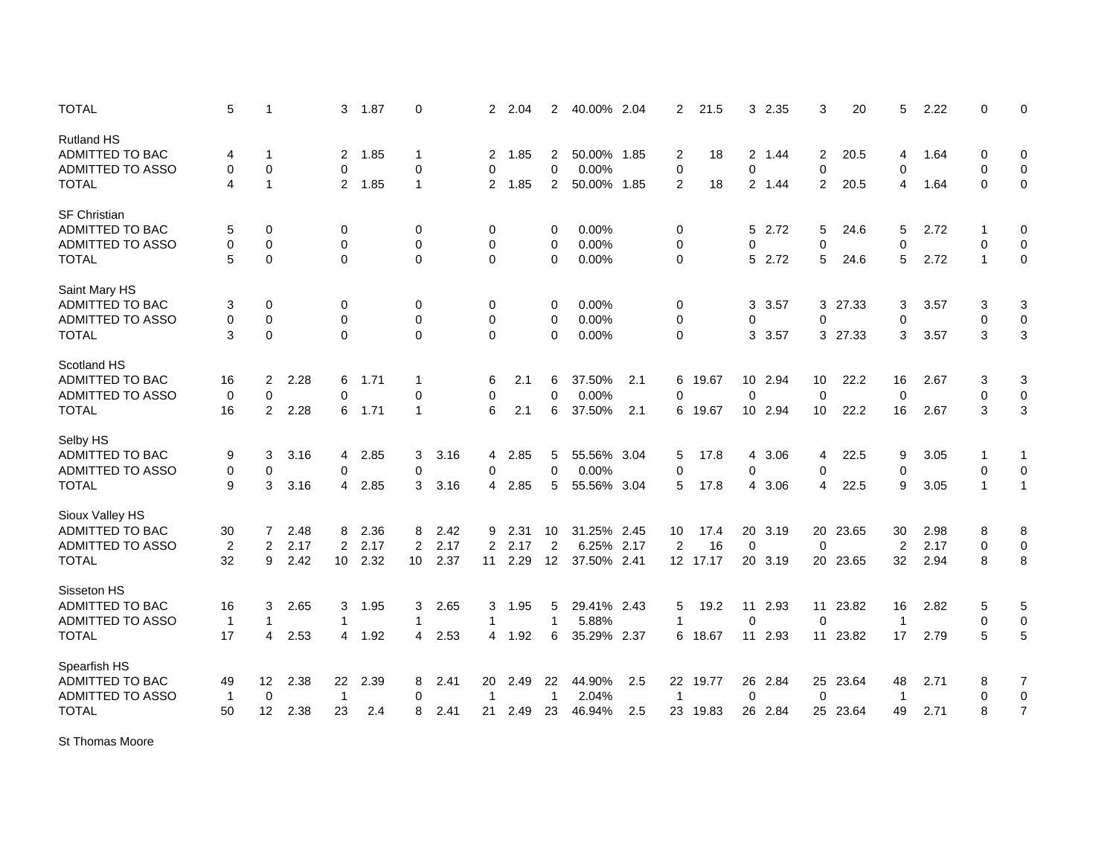| <b>TOTAL</b>            | 5              | $\mathbf{1}$            |      | 3              | 1.87 | $\mathbf 0$    |      | $\overline{2}$ | 2.04 | $\overline{2}$ | 40.00% 2.04 |     | $\overline{2}$ | 21.5     | 3 <sup>1</sup> | 2.35    | 3              | 20       | 5              | 2.22 | $\mathbf 0$  | $\mathbf 0$    |
|-------------------------|----------------|-------------------------|------|----------------|------|----------------|------|----------------|------|----------------|-------------|-----|----------------|----------|----------------|---------|----------------|----------|----------------|------|--------------|----------------|
| <b>Rutland HS</b>       |                |                         |      |                |      |                |      |                |      |                |             |     |                |          |                |         |                |          |                |      |              |                |
| ADMITTED TO BAC         | 4              | 1                       |      | 2              | 1.85 | $\mathbf 1$    |      | 2              | 1.85 | 2              | 50.00% 1.85 |     | 2              | 18       | $\overline{2}$ | 1.44    | 2              | 20.5     | 4              | 1.64 | 0            | 0              |
| ADMITTED TO ASSO        | 0              | $\mathbf 0$             |      | 0              |      | 0              |      | 0              |      | 0              | 0.00%       |     | 0              |          | $\mathbf 0$    |         | 0              |          | 0              |      | 0            | $\mathbf 0$    |
| <b>TOTAL</b>            | 4              | $\mathbf{1}$            |      | $\overline{2}$ | 1.85 | $\mathbf{1}$   |      | $\overline{2}$ | 1.85 | $\overline{c}$ | 50.00% 1.85 |     | $\overline{2}$ | 18       |                | 2 1.44  | $\overline{c}$ | 20.5     | $\overline{4}$ | 1.64 | $\mathbf 0$  | $\mathbf 0$    |
| <b>SF Christian</b>     |                |                         |      |                |      |                |      |                |      |                |             |     |                |          |                |         |                |          |                |      |              |                |
| <b>ADMITTED TO BAC</b>  | 5              | $\mathbf 0$             |      | 0              |      | 0              |      | 0              |      | 0              | 0.00%       |     | 0              |          |                | 5 2.72  | 5              | 24.6     | 5              | 2.72 |              | 0              |
| <b>ADMITTED TO ASSO</b> | 0              | $\mathbf 0$             |      | $\mathbf 0$    |      | 0              |      | 0              |      | 0              | 0.00%       |     | 0              |          | 0              |         | $\mathbf 0$    |          | $\mathbf 0$    |      | $\mathbf 0$  | $\mathbf 0$    |
| <b>TOTAL</b>            | 5              | $\mathbf 0$             |      | $\Omega$       |      | $\Omega$       |      | $\mathbf 0$    |      | $\Omega$       | 0.00%       |     | $\mathbf 0$    |          | 5              | 2.72    | 5              | 24.6     | 5              | 2.72 | $\mathbf 1$  | $\mathbf 0$    |
| Saint Mary HS           |                |                         |      |                |      |                |      |                |      |                |             |     |                |          |                |         |                |          |                |      |              |                |
| <b>ADMITTED TO BAC</b>  | 3              | $\mathbf 0$             |      | 0              |      | 0              |      | 0              |      | 0              | 0.00%       |     | 0              |          | 3              | 3.57    |                | 3 27.33  | 3              | 3.57 | 3            | 3              |
| <b>ADMITTED TO ASSO</b> | 0              | $\mathbf 0$             |      | $\mathbf 0$    |      | $\mathbf 0$    |      | 0              |      | 0              | 0.00%       |     | $\mathbf 0$    |          | 0              |         | 0              |          | 0              |      | 0            | $\mathbf 0$    |
| <b>TOTAL</b>            | 3              | $\pmb{0}$               |      | $\mathbf 0$    |      | $\Omega$       |      | 0              |      | 0              | 0.00%       |     | $\mathbf 0$    |          | 3              | 3.57    |                | 3 27.33  | 3              | 3.57 | 3            | 3              |
|                         |                |                         |      |                |      |                |      |                |      |                |             |     |                |          |                |         |                |          |                |      |              |                |
| Scotland HS             |                |                         |      |                |      |                |      |                |      |                |             |     |                |          |                |         |                |          |                |      |              |                |
| ADMITTED TO BAC         | 16             | $\overline{2}$          | 2.28 | 6              | 1.71 | $\mathbf 1$    |      | 6              | 2.1  | 6              | 37.50%      | 2.1 | 6              | 19.67    |                | 10 2.94 | 10             | 22.2     | 16             | 2.67 | 3            | 3              |
| <b>ADMITTED TO ASSO</b> | $\mathbf 0$    | $\mathbf 0$             |      | 0              |      | $\mathbf 0$    |      | 0              |      | $\mathbf 0$    | 0.00%       |     | 0              |          | $\mathbf 0$    |         | $\mathbf 0$    |          | $\mathbf 0$    |      | $\mathbf 0$  | $\mathbf 0$    |
| <b>TOTAL</b>            | 16             | $\overline{2}$          | 2.28 | 6              | 1.71 | $\mathbf{1}$   |      | 6              | 2.1  | 6              | 37.50%      | 2.1 | 6              | 19.67    |                | 10 2.94 | 10             | 22.2     | 16             | 2.67 | 3            | 3              |
| Selby HS                |                |                         |      |                |      |                |      |                |      |                |             |     |                |          |                |         |                |          |                |      |              |                |
| ADMITTED TO BAC         | 9              | 3                       | 3.16 | 4              | 2.85 | 3              | 3.16 | 4              | 2.85 | 5              | 55.56% 3.04 |     | 5              | 17.8     | 4              | 3.06    | 4              | 22.5     | 9              | 3.05 | -1           | 1              |
| <b>ADMITTED TO ASSO</b> | 0              | 0                       |      | 0              |      | 0              |      | 0              |      | 0              | 0.00%       |     | 0              |          | $\mathbf 0$    |         | 0              |          | $\mathbf 0$    |      | $\mathbf 0$  | $\mathbf 0$    |
| <b>TOTAL</b>            | 9              | 3                       | 3.16 | 4              | 2.85 | 3              | 3.16 | 4              | 2.85 | 5              | 55.56% 3.04 |     | 5              | 17.8     | $\overline{4}$ | 3.06    | 4              | 22.5     | 9              | 3.05 | $\mathbf{1}$ | $\mathbf{1}$   |
| Sioux Valley HS         |                |                         |      |                |      |                |      |                |      |                |             |     |                |          |                |         |                |          |                |      |              |                |
| ADMITTED TO BAC         | 30             | 7                       | 2.48 | 8              | 2.36 | 8              | 2.42 | 9              | 2.31 | 10             | 31.25% 2.45 |     | 10             | 17.4     | 20             | 3.19    |                | 20 23.65 | 30             | 2.98 | 8            | 8              |
| <b>ADMITTED TO ASSO</b> | $\overline{c}$ | $\overline{\mathbf{c}}$ | 2.17 | 2              | 2.17 | $\overline{2}$ | 2.17 | $\overline{2}$ | 2.17 | $\overline{2}$ | 6.25% 2.17  |     | $\overline{2}$ | 16       | $\mathbf 0$    |         | $\mathbf 0$    |          | $\overline{2}$ | 2.17 | 0            | $\pmb{0}$      |
| <b>TOTAL</b>            | 32             | 9                       | 2.42 | 10             | 2.32 | 10             | 2.37 | 11             | 2.29 | 12             | 37.50% 2.41 |     |                | 12 17.17 |                | 20 3.19 |                | 20 23.65 | 32             | 2.94 | 8            | 8              |
| Sisseton HS             |                |                         |      |                |      |                |      |                |      |                |             |     |                |          |                |         |                |          |                |      |              |                |
| <b>ADMITTED TO BAC</b>  | 16             | 3                       | 2.65 | 3              | 1.95 | 3              | 2.65 | 3              | 1.95 | 5              | 29.41% 2.43 |     | 5              | 19.2     |                | 11 2.93 |                | 11 23.82 | 16             | 2.82 | 5            | 5              |
| <b>ADMITTED TO ASSO</b> | $\mathbf{1}$   | $\mathbf 1$             |      | 1              |      | $\mathbf{1}$   |      | $\mathbf{1}$   |      | 1              | 5.88%       |     | 1              |          | $\mathbf 0$    |         | 0              |          | $\overline{1}$ |      | $\mathbf 0$  | $\mathbf 0$    |
| <b>TOTAL</b>            | 17             | 4                       | 2.53 | 4              | 1.92 | 4              |      | 4              | 1.92 | 6              | 35.29% 2.37 |     | 6              | 18.67    |                | 11 2.93 |                | 11 23.82 | 17             | 2.79 | 5            | $\overline{5}$ |
|                         |                |                         |      |                |      |                | 2.53 |                |      |                |             |     |                |          |                |         |                |          |                |      |              |                |
| Spearfish HS            |                |                         |      |                |      |                |      |                |      |                |             |     |                |          |                |         |                |          |                |      |              |                |
| ADMITTED TO BAC         | 49             | 12                      | 2.38 | 22             | 2.39 | 8              | 2.41 | 20             | 2.49 | 22             | 44.90%      | 2.5 |                | 22 19.77 |                | 26 2.84 |                | 25 23.64 | 48             | 2.71 | 8            | 7              |
| ADMITTED TO ASSO        | $\mathbf{1}$   | $\mathbf 0$             |      | $\mathbf{1}$   |      | $\mathbf 0$    |      | 1              |      | 1              | 2.04%       |     | $\mathbf{1}$   |          | $\mathbf 0$    |         | $\mathbf 0$    |          | $\overline{1}$ |      | $\mathbf 0$  | $\mathbf 0$    |
| <b>TOTAL</b>            | 50             | 12                      | 2.38 | 23             | 2.4  | 8              | 2.41 | 21             | 2.49 | 23             | 46.94%      | 2.5 |                | 23 19.83 |                | 26 2.84 |                | 25 23.64 | 49             | 2.71 | 8            | $\overline{7}$ |

St Thomas Moore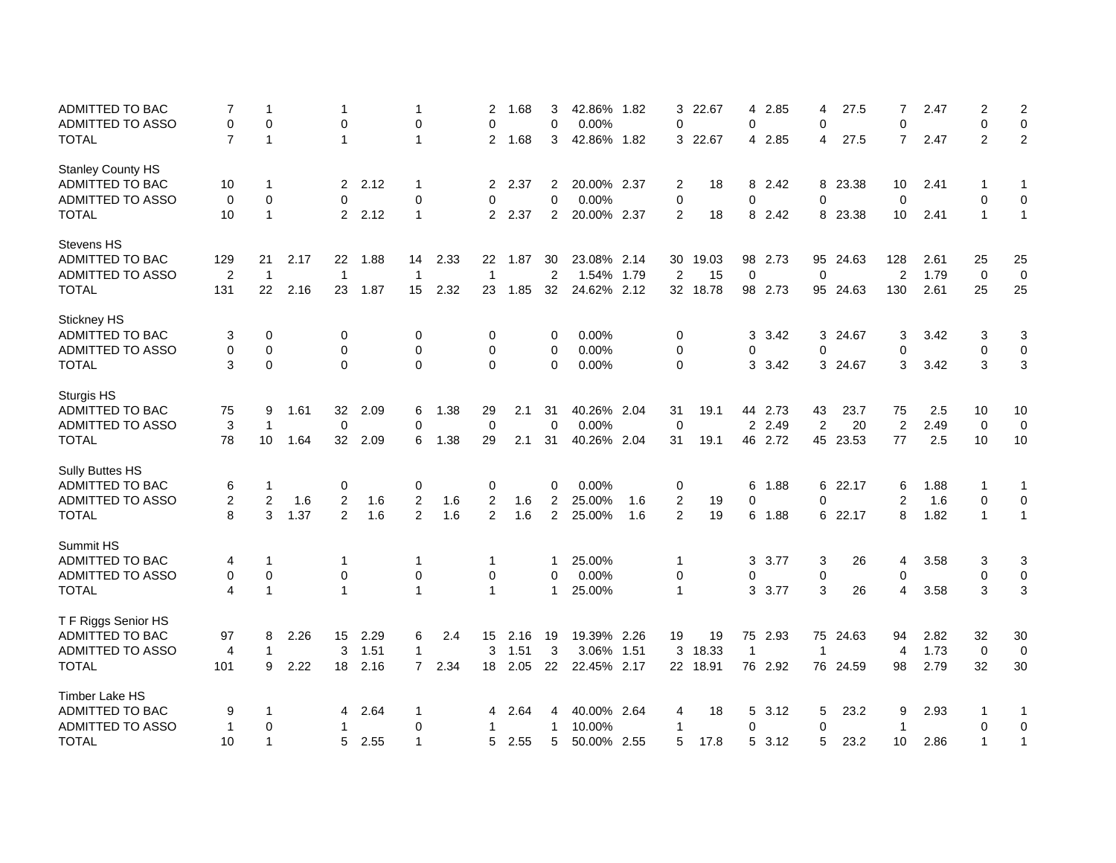| ADMITTED TO BAC          | 7              | -1               |      | 1              |      | 1              |      | 2              | 1.68 | 3              | 42.86% 1.82 |     | 3              | 22.67   | 4              | 2.85    | 4              | 27.5     | 7              | 2.47 | $\overline{2}$ | $\overline{2}$ |
|--------------------------|----------------|------------------|------|----------------|------|----------------|------|----------------|------|----------------|-------------|-----|----------------|---------|----------------|---------|----------------|----------|----------------|------|----------------|----------------|
| ADMITTED TO ASSO         | 0              | 0                |      | 0              |      | $\mathbf 0$    |      | 0              |      | $\mathbf 0$    | 0.00%       |     | $\mathbf 0$    |         | 0              |         | $\mathbf 0$    |          | $\mathbf 0$    |      | 0              | $\pmb{0}$      |
| <b>TOTAL</b>             | $\overline{7}$ | $\overline{1}$   |      | 1              |      | $\mathbf{1}$   |      | $\overline{2}$ | 1.68 | 3              | 42.86% 1.82 |     |                | 3 22.67 | 4              | 2.85    | 4              | 27.5     | $\overline{7}$ | 2.47 | $\overline{2}$ | $\overline{c}$ |
| <b>Stanley County HS</b> |                |                  |      |                |      |                |      |                |      |                |             |     |                |         |                |         |                |          |                |      |                |                |
| ADMITTED TO BAC          | 10             | -1               |      | $\overline{2}$ | 2.12 | 1              |      | $\overline{2}$ | 2.37 | 2              | 20.00% 2.37 |     | $\overline{2}$ | 18      | 8              | 2.42    |                | 8 23.38  | 10             | 2.41 | 1              | 1              |
| <b>ADMITTED TO ASSO</b>  | $\mathbf 0$    | $\mathbf 0$      |      | $\Omega$       |      | 0              |      | 0              |      | $\mathbf{0}$   | 0.00%       |     | $\mathbf 0$    |         | 0              |         | $\Omega$       |          | $\mathbf 0$    |      | $\mathbf{0}$   | $\mathbf 0$    |
| <b>TOTAL</b>             | 10             | $\overline{1}$   |      | $\overline{2}$ | 2.12 | $\mathbf{1}$   |      | $\overline{2}$ | 2.37 | 2              | 20.00% 2.37 |     | 2              | 18      | 8              | 2.42    |                | 8 23.38  | 10             | 2.41 | $\mathbf{1}$   | $\mathbf{1}$   |
| <b>Stevens HS</b>        |                |                  |      |                |      |                |      |                |      |                |             |     |                |         |                |         |                |          |                |      |                |                |
| ADMITTED TO BAC          | 129            | 21               | 2.17 | 22             | 1.88 | 14             | 2.33 | 22             | 1.87 | 30             | 23.08% 2.14 |     | 30             | 19.03   | 98             | 2.73    | 95             | 24.63    | 128            | 2.61 | 25             | 25             |
| ADMITTED TO ASSO         | $\overline{2}$ | $\overline{1}$   |      | $\overline{1}$ |      | $\mathbf{1}$   |      | $\mathbf{1}$   |      | $\overline{c}$ | 1.54% 1.79  |     | $\overline{2}$ | 15      | $\mathbf 0$    |         | $\pmb{0}$      |          | $\overline{2}$ | 1.79 | $\pmb{0}$      | $\mathbf 0$    |
| <b>TOTAL</b>             | 131            | 22               | 2.16 | 23             | 1.87 | 15             | 2.32 | 23             | 1.85 | 32             | 24.62% 2.12 |     | 32             | 18.78   | 98             | 2.73    |                | 95 24.63 | 130            | 2.61 | 25             | 25             |
| Stickney HS              |                |                  |      |                |      |                |      |                |      |                |             |     |                |         |                |         |                |          |                |      |                |                |
| ADMITTED TO BAC          | 3              | 0                |      | 0              |      | 0              |      | 0              |      | 0              | 0.00%       |     | 0              |         | 3              | 3.42    | 3              | 24.67    | 3              | 3.42 | 3              | 3              |
| ADMITTED TO ASSO         | 0              | 0                |      | 0              |      | 0              |      | 0              |      | 0              | 0.00%       |     | 0              |         | 0              |         | $\mathbf 0$    |          | 0              |      | 0              | 0              |
| <b>TOTAL</b>             | 3              | $\boldsymbol{0}$ |      | $\Omega$       |      | $\Omega$       |      | $\mathbf 0$    |      | $\mathbf{0}$   | 0.00%       |     | $\mathbf 0$    |         | 3              | 3.42    |                | 3 24.67  | 3              | 3.42 | 3              | $\sqrt{3}$     |
| Sturgis HS               |                |                  |      |                |      |                |      |                |      |                |             |     |                |         |                |         |                |          |                |      |                |                |
| ADMITTED TO BAC          | 75             | 9                | 1.61 | 32             | 2.09 | 6              | 1.38 | 29             | 2.1  | 31             | 40.26% 2.04 |     | 31             | 19.1    |                | 44 2.73 | 43             | 23.7     | 75             | 2.5  | 10             | 10             |
| ADMITTED TO ASSO         | 3              | $\overline{1}$   |      | $\mathbf 0$    |      | $\mathbf 0$    |      | $\mathbf 0$    |      | $\mathbf 0$    | 0.00%       |     | $\mathbf 0$    |         | $\overline{2}$ | 2.49    | $\overline{2}$ | 20       | $\overline{c}$ | 2.49 | $\mathbf 0$    | $\mathbf 0$    |
| <b>TOTAL</b>             | 78             | 10               | 1.64 | 32             | 2.09 | 6              | 1.38 | 29             | 2.1  | 31             | 40.26% 2.04 |     | 31             | 19.1    |                | 46 2.72 |                | 45 23.53 | 77             | 2.5  | 10             | 10             |
| Sully Buttes HS          |                |                  |      |                |      |                |      |                |      |                |             |     |                |         |                |         |                |          |                |      |                |                |
| ADMITTED TO BAC          | 6              | $\overline{1}$   |      | 0              |      | 0              |      | 0              |      | 0              | 0.00%       |     | 0              |         | 6              | 1.88    | 6              | 22.17    | 6              | 1.88 | 1              | 1              |
| ADMITTED TO ASSO         | $\overline{2}$ | 2                | 1.6  | $\overline{2}$ | 1.6  | 2              | 1.6  | $\overline{2}$ | 1.6  | $\overline{2}$ | 25.00%      | 1.6 | $\overline{c}$ | 19      | 0              |         | $\mathbf 0$    |          | 2              | 1.6  | 0              | $\mathbf 0$    |
| <b>TOTAL</b>             | 8              | 3                | 1.37 | $\overline{2}$ | 1.6  | 2              | 1.6  | 2              | 1.6  | $\overline{2}$ | 25.00%      | 1.6 | $\overline{2}$ | 19      | 6              | 1.88    | 6              | 22.17    | 8              | 1.82 | $\mathbf{1}$   | $\mathbf{1}$   |
| Summit HS                |                |                  |      |                |      |                |      |                |      |                |             |     |                |         |                |         |                |          |                |      |                |                |
| ADMITTED TO BAC          | 4              | 1                |      | 1              |      | $\mathbf 1$    |      | 1              |      | 1              | 25.00%      |     | $\mathbf 1$    |         | 3              | 3.77    | 3              | 26       | 4              | 3.58 | 3              | 3              |
| ADMITTED TO ASSO         | 0              | 0                |      | 0              |      | $\pmb{0}$      |      | 0              |      | 0              | 0.00%       |     | $\pmb{0}$      |         | 0              |         | 0              |          | 0              |      | 0              | $\pmb{0}$      |
| <b>TOTAL</b>             | 4              | $\overline{1}$   |      | 1              |      | $\mathbf{1}$   |      | $\mathbf{1}$   |      | 1              | 25.00%      |     | $\overline{1}$ |         | 3              | 3.77    | 3              | 26       | 4              | 3.58 | 3              | 3              |
| T F Riggs Senior HS      |                |                  |      |                |      |                |      |                |      |                |             |     |                |         |                |         |                |          |                |      |                |                |
| ADMITTED TO BAC          | 97             | 8                | 2.26 | 15             | 2.29 | 6              | 2.4  | 15             | 2.16 | 19             | 19.39% 2.26 |     | 19             | 19      |                | 75 2.93 |                | 75 24.63 | 94             | 2.82 | 32             | 30             |
| <b>ADMITTED TO ASSO</b>  | $\overline{4}$ | $\mathbf 1$      |      | 3              | 1.51 | $\mathbf{1}$   |      | 3              | 1.51 | 3              | 3.06% 1.51  |     | 3              | 18.33   | $\mathbf{1}$   |         | $\mathbf{1}$   |          | 4              | 1.73 | $\mathbf 0$    | $\mathbf 0$    |
| <b>TOTAL</b>             | 101            | 9                | 2.22 | 18             | 2.16 | $\overline{7}$ | 2.34 | 18             | 2.05 | 22             | 22.45% 2.17 |     | 22             | 18.91   |                | 76 2.92 |                | 76 24.59 | 98             | 2.79 | 32             | 30             |
| <b>Timber Lake HS</b>    |                |                  |      |                |      |                |      |                |      |                |             |     |                |         |                |         |                |          |                |      |                |                |
| <b>ADMITTED TO BAC</b>   | 9              | $\mathbf 1$      |      | 4              | 2.64 | $\mathbf{1}$   |      | 4              | 2.64 | 4              | 40.00% 2.64 |     | 4              | 18      | 5              | 3.12    | 5              | 23.2     | 9              | 2.93 | 1              | 1              |
| <b>ADMITTED TO ASSO</b>  | $\mathbf{1}$   | 0                |      | 1              |      | 0              |      | 1              |      | 1              | 10.00%      |     | $\mathbf 1$    |         | 0              |         | $\mathbf 0$    |          | $\overline{1}$ |      | 0              | $\mathbf 0$    |
| <b>TOTAL</b>             | 10             | $\mathbf{1}$     |      | 5              | 2.55 | 1              |      | 5              | 2.55 | 5              | 50.00% 2.55 |     | 5              | 17.8    | 5              | 3.12    | 5              | 23.2     | 10             | 2.86 | $\mathbf{1}$   | 1              |
|                          |                |                  |      |                |      |                |      |                |      |                |             |     |                |         |                |         |                |          |                |      |                |                |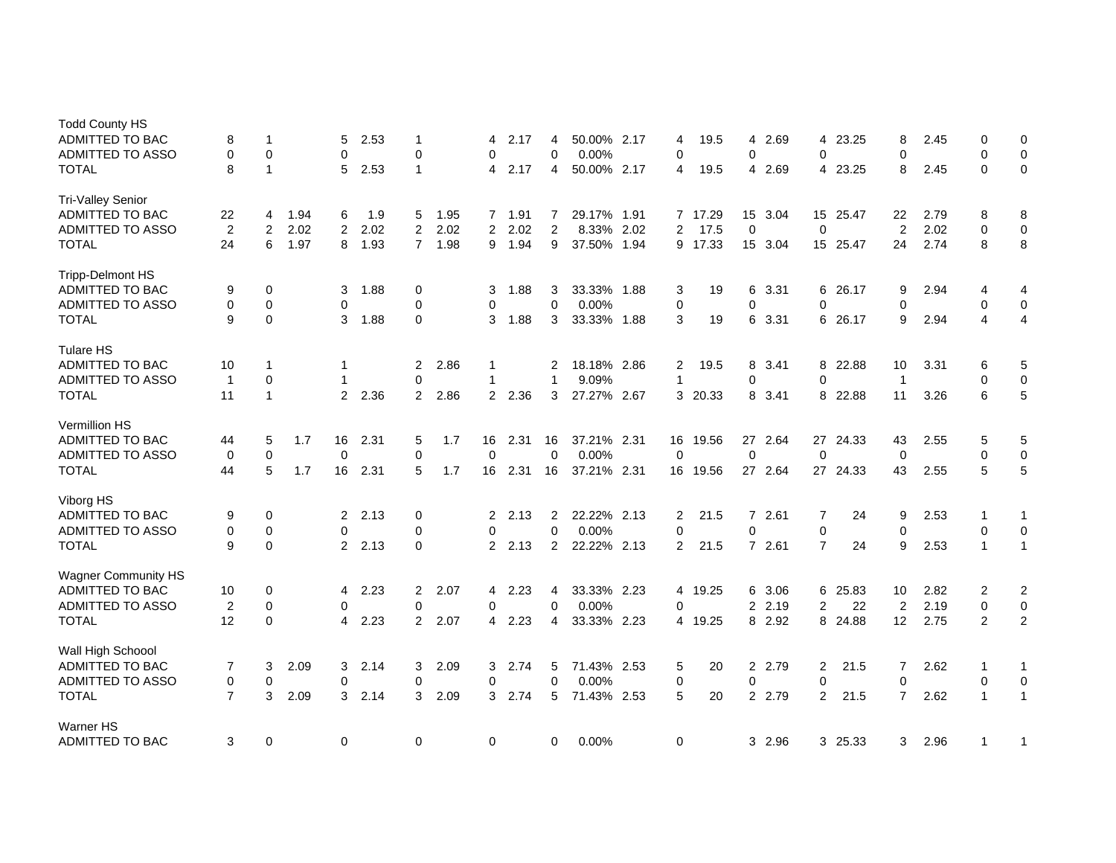| <b>Todd County HS</b><br><b>ADMITTED TO BAC</b><br><b>ADMITTED TO ASSO</b> | 8<br>0         | 1<br>$\mathbf 0$ |      | 5<br>$\mathbf 0$ | 2.53 | $\mathbf 1$<br>$\Omega$ |      | 4<br>$\Omega$  | 2.17 | 4<br>0         | 50.00% 2.17<br>0.00% |      | 4<br>$\mathbf 0$ | 19.5    | 4<br>$\Omega$        | 2.69    | $\Omega$       | 4 23.25  | 8<br>$\Omega$  | 2.45 | 0<br>$\Omega$ | 0<br>$\mathbf 0$ |
|----------------------------------------------------------------------------|----------------|------------------|------|------------------|------|-------------------------|------|----------------|------|----------------|----------------------|------|------------------|---------|----------------------|---------|----------------|----------|----------------|------|---------------|------------------|
| TOTAL                                                                      | 8              | $\mathbf{1}$     |      | 5                | 2.53 | $\mathbf{1}$            |      | 4              | 2.17 | 4              | 50.00% 2.17          |      | 4                | 19.5    | 4                    | 2.69    | 4              | 23.25    | 8              | 2.45 | $\Omega$      | $\mathbf 0$      |
| <b>Tri-Valley Senior</b>                                                   |                |                  |      |                  |      |                         |      |                |      |                |                      |      |                  |         |                      |         |                |          |                |      |               |                  |
| ADMITTED TO BAC                                                            | 22             | 4                | 1.94 | 6                | 1.9  | 5                       | 1.95 | $\overline{7}$ | 1.91 | 7              | 29.17% 1.91          |      |                  | 7 17.29 | 15                   | 3.04    |                | 15 25.47 | 22             | 2.79 | 8             | 8                |
| <b>ADMITTED TO ASSO</b>                                                    | $\overline{2}$ | 2                | 2.02 | $\overline{2}$   | 2.02 | $\overline{2}$          | 2.02 | $\overline{2}$ | 2.02 | $\overline{2}$ | 8.33%                | 2.02 | 2                | 17.5    | $\mathbf 0$          |         | $\mathbf 0$    |          | 2              | 2.02 | 0             | $\pmb{0}$        |
| TOTAL                                                                      | 24             | 6                | 1.97 | 8                | 1.93 | $\overline{7}$          | 1.98 | 9              | 1.94 | 9              | 37.50%               | 1.94 |                  | 9 17.33 | 15                   | 3.04    |                | 15 25.47 | 24             | 2.74 | 8             | 8                |
| <b>Tripp-Delmont HS</b>                                                    |                |                  |      |                  |      |                         |      |                |      |                |                      |      |                  |         |                      |         |                |          |                |      |               |                  |
| ADMITTED TO BAC                                                            | 9              | 0                |      | 3                | 1.88 | 0                       |      | 3              | 1.88 | 3              | 33.33% 1.88          |      | 3                | 19      | 6                    | 3.31    | 6              | 26.17    | 9              | 2.94 | 4             | 4                |
| <b>ADMITTED TO ASSO</b>                                                    | $\mathbf 0$    | $\mathbf 0$      |      | $\mathbf 0$      |      | $\mathbf 0$             |      | 0              |      | 0              | 0.00%                |      | $\mathbf 0$      |         | $\Omega$             |         | $\Omega$       |          | $\mathbf 0$    |      | $\mathbf 0$   | $\pmb{0}$        |
| <b>TOTAL</b>                                                               | 9              | $\mathbf 0$      |      | 3                | 1.88 | $\mathbf 0$             |      | 3              | 1.88 | 3              | 33.33% 1.88          |      | 3                | 19      | 6                    | 3.31    | 6              | 26.17    | 9              | 2.94 | 4             | 4                |
| <b>Tulare HS</b>                                                           |                |                  |      |                  |      |                         |      |                |      |                |                      |      |                  |         |                      |         |                |          |                |      |               |                  |
| ADMITTED TO BAC                                                            | 10             | 1                |      | 1                |      | 2                       | 2.86 | 1              |      | 2              | 18.18% 2.86          |      | 2                | 19.5    | 8                    | 3.41    | 8              | 22.88    | 10             | 3.31 | 6             | 5                |
| <b>ADMITTED TO ASSO</b>                                                    | $\mathbf{1}$   | $\mathbf 0$      |      | 1                |      | $\mathbf 0$             |      | $\mathbf 1$    |      | 1              | 9.09%                |      | $\mathbf{1}$     |         | 0                    |         | $\Omega$       |          | $\overline{1}$ |      | $\mathbf 0$   | $\pmb{0}$        |
| TOTAL                                                                      | 11             | $\mathbf{1}$     |      | $\overline{2}$   | 2.36 | 2                       | 2.86 | $\overline{2}$ | 2.36 | 3              | 27.27% 2.67          |      | 3                | 20.33   | 8                    | 3.41    | 8              | 22.88    | 11             | 3.26 | 6             | 5                |
| Vermillion HS                                                              |                |                  |      |                  |      |                         |      |                |      |                |                      |      |                  |         |                      |         |                |          |                |      |               |                  |
| <b>ADMITTED TO BAC</b>                                                     | 44             | 5                | 1.7  | 16               | 2.31 | 5                       | 1.7  | 16             | 2.31 | 16             | 37.21% 2.31          |      | 16               | 19.56   | 27                   | 2.64    |                | 27 24.33 | 43             | 2.55 | 5             | 5                |
| <b>ADMITTED TO ASSO</b>                                                    | 0              | $\mathbf 0$      |      | $\mathbf 0$      |      | $\mathbf 0$             |      | 0              |      | 0              | 0.00%                |      | $\mathbf 0$      |         | $\mathbf 0$          |         | $\mathbf 0$    |          | $\mathbf 0$    |      | $\mathbf 0$   | $\pmb{0}$        |
| <b>TOTAL</b>                                                               | 44             | 5                | 1.7  | 16               | 2.31 | 5                       | 1.7  | 16             | 2.31 | 16             | 37.21% 2.31          |      | 16               | 19.56   |                      | 27 2.64 |                | 27 24.33 | 43             | 2.55 | 5             | $\mathbf 5$      |
| Viborg HS                                                                  |                |                  |      |                  |      |                         |      |                |      |                |                      |      |                  |         |                      |         |                |          |                |      |               |                  |
| <b>ADMITTED TO BAC</b>                                                     | 9              | 0                |      | 2                | 2.13 | 0                       |      | 2              | 2.13 | 2              | 22.22% 2.13          |      | 2                | 21.5    | $\overline{7}$       | 2.61    | 7              | 24       | 9              | 2.53 | 1             | 1                |
| <b>ADMITTED TO ASSO</b>                                                    | 0              | 0                |      | 0                |      | 0                       |      | 0              |      | 0              | 0.00%                |      | $\mathbf 0$      |         | 0                    |         | $\pmb{0}$      |          | 0              |      | 0             | 0                |
| <b>TOTAL</b>                                                               | 9              | $\mathbf 0$      |      | $\overline{2}$   | 2.13 | $\Omega$                |      | $\mathbf{2}$   | 2.13 | $\overline{2}$ | 22.22% 2.13          |      | 2                | 21.5    |                      | 7 2.61  | $\overline{7}$ | 24       | 9              | 2.53 | 1             | $\mathbf{1}$     |
| <b>Wagner Community HS</b>                                                 |                |                  |      |                  |      |                         |      |                |      |                |                      |      |                  |         |                      |         |                |          |                |      |               |                  |
| <b>ADMITTED TO BAC</b>                                                     | 10             | 0                |      | 4                | 2.23 | 2                       | 2.07 | 4              | 2.23 | 4              | 33.33% 2.23          |      | 4                | 19.25   | 6                    | 3.06    | 6              | 25.83    | 10             | 2.82 | 2             | $\boldsymbol{2}$ |
| <b>ADMITTED TO ASSO</b>                                                    | 2              | 0                |      | 0                |      | $\mathbf 0$             |      | 0              |      | 0              | 0.00%                |      | $\mathbf 0$      |         | $\overline{2}$       | 2.19    | $\overline{2}$ | 22       | $\overline{2}$ | 2.19 | 0             | 0                |
| TOTAL                                                                      | 12             | $\mathbf 0$      |      | 4                | 2.23 | $\overline{2}$          | 2.07 | 4              | 2.23 | 4              | 33.33% 2.23          |      | 4                | 19.25   |                      | 8 2.92  |                | 8 24.88  | 12             | 2.75 | 2             | $\overline{2}$   |
| Wall High Schoool                                                          |                |                  |      |                  |      |                         |      |                |      |                |                      |      |                  |         |                      |         |                |          |                |      |               |                  |
| ADMITTED TO BAC                                                            | 7              | 3                | 2.09 | 3                | 2.14 | 3                       | 2.09 | 3              | 2.74 | 5              | 71.43% 2.53          |      | 5                | 20      | $\overline{2}$       | 2.79    | 2              | 21.5     | 7              | 2.62 | $\mathbf 1$   | 1                |
| <b>ADMITTED TO ASSO</b>                                                    | 0              | 0                |      | 0                |      | 0                       |      | 0              |      | 0              | 0.00%                |      | 0                |         | 0                    |         | 0              |          | 0              |      | 0             | $\pmb{0}$        |
|                                                                            | $\overline{7}$ |                  |      |                  |      |                         |      |                |      |                |                      |      |                  |         |                      |         |                |          | $\overline{7}$ |      |               |                  |
| <b>TOTAL</b>                                                               |                | 3                | 2.09 | 3                | 2.14 | 3                       | 2.09 | 3              | 2.74 | 5              | 71.43% 2.53          |      | 5                | 20      | $\mathbf{2}^{\circ}$ | 2.79    | 2              | 21.5     |                | 2.62 | $\mathbf{1}$  | $\mathbf{1}$     |
| <b>Warner HS</b>                                                           |                |                  |      |                  |      |                         |      |                |      |                |                      |      |                  |         |                      |         |                |          |                |      |               |                  |
| ADMITTED TO BAC                                                            | 3              | 0                |      | 0                |      | 0                       |      | 0              |      | 0              | 0.00%                |      | 0                |         |                      | 3 2.96  |                | 3 25.33  | 3              | 2.96 | $\mathbf 1$   | 1                |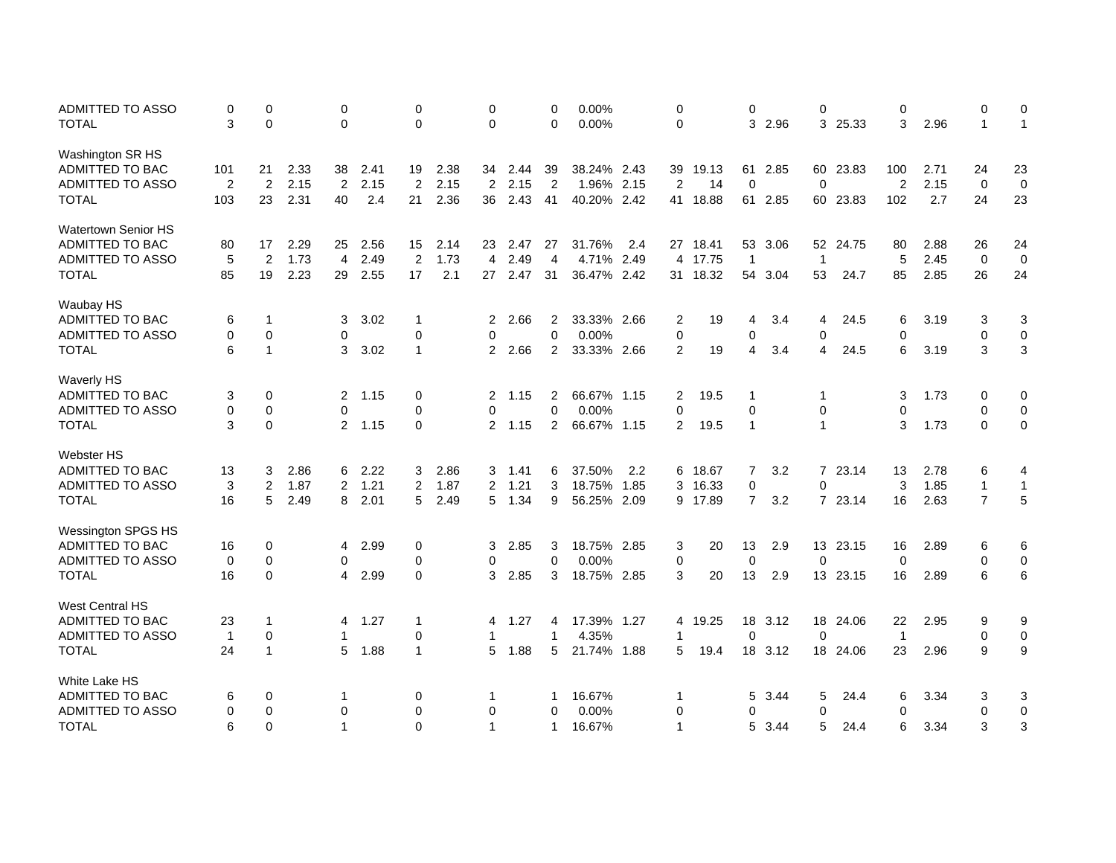| ADMITTED TO ASSO           | 0              | 0            |      | 0              |      | 0              |      | 0              |      | 0              | 0.00%       |      | 0              |          | 0              |         | 0              |          | 0              |      | 0              | 0            |
|----------------------------|----------------|--------------|------|----------------|------|----------------|------|----------------|------|----------------|-------------|------|----------------|----------|----------------|---------|----------------|----------|----------------|------|----------------|--------------|
| <b>TOTAL</b>               | 3              | 0            |      | 0              |      | $\mathbf 0$    |      | 0              |      | 0              | 0.00%       |      | 0              |          | 3              | 2.96    | 3              | 25.33    | 3              | 2.96 | $\mathbf{1}$   | $\mathbf{1}$ |
| Washington SR HS           |                |              |      |                |      |                |      |                |      |                |             |      |                |          |                |         |                |          |                |      |                |              |
| ADMITTED TO BAC            | 101            | 21           | 2.33 | 38             | 2.41 | 19             | 2.38 | 34             | 2.44 | 39             | 38.24% 2.43 |      | 39             | 19.13    | 61             | 2.85    |                | 60 23.83 | 100            | 2.71 | 24             | 23           |
| <b>ADMITTED TO ASSO</b>    | $\overline{2}$ | 2            | 2.15 | $\overline{2}$ | 2.15 | 2              | 2.15 | $\overline{2}$ | 2.15 | $\overline{2}$ | 1.96% 2.15  |      | 2              | 14       | 0              |         | $\mathbf 0$    |          | $\overline{2}$ | 2.15 | 0              | $\mathbf 0$  |
| <b>TOTAL</b>               | 103            | 23           | 2.31 | 40             | 2.4  | 21             | 2.36 | 36             | 2.43 | 41             | 40.20% 2.42 |      |                | 41 18.88 |                | 61 2.85 |                | 60 23.83 | 102            | 2.7  | 24             | 23           |
| <b>Watertown Senior HS</b> |                |              |      |                |      |                |      |                |      |                |             |      |                |          |                |         |                |          |                |      |                |              |
| ADMITTED TO BAC            | 80             | 17           | 2.29 | 25             | 2.56 | 15             | 2.14 | 23             | 2.47 | 27             | 31.76%      | 2.4  | 27             | 18.41    | 53             | 3.06    |                | 52 24.75 | 80             | 2.88 | 26             | 24           |
| ADMITTED TO ASSO           | 5              | 2            | 1.73 | 4              | 2.49 | $\overline{2}$ | 1.73 | $\overline{4}$ | 2.49 | $\overline{4}$ | 4.71%       | 2.49 | 4              | 17.75    | $\mathbf{1}$   |         | $\overline{1}$ |          | 5              | 2.45 | $\mathbf 0$    | 0            |
| <b>TOTAL</b>               | 85             | 19           | 2.23 | 29             | 2.55 | 17             | 2.1  | 27             | 2.47 | 31             | 36.47% 2.42 |      |                | 31 18.32 | 54             | 3.04    | 53             | 24.7     | 85             | 2.85 | 26             | 24           |
| Waubay HS                  |                |              |      |                |      |                |      |                |      |                |             |      |                |          |                |         |                |          |                |      |                |              |
| ADMITTED TO BAC            | 6              | 1            |      | 3              | 3.02 | $\mathbf 1$    |      | $\overline{2}$ | 2.66 | 2              | 33.33% 2.66 |      | 2              | 19       | 4              | 3.4     | 4              | 24.5     | 6              | 3.19 | 3              | 3            |
| ADMITTED TO ASSO           | 0              | $\mathbf 0$  |      | 0              |      | $\mathbf 0$    |      | $\Omega$       |      | $\overline{0}$ | 0.00%       |      | $\mathbf 0$    |          | 0              |         | $\mathbf 0$    |          | 0              |      | 0              | $\mathbf 0$  |
| <b>TOTAL</b>               | 6              | $\mathbf{1}$ |      | 3              | 3.02 | $\overline{1}$ |      | $\overline{2}$ | 2.66 | 2              | 33.33% 2.66 |      | 2              | 19       | 4              | 3.4     | $\overline{4}$ | 24.5     | 6              | 3.19 | 3              | 3            |
| <b>Waverly HS</b>          |                |              |      |                |      |                |      |                |      |                |             |      |                |          |                |         |                |          |                |      |                |              |
| ADMITTED TO BAC            | 3              | 0            |      | $\overline{2}$ | 1.15 | 0              |      | $\overline{2}$ | 1.15 | 2              | 66.67% 1.15 |      | 2              | 19.5     | -1             |         | $\mathbf 1$    |          | 3              | 1.73 | 0              | 0            |
| <b>ADMITTED TO ASSO</b>    | 0              | $\mathbf 0$  |      | 0              |      | $\Omega$       |      | $\Omega$       |      | $\mathbf 0$    | 0.00%       |      | $\mathbf 0$    |          | $\Omega$       |         | $\mathbf 0$    |          | 0              |      | $\Omega$       | $\pmb{0}$    |
| <b>TOTAL</b>               | 3              | $\mathbf 0$  |      | $\overline{2}$ | 1.15 | 0              |      | 2              | 1.15 | $\overline{c}$ | 66.67% 1.15 |      | 2              | 19.5     | $\overline{1}$ |         | $\mathbf{1}$   |          | 3              | 1.73 | 0              | $\pmb{0}$    |
| <b>Webster HS</b>          |                |              |      |                |      |                |      |                |      |                |             |      |                |          |                |         |                |          |                |      |                |              |
| ADMITTED TO BAC            | 13             | 3            | 2.86 | 6              | 2.22 | 3              | 2.86 | 3              | 1.41 | 6              | 37.50%      | 2.2  |                | 6 18.67  | $\overline{7}$ | 3.2     |                | 7 23.14  | 13             | 2.78 | 6              | 4            |
| <b>ADMITTED TO ASSO</b>    | 3              | 2            | 1.87 | 2              | 1.21 | $\overline{2}$ | 1.87 | $\overline{2}$ | 1.21 | 3              | 18.75% 1.85 |      | 3              | 16.33    | 0              |         | 0              |          | 3              | 1.85 | $\mathbf{1}$   | $\mathbf{1}$ |
| <b>TOTAL</b>               | 16             | 5            | 2.49 | 8              | 2.01 | 5              | 2.49 | 5              | 1.34 | 9              | 56.25% 2.09 |      | 9              | 17.89    | $\overline{7}$ | 3.2     |                | 7 23.14  | 16             | 2.63 | $\overline{7}$ | 5            |
| Wessington SPGS HS         |                |              |      |                |      |                |      |                |      |                |             |      |                |          |                |         |                |          |                |      |                |              |
| ADMITTED TO BAC            | 16             | 0            |      | 4              | 2.99 | 0              |      | 3              | 2.85 | 3              | 18.75% 2.85 |      | 3              | 20       | 13             | 2.9     |                | 13 23.15 | 16             | 2.89 | 6              | 6            |
| ADMITTED TO ASSO           | $\mathbf 0$    | 0            |      | 0              |      | 0              |      | 0              |      | $\mathbf 0$    | 0.00%       |      | 0              |          | 0              |         | $\mathbf 0$    |          | $\mathbf 0$    |      | $\mathbf 0$    | $\pmb{0}$    |
| <b>TOTAL</b>               | 16             | $\mathbf 0$  |      | 4              | 2.99 | $\mathbf 0$    |      | 3              | 2.85 | 3              | 18.75% 2.85 |      | 3              | 20       | 13             | 2.9     |                | 13 23.15 | 16             | 2.89 | 6              | $\,6$        |
| <b>West Central HS</b>     |                |              |      |                |      |                |      |                |      |                |             |      |                |          |                |         |                |          |                |      |                |              |
| ADMITTED TO BAC            | 23             | $\mathbf{1}$ |      | 4              | 1.27 | $\mathbf 1$    |      | 4              | 1.27 | 4              | 17.39% 1.27 |      | 4              | 19.25    |                | 18 3.12 |                | 18 24.06 | 22             | 2.95 | 9              | 9            |
| <b>ADMITTED TO ASSO</b>    | $\overline{1}$ | 0            |      | 1              |      | $\pmb{0}$      |      | 1              |      | 1              | 4.35%       |      | 1              |          | $\Omega$       |         | $\mathbf 0$    |          | $\overline{1}$ |      | $\mathbf 0$    | $\pmb{0}$    |
| <b>TOTAL</b>               | 24             | $\mathbf{1}$ |      | 5              | 1.88 | $\overline{1}$ |      | 5              | 1.88 | 5              | 21.74% 1.88 |      | 5              | 19.4     | 18             | 3.12    |                | 18 24.06 | 23             | 2.96 | 9              | 9            |
| White Lake HS              |                |              |      |                |      |                |      |                |      |                |             |      |                |          |                |         |                |          |                |      |                |              |
| ADMITTED TO BAC            | 6              | 0            |      | $\mathbf 1$    |      | 0              |      | 1              |      | 1              | 16.67%      |      | -1             |          | 5              | 3.44    | 5              | 24.4     | 6              | 3.34 | 3              | 3            |
| ADMITTED TO ASSO           | 0              | $\mathbf 0$  |      | $\Omega$       |      | 0              |      | 0              |      | $\Omega$       | 0.00%       |      | 0              |          | $\Omega$       |         | $\mathbf 0$    |          | $\Omega$       |      | $\mathbf 0$    | $\pmb{0}$    |
| <b>TOTAL</b>               | 6              | $\Omega$     |      | 1              |      | $\mathbf 0$    |      | $\mathbf{1}$   |      | 1              | 16.67%      |      | $\overline{1}$ |          | 5              | 3.44    | 5              | 24.4     | 6              | 3.34 | 3              | 3            |
|                            |                |              |      |                |      |                |      |                |      |                |             |      |                |          |                |         |                |          |                |      |                |              |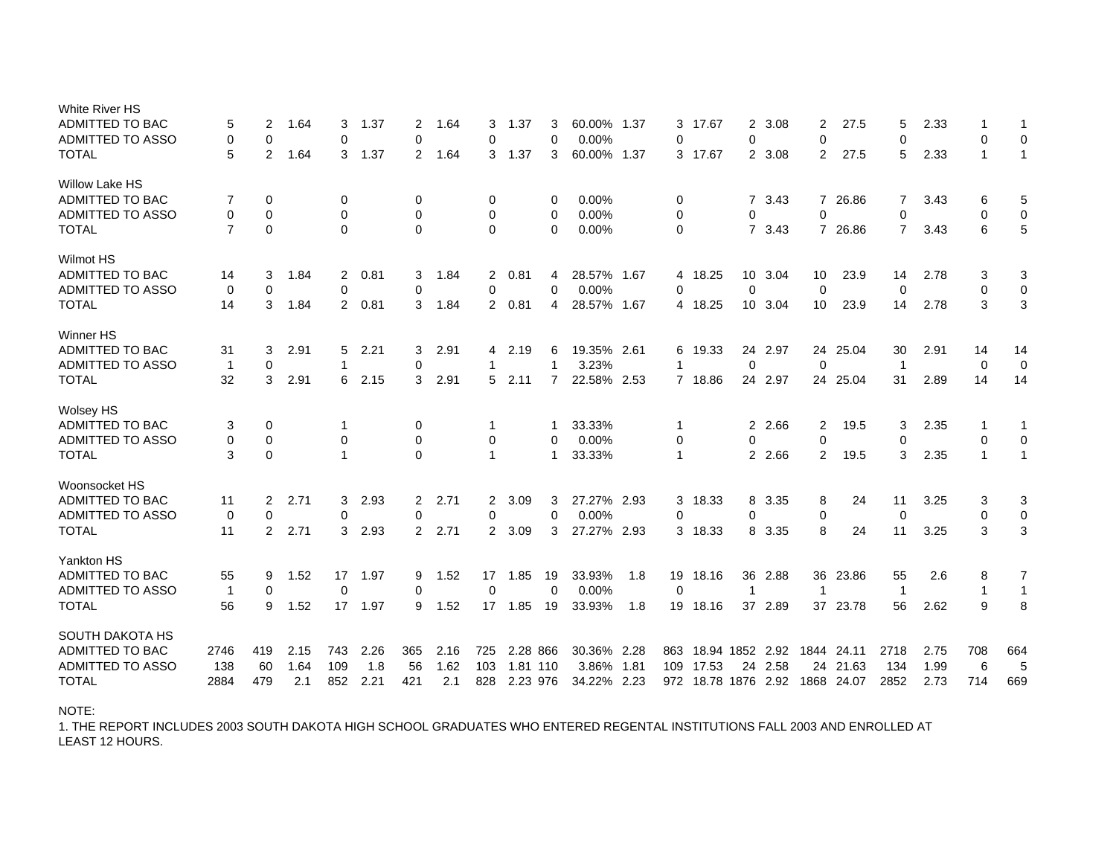| White River HS                          |                |                |      |                |         |             |      |                |          |                |             |      |                |            |                 |         |                |            |                |      |              |              |
|-----------------------------------------|----------------|----------------|------|----------------|---------|-------------|------|----------------|----------|----------------|-------------|------|----------------|------------|-----------------|---------|----------------|------------|----------------|------|--------------|--------------|
| <b>ADMITTED TO BAC</b>                  | 5              | 2              | 1.64 | 3              | 1.37    | 2           | 1.64 | 3              | 1.37     | 3              | 60.00% 1.37 |      | 3              | 17.67      | $\mathbf{2}$    | 3.08    | 2              | 27.5       | 5              | 2.33 |              | 1            |
| <b>ADMITTED TO ASSO</b>                 | $\mathbf 0$    | $\mathbf 0$    |      | 0              |         | $\Omega$    |      | 0              |          | $\Omega$       | 0.00%       |      | $\Omega$       |            | 0               |         | 0              |            | 0              |      | 0            | $\mathbf 0$  |
| <b>TOTAL</b>                            | 5              | 2              | 1.64 | 3              | 1.37    | 2           | 1.64 | 3              | 1.37     | 3              | 60.00% 1.37 |      |                | 3 17.67    |                 | 2 3.08  | 2              | 27.5       | 5              | 2.33 | $\mathbf{1}$ | $\mathbf{1}$ |
| <b>Willow Lake HS</b>                   |                |                |      |                |         |             |      |                |          |                |             |      |                |            |                 |         |                |            |                |      |              |              |
| <b>ADMITTED TO BAC</b>                  | 7              | $\mathbf 0$    |      | 0              |         | 0           |      | 0              |          | 0              | 0.00%       |      | 0              |            | $7^{\circ}$     | 3.43    |                | 7 26.86    | 7              | 3.43 | 6            | 5            |
| <b>ADMITTED TO ASSO</b>                 | 0              | $\mathbf 0$    |      | 0              |         | 0           |      | 0              |          | 0              | 0.00%       |      | 0              |            | 0               |         | $\mathbf 0$    |            | $\mathbf 0$    |      | $\mathbf 0$  | 0            |
| <b>TOTAL</b>                            | $\overline{7}$ | $\mathbf 0$    |      | $\Omega$       |         | $\Omega$    |      | $\Omega$       |          | $\Omega$       | 0.00%       |      | $\mathbf 0$    |            | $\overline{7}$  | 3.43    | $\overline{7}$ | 26.86      | $\overline{7}$ | 3.43 | 6            | 5            |
| <b>Wilmot HS</b>                        |                |                |      |                |         |             |      |                |          |                |             |      |                |            |                 |         |                |            |                |      |              |              |
| ADMITTED TO BAC                         | 14             | 3              | 1.84 | $\overline{2}$ | 0.81    | 3           | 1.84 | $2^{\circ}$    | 0.81     | 4              | 28.57% 1.67 |      |                | 4 18.25    |                 | 10 3.04 | 10             | 23.9       | 14             | 2.78 | 3            | 3            |
| <b>ADMITTED TO ASSO</b>                 | 0              | $\mathbf 0$    |      | 0              |         | 0           |      | 0              |          | $\Omega$       | 0.00%       |      | $\mathbf 0$    |            | $\mathbf 0$     |         | $\mathbf 0$    |            | $\mathbf 0$    |      | 0            | $\pmb{0}$    |
| <b>TOTAL</b>                            | 14             | 3              | 1.84 | $\overline{2}$ | 0.81    | 3           | 1.84 | $\mathbf{2}$   | 0.81     | 4              | 28.57% 1.67 |      | 4              | 18.25      | 10 <sup>°</sup> | 3.04    | 10             | 23.9       | 14             | 2.78 | 3            | 3            |
| Winner HS                               |                |                |      |                |         |             |      |                |          |                |             |      |                |            |                 |         |                |            |                |      |              |              |
| <b>ADMITTED TO BAC</b>                  | 31             | 3              | 2.91 | 5              | 2.21    | 3           | 2.91 | 4              | 2.19     | 6              | 19.35% 2.61 |      | 6              | 19.33      | 24              | 2.97    | 24             | 25.04      | 30             | 2.91 | 14           | 14           |
| ADMITTED TO ASSO                        | $\mathbf 1$    | $\mathbf 0$    |      |                |         | $\mathbf 0$ |      | 1              |          | 1              | 3.23%       |      | -1             |            | 0               |         | $\mathbf 0$    |            | $\overline{1}$ |      | 0            | $\mathbf 0$  |
| <b>TOTAL</b>                            | 32             | 3              | 2.91 | 6              | 2.15    | 3           | 2.91 | 5              | 2.11     | $\overline{7}$ | 22.58% 2.53 |      | $\overline{7}$ | 18.86      | 24              | 2.97    |                | 24 25.04   | 31             | 2.89 | 14           | 14           |
| <b>Wolsey HS</b>                        |                |                |      |                |         |             |      |                |          |                |             |      |                |            |                 |         |                |            |                |      |              |              |
| ADMITTED TO BAC                         | 3              | 0              |      | -1             |         | 0           |      | 1              |          | 1              | 33.33%      |      | -1             |            | 2               | 2.66    | 2              | 19.5       | 3              | 2.35 | -1           | 1            |
| <b>ADMITTED TO ASSO</b>                 | 0              | 0              |      | 0              |         | 0           |      | 0              |          | 0              | 0.00%       |      | 0              |            | 0               |         | $\mathbf 0$    |            | 0              |      | 0            | 0            |
| <b>TOTAL</b>                            | 3              | $\mathbf 0$    |      |                |         | $\Omega$    |      | 1              |          | 1              | 33.33%      |      | $\mathbf{1}$   |            | $\overline{2}$  | 2.66    | 2              | 19.5       | 3              | 2.35 | $\mathbf{1}$ | $\mathbf{1}$ |
|                                         |                |                |      |                |         |             |      |                |          |                |             |      |                |            |                 |         |                |            |                |      |              |              |
| Woonsocket HS<br><b>ADMITTED TO BAC</b> |                |                |      |                |         |             |      |                |          |                |             |      |                |            |                 |         |                |            |                |      |              |              |
|                                         | 11             | 2              | 2.71 | 3              | 2.93    | 2           | 2.71 | 2              | 3.09     | 3              | 27.27% 2.93 |      | 3              | 18.33      | 8               | 3.35    | 8              | 24         | 11             | 3.25 | 3            | 3            |
| ADMITTED TO ASSO                        | 0              | $\mathbf 0$    |      | 0              |         | 0           |      | 0              |          | 0              | 0.00%       |      | 0              |            | 0               |         | $\mathbf 0$    |            | $\mathbf 0$    |      | $\mathbf 0$  | $\mathbf 0$  |
| <b>TOTAL</b>                            | 11             | $\overline{2}$ | 2.71 | 3              | 2.93    | 2           | 2.71 | $\overline{2}$ | 3.09     | 3              | 27.27% 2.93 |      | 3              | 18.33      | 8               | 3.35    | 8              | 24         | 11             | 3.25 | 3            | 3            |
| Yankton HS                              |                |                |      |                |         |             |      |                |          |                |             |      |                |            |                 |         |                |            |                |      |              |              |
| <b>ADMITTED TO BAC</b>                  | 55             | 9              | 1.52 | 17             | 1.97    | 9           | 1.52 | 17             | 1.85     | 19             | 33.93%      | 1.8  | 19             | 18.16      | 36              | 2.88    | 36             | 23.86      | 55             | 2.6  | 8            | 7            |
| <b>ADMITTED TO ASSO</b>                 | $\mathbf{1}$   | $\mathbf 0$    |      | $\mathbf 0$    |         | 0           |      | $\mathbf 0$    |          | $\mathbf{0}$   | 0.00%       |      | $\Omega$       |            | 1               |         | $\mathbf{1}$   |            | $\overline{1}$ |      | $\mathbf 1$  | $\mathbf{1}$ |
| <b>TOTAL</b>                            | 56             | 9              | 1.52 |                | 17 1.97 | 9           | 1.52 | 17             | 1.85     | 19             | 33.93%      | 1.8  |                | 19 18.16   | 37              | 2.89    |                | 37 23.78   | 56             | 2.62 | 9            | 8            |
| SOUTH DAKOTA HS                         |                |                |      |                |         |             |      |                |          |                |             |      |                |            |                 |         |                |            |                |      |              |              |
| <b>ADMITTED TO BAC</b>                  | 2746           | 419            | 2.15 | 743            | 2.26    | 365         | 2.16 | 725            | 2.28 866 |                | 30.36% 2.28 |      | 863            | 18.94 1852 |                 | 2.92    |                | 1844 24.11 | 2718           | 2.75 | 708          | 664          |
| <b>ADMITTED TO ASSO</b>                 | 138            | 60             | 1.64 | 109            | 1.8     | 56          | 1.62 | 103            | 1.81 110 |                | 3.86%       | 1.81 | 109            | 17.53      | 24              | 2.58    |                | 24 21.63   | 134            | 1.99 | 6            | 5            |
| <b>TOTAL</b>                            | 2884           | 479            | 2.1  | 852            | 2.21    | 421         | 2.1  | 828            | 2.23 976 |                | 34.22%      | 2.23 | 972            | 18.78 1876 |                 | 2.92    |                | 1868 24.07 | 2852           | 2.73 | 714          | 669          |
|                                         |                |                |      |                |         |             |      |                |          |                |             |      |                |            |                 |         |                |            |                |      |              |              |

NOTE:

LEAST 12 HOURS. 1. THE REPORT INCLUDES 2003 SOUTH DAKOTA HIGH SCHOOL GRADUATES WHO ENTERED REGENTAL INSTITUTIONS FALL 2003 AND ENROLLED AT